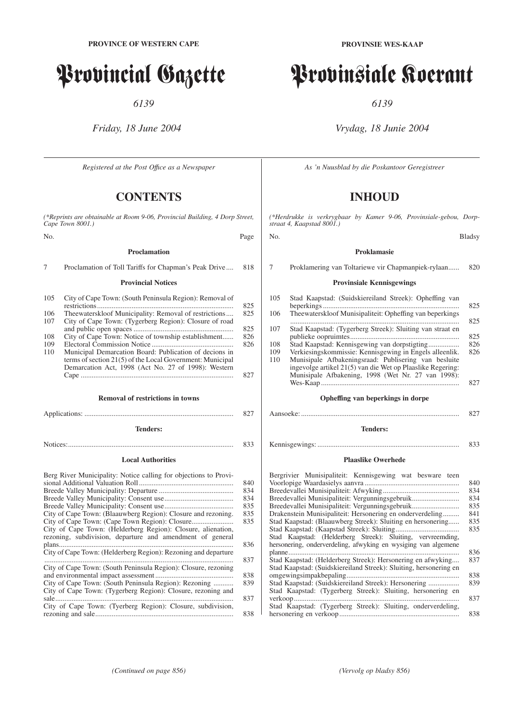# Provincial Gazette

*6139*

## *Friday, 18 June 2004*

*Registered at the Post Offıce as a Newspaper*

# **CONTENTS**

*(\*Reprints are obtainable at Room 9-06, Provincial Building, 4 Dorp Street, Cape Town 8001.)*

No. Page

### **Proclamation**

7 Proclamation of Toll Tariffs for Chapman's Peak Drive.... 818

#### **Provincial Notices**

| 105 | City of Cape Town: (South Peninsula Region): Removal of                                                                                                                    | 825 |
|-----|----------------------------------------------------------------------------------------------------------------------------------------------------------------------------|-----|
| 106 | Theewaterskloof Municipality: Removal of restrictions                                                                                                                      | 825 |
| 107 | City of Cape Town: (Tygerberg Region): Closure of road                                                                                                                     | 825 |
| 108 | City of Cape Town: Notice of township establishment                                                                                                                        | 826 |
|     |                                                                                                                                                                            |     |
| 109 |                                                                                                                                                                            | 826 |
| 110 | Municipal Demarcation Board: Publication of decions in<br>terms of section 21(5) of the Local Government: Municipal<br>Demarcation Act, 1998 (Act No. 27 of 1998): Western |     |
|     |                                                                                                                                                                            | 827 |

#### **Removal of restrictions in towns**

Applications: .................................................................................. 827

#### **Tenders:**

Notices:........................................................................................... 833

#### **Local Authorities**

| Berg River Municipality: Notice calling for objections to Provi- |     |
|------------------------------------------------------------------|-----|
|                                                                  | 840 |
|                                                                  |     |
|                                                                  | 834 |
|                                                                  | 835 |
| City of Cape Town: (Blaauwberg Region): Closure and rezoning.    | 835 |
|                                                                  | 835 |
| City of Cape Town: (Helderberg Region): Closure, alienation,     |     |
| rezoning, subdivision, departure and amendment of general        |     |
|                                                                  |     |
| City of Cape Town: (Helderberg Region): Rezoning and departure   |     |
|                                                                  |     |
| City of Cape Town: (South Peninsula Region): Closure, rezoning   |     |
|                                                                  | 838 |
| City of Cape Town: (South Peninsula Region): Rezoning            |     |
| City of Cape Town: (Tygerberg Region): Closure, rezoning and     |     |
|                                                                  |     |
| City of Cape Town: (Tyerberg Region): Closure, subdivision,      |     |
|                                                                  |     |

# Provinsiale Koerant

*6139*

# *Vrydag, 18 Junie 2004*

*As 'n Nuusblad by die Poskantoor Geregistreer*

# **INHOUD**

*(\*Herdrukke is verkrygbaar by Kamer 9-06, Provinsiale-gebou, Dorpstraat 4, Kaapstad 8001.)*

#### No. Bladsy

## **Proklamasie**

7 Proklamering van Toltariewe vir Chapmanpiek-rylaan...... 820

#### **Provinsiale Kennisgewings**

| 105 | Stad Kaapstad: (Suidskiereiland Streek): Opheffing van                                                                                                                   | 825 |
|-----|--------------------------------------------------------------------------------------------------------------------------------------------------------------------------|-----|
| 106 | Theewaterskloof Munisipaliteit: Opheffing van beperkings                                                                                                                 | 825 |
| 107 | Stad Kaapstad: (Tygerberg Streek): Sluiting van straat en                                                                                                                | 825 |
| 108 |                                                                                                                                                                          | 826 |
| 109 | Verkiesingskommissie: Kennisgewing in Engels alleenlik.                                                                                                                  | 826 |
| 110 | Munisipale Afbakeningsraad: Publisering van besluite<br>ingevolge artikel 21(5) van die Wet op Plaaslike Regering:<br>Munisipale Afbakening, 1998 (Wet Nr. 27 van 1998): |     |
|     |                                                                                                                                                                          | 827 |

#### **Opheffing van beperkings in dorpe**

#### Aansoeke: ....................................................................................... 827

## **Tenders:**

Kennisgewings: .............................................................................. 833

#### **Plaaslike Owerhede**

| Bergrivier Munisipaliteit: Kennisgewing wat besware teen          |     |
|-------------------------------------------------------------------|-----|
|                                                                   | 840 |
|                                                                   | 834 |
| Breedevallei Munisipaliteit: Vergunningsgebruik                   | 834 |
| Breedevallei Munisipaliteit: Vergunningsgebruik                   | 835 |
| Drakenstein Munisipaliteit: Hersonering en onderverdeling         | 841 |
| Stad Kaapstad: (Blaauwberg Streek): Sluiting en hersonering       | 835 |
|                                                                   | 835 |
| Stad Kaapstad: (Helderberg Streek): Sluiting, vervreemding,       |     |
| hersonering, onderverdeling, afwyking en wysiging van algemene    |     |
|                                                                   | 836 |
| Stad Kaapstad: (Helderberg Streek): Hersonering en afwyking       | 837 |
| Stad Kaapstad: (Suidskiereiland Streek): Sluiting, hersonering en |     |
|                                                                   | 838 |
| Stad Kaapstad: (Suidskiereiland Streek): Hersonering              | 839 |
| Stad Kaapstad: (Tygerberg Streek): Sluiting, hersonering en       |     |
|                                                                   | 837 |
| Stad Kaapstad: (Tygerberg Streek): Sluiting, onderverdeling,      |     |
|                                                                   | 838 |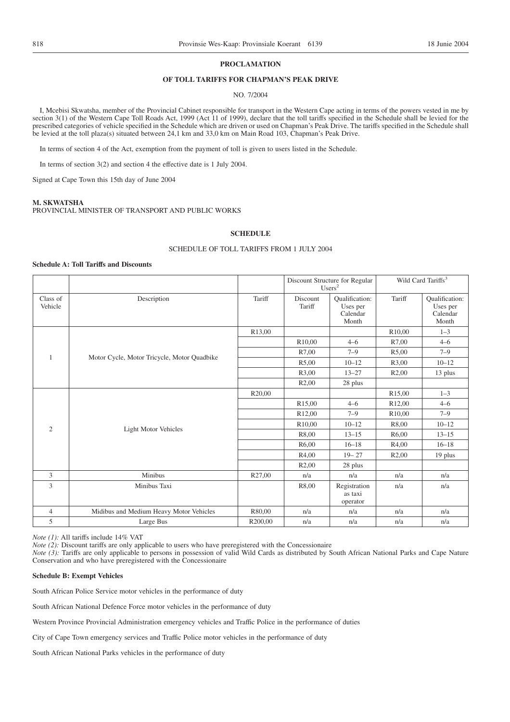#### **PROCLAMATION**

## **OF TOLL TARIFFS FOR CHAPMAN'S PEAK DRIVE**

#### NO. 7/2004

I, Mcebisi Skwatsha, member of the Provincial Cabinet responsible for transport in the Western Cape acting in terms of the powers vested in me by section 3(1) of the Western Cape Toll Roads Act, 1999 (Act 11 of 1999), declare that the toll tariffs specified in the Schedule shall be levied for the prescribed categories of vehicle specified in the Schedule which are driven or used on Chapman's Peak Drive. The tariffs specified in the Schedule shall be levied at the toll plaza(s) situated between 24,1 km and 33,0 km on Main Road 103, Chapman's Peak Drive.

In terms of section 4 of the Act, exemption from the payment of toll is given to users listed in the Schedule.

In terms of section 3(2) and section 4 the effective date is 1 July 2004.

Signed at Cape Town this 15th day of June 2004

#### **M. SKWATSHA**

PROVINCIAL MINISTER OF TRANSPORT AND PUBLIC WORKS

#### **SCHEDULE**

#### SCHEDULE OF TOLL TARIFFS FROM 1 JULY 2004

#### **Schedule A: Toll Tariffs and Discounts**

|                     |                                             |         | Discount Structure for Regular<br>Users <sup>2</sup> |                                                        | Wild Card Tariffs <sup>3</sup> |                                                 |
|---------------------|---------------------------------------------|---------|------------------------------------------------------|--------------------------------------------------------|--------------------------------|-------------------------------------------------|
| Class of<br>Vehicle | Description                                 | Tariff  | Discount<br>Tariff                                   | <b>Oualification:</b><br>Uses per<br>Calendar<br>Month | Tariff                         | Qualification:<br>Uses per<br>Calendar<br>Month |
|                     |                                             | R13,00  |                                                      |                                                        | R <sub>10</sub> ,00            | $1 - 3$                                         |
|                     |                                             |         | R10,00                                               | $4 - 6$                                                | R7,00                          | $4 - 6$                                         |
| 1                   | Motor Cycle, Motor Tricycle, Motor Quadbike |         | R7,00                                                | $7 - 9$                                                | R5,00                          | $7 - 9$                                         |
|                     |                                             |         | R5,00                                                | $10 - 12$                                              | R3,00                          | $10 - 12$                                       |
|                     |                                             |         | R3,00                                                | $13 - 27$                                              | R <sub>2</sub> ,00             | 13 plus                                         |
|                     |                                             |         | R2,00                                                | 28 plus                                                |                                |                                                 |
|                     |                                             | R20,00  |                                                      |                                                        | R <sub>15</sub> ,00            | $1 - 3$                                         |
|                     |                                             |         | R <sub>15</sub> ,00                                  | $4 - 6$                                                | R12,00                         | $4 - 6$                                         |
|                     |                                             |         | R <sub>12,00</sub>                                   | $7 - 9$                                                | R <sub>10</sub> ,00            | $7 - 9$                                         |
| $\overline{2}$      |                                             |         | R <sub>10</sub> ,00                                  | $10 - 12$                                              | R8,00                          | $10 - 12$                                       |
|                     | Light Motor Vehicles                        |         | R8,00                                                | $13 - 15$                                              | R <sub>6</sub> ,00             | $13 - 15$                                       |
|                     |                                             |         | R <sub>6</sub> ,00                                   | $16 - 18$                                              | R4,00                          | $16 - 18$                                       |
|                     |                                             |         | R4,00                                                | $19 - 27$                                              | R <sub>2</sub> ,00             | 19 plus                                         |
|                     |                                             |         | R2,00                                                | 28 plus                                                |                                |                                                 |
| 3                   | Minibus                                     | R27,00  | n/a                                                  | n/a                                                    | n/a                            | n/a                                             |
| 3                   | Minibus Taxi                                |         | R8,00                                                | Registration<br>as taxi<br>operator                    | n/a                            | n/a                                             |
| $\overline{4}$      | Midibus and Medium Heavy Motor Vehicles     | R80,00  | n/a                                                  | n/a                                                    | n/a                            | n/a                                             |
| 5                   | Large Bus                                   | R200,00 | n/a                                                  | n/a                                                    | n/a                            | n/a                                             |

*Note (1):* All tariffs include 14% VAT

*Note (2):* Discount tariffs are only applicable to users who have preregistered with the Concessionaire

*Note* (3): Tariffs are only applicable to persons in possession of valid Wild Cards as distributed by South African National Parks and Cape Nature Conservation and who have preregistered with the Concessionaire

#### **Schedule B: Exempt Vehicles**

South African Police Service motor vehicles in the performance of duty

South African National Defence Force motor vehicles in the performance of duty

Western Province Provincial Administration emergency vehicles and Traffic Police in the performance of duties

City of Cape Town emergency services and Traffic Police motor vehicles in the performance of duty

South African National Parks vehicles in the performance of duty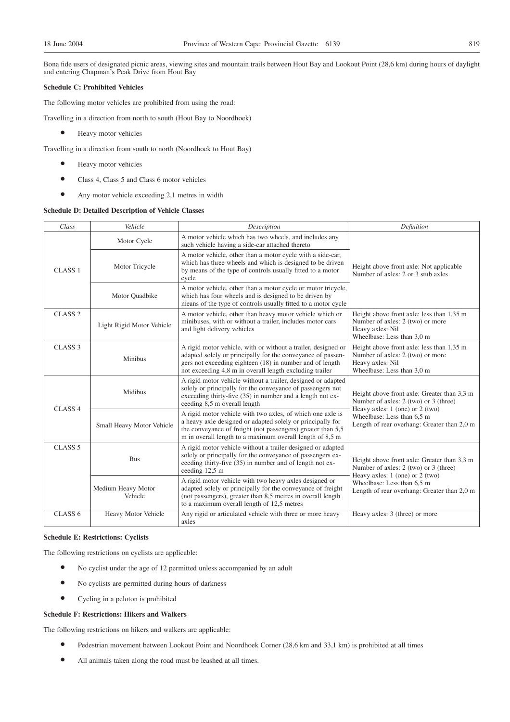Bona fide users of designated picnic areas, viewing sites and mountain trails between Hout Bay and Lookout Point (28,6 km) during hours of daylight and entering Chapman's Peak Drive from Hout Bay

#### **Schedule C: Prohibited Vehicles**

The following motor vehicles are prohibited from using the road:

Travelling in a direction from north to south (Hout Bay to Noordhoek)

 $\bullet$  Heavy motor vehicles

Travelling in a direction from south to north (Noordhoek to Hout Bay)

- $\bullet$  Heavy motor vehicles
- <sup>O</sup> Class 4, Class 5 and Class 6 motor vehicles
- <sup>O</sup> Any motor vehicle exceeding 2,1 metres in width

#### **Schedule D: Detailed Description of Vehicle Classes**

| Class              | Vehicle                       | Description                                                                                                                                                                                                                                         | Definition                                                                                                                      |
|--------------------|-------------------------------|-----------------------------------------------------------------------------------------------------------------------------------------------------------------------------------------------------------------------------------------------------|---------------------------------------------------------------------------------------------------------------------------------|
|                    | Motor Cycle                   | A motor vehicle which has two wheels, and includes any<br>such vehicle having a side-car attached thereto                                                                                                                                           |                                                                                                                                 |
| CLASS <sub>1</sub> | Motor Tricycle                | A motor vehicle, other than a motor cycle with a side-car,<br>which has three wheels and which is designed to be driven<br>by means of the type of controls usually fitted to a motor<br>cycle                                                      | Height above front axle: Not applicable<br>Number of axles: 2 or 3 stub axles                                                   |
|                    | Motor Quadbike                | A motor vehicle, other than a motor cycle or motor tricycle,<br>which has four wheels and is designed to be driven by<br>means of the type of controls usually fitted to a motor cycle                                                              |                                                                                                                                 |
| CLASS <sub>2</sub> | Light Rigid Motor Vehicle     | A motor vehicle, other than heavy motor vehicle which or<br>minibuses, with or without a trailer, includes motor cars<br>and light delivery vehicles                                                                                                | Height above front axle: less than 1,35 m<br>Number of axles: 2 (two) or more<br>Heavy axles: Nil<br>Wheelbase: Less than 3,0 m |
| CLASS <sub>3</sub> | Minibus                       | A rigid motor vehicle, with or without a trailer, designed or<br>adapted solely or principally for the conveyance of passen-<br>gers not exceeding eighteen (18) in number and of length<br>not exceeding 4,8 m in overall length excluding trailer | Height above front axle: less than 1,35 m<br>Number of axles: 2 (two) or more<br>Heavy axles: Nil<br>Wheelbase: Less than 3,0 m |
| CLASS 4            | Midibus                       | A rigid motor vehicle without a trailer, designed or adapted<br>solely or principally for the conveyance of passengers not<br>exceeding thirty-five (35) in number and a length not ex-<br>ceeding 8,5 m overall length                             | Height above front axle: Greater than 3,3 m<br>Number of axles: 2 (two) or 3 (three)<br>Heavy axles: $1$ (one) or $2$ (two)     |
|                    | Small Heavy Motor Vehicle     | A rigid motor vehicle with two axles, of which one axle is<br>a heavy axle designed or adapted solely or principally for<br>the conveyance of freight (not passengers) greater than 5,5<br>m in overall length to a maximum overall length of 8,5 m | Wheelbase: Less than 6,5 m<br>Length of rear overhang: Greater than 2,0 m                                                       |
| CLASS <sub>5</sub> | <b>Bus</b>                    | A rigid motor vehicle without a trailer designed or adapted<br>solely or principally for the conveyance of passengers ex-<br>ceeding thirty-five (35) in number and of length not ex-<br>ceeding 12,5 m                                             | Height above front axle: Greater than 3,3 m<br>Number of axles: 2 (two) or 3 (three)<br>Heavy axles: $1$ (one) or $2$ (two)     |
|                    | Medium Heavy Motor<br>Vehicle | A rigid motor vehicle with two heavy axles designed or<br>adapted solely or principally for the conveyance of freight<br>(not passengers), greater than 8.5 metres in overall length<br>to a maximum overall length of 12,5 metres                  | Wheelbase: Less than 6,5 m<br>Length of rear overhang: Greater than 2,0 m                                                       |
| CLASS <sub>6</sub> | Heavy Motor Vehicle           | Any rigid or articulated vehicle with three or more heavy<br>axles                                                                                                                                                                                  | Heavy axles: 3 (three) or more                                                                                                  |

#### **Schedule E: Restrictions: Cyclists**

The following restrictions on cyclists are applicable:

- <sup>O</sup> No cyclist under the age of 12 permitted unless accompanied by an adult
- <sup>O</sup> No cyclists are permitted during hours of darkness
- Cycling in a peloton is prohibited

#### **Schedule F: Restrictions: Hikers and Walkers**

The following restrictions on hikers and walkers are applicable:

- <sup>O</sup> Pedestrian movement between Lookout Point and Noordhoek Corner (28,6 km and 33,1 km) is prohibited at all times
- <sup>O</sup> All animals taken along the road must be leashed at all times.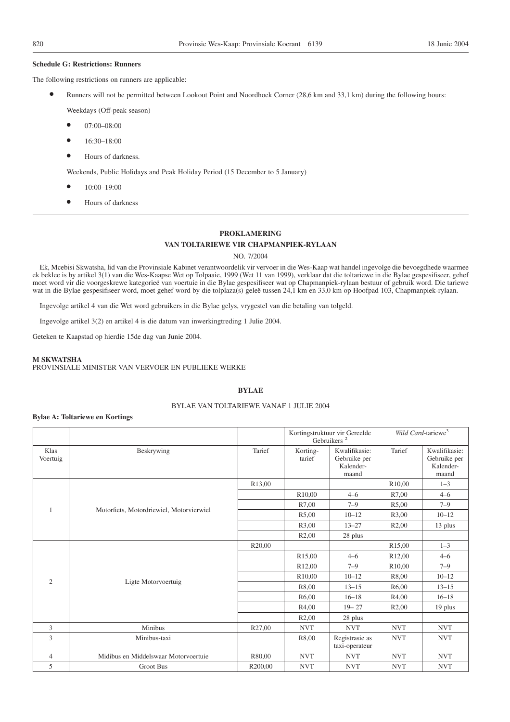#### **Schedule G: Restrictions: Runners**

The following restrictions on runners are applicable:

Runners will not be permitted between Lookout Point and Noordhoek Corner (28,6 km and 33,1 km) during the following hours:

Weekdays (Off-peak season)

- 07:00-08:00
- <sup>O</sup> 16:30–18:00
- Hours of darkness.

Weekends, Public Holidays and Peak Holiday Period (15 December to 5 January)

- <sup>O</sup> 10:00–19:00
- Hours of darkness

#### **PROKLAMERING**

#### **VAN TOLTARIEWE VIR CHAPMANPIEK-RYLAAN**

NO. 7/2004

Ek, Mcebisi Skwatsha, lid van die Provinsiale Kabinet verantwoordelik vir vervoer in die Wes-Kaap wat handel ingevolge die bevoegdhede waarmee ek beklee is by artikel 3(1) van die Wes-Kaapse Wet op Tolpaaie, 1999 (Wet 11 van 1999), verklaar dat die toltariewe in die Bylae gespesifiseer, gehef moet word vir die voorgeskrewe kategorieë van voertuie in die Bylae gespesifiseer wat op Chapmanpiek-rylaan bestuur of gebruik word. Die tariewe wat in die Bylae gespesifiseer word, moet gehef word by die tolplaza(s) geleë tussen 24,1 km en 33,0 km op Hoofpad 103, Chapmanpiek-rylaan.

Ingevolge artikel 4 van die Wet word gebruikers in die Bylae gelys, vrygestel van die betaling van tolgeld.

Ingevolge artikel 3(2) en artikel 4 is die datum van inwerkingtreding 1 Julie 2004.

Geteken te Kaapstad op hierdie 15de dag van Junie 2004.

#### **M SKWATSHA**

PROVINSIALE MINISTER VAN VERVOER EN PUBLIEKE WERKE

### **BYLAE**

#### BYLAE VAN TOLTARIEWE VANAF 1 JULIE 2004

#### **Bylae A: Toltariewe en Kortings**

|                  |                                          |                     |                     | Kortingstruktuur vir Gereelde<br>Gebruikers <sup>2</sup> |                     | Wild Card-tariewe <sup>3</sup>                      |  |
|------------------|------------------------------------------|---------------------|---------------------|----------------------------------------------------------|---------------------|-----------------------------------------------------|--|
| Klas<br>Voertuig | Beskrywing                               | Tarief              | Korting-<br>tarief  | Kwalifikasie:<br>Gebruike per<br>Kalender-<br>maand      | Tarief              | Kwalifikasie:<br>Gebruike per<br>Kalender-<br>maand |  |
|                  |                                          | R13,00              |                     |                                                          | R10,00              | $1 - 3$                                             |  |
|                  |                                          |                     | R <sub>10</sub> ,00 | $4 - 6$                                                  | R7,00               | $4 - 6$                                             |  |
| $\mathbf{1}$     | Motorfiets, Motordriewiel, Motorvierwiel |                     | R7,00               | $7 - 9$                                                  | R5,00               | $7 - 9$                                             |  |
|                  |                                          |                     | R5,00               | $10 - 12$                                                | R3,00               | $10 - 12$                                           |  |
|                  |                                          |                     | R3,00               | $13 - 27$                                                | R <sub>2</sub> ,00  | 13 plus                                             |  |
|                  |                                          |                     | R <sub>2</sub> ,00  | 28 plus                                                  |                     |                                                     |  |
| $\overline{2}$   | Ligte Motorvoertuig                      | R <sub>20</sub> ,00 |                     |                                                          | R <sub>15</sub> ,00 | $1 - 3$                                             |  |
|                  |                                          |                     | R15,00              | $4 - 6$                                                  | R12,00              | $4 - 6$                                             |  |
|                  |                                          |                     | R <sub>12</sub> ,00 | $7 - 9$                                                  | R <sub>10,00</sub>  | $7 - 9$                                             |  |
|                  |                                          |                     | R <sub>10</sub> ,00 | $10 - 12$                                                | R8,00               | $10 - 12$                                           |  |
|                  |                                          |                     | R8,00               | $13 - 15$                                                | R <sub>6</sub> ,00  | $13 - 15$                                           |  |
|                  |                                          |                     | R <sub>6</sub> ,00  | $16 - 18$                                                | R4,00               | $16 - 18$                                           |  |
|                  |                                          |                     | R4,00               | $19 - 27$                                                | R2,00               | 19 plus                                             |  |
|                  |                                          |                     | R <sub>2</sub> ,00  | 28 plus                                                  |                     |                                                     |  |
| 3                | Minibus                                  | R27,00              | <b>NVT</b>          | <b>NVT</b>                                               | <b>NVT</b>          | <b>NVT</b>                                          |  |
| 3                | Minibus-taxi                             |                     | R8,00               | Registrasie as<br>taxi-operateur                         | <b>NVT</b>          | <b>NVT</b>                                          |  |
| $\overline{4}$   | Midibus en Middelswaar Motorvoertuie     | R80,00              | <b>NVT</b>          | <b>NVT</b>                                               | <b>NVT</b>          | $\ensuremath{\text{NVT}}$                           |  |
| 5                | <b>Groot Bus</b>                         | R200,00             | <b>NVT</b>          | <b>NVT</b>                                               | <b>NVT</b>          | <b>NVT</b>                                          |  |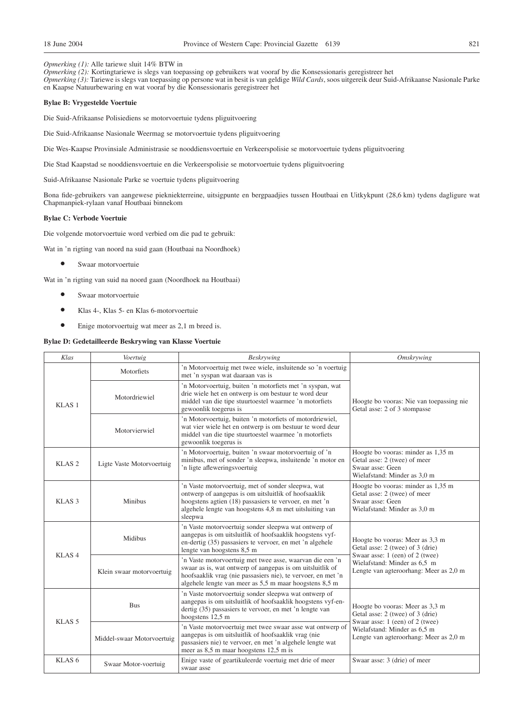*Opmerking (1):* Alle tariewe sluit 14% BTW in

*Opmerking (2):* Kortingtariewe is slegs van toepassing op gebruikers wat vooraf by die Konsessionaris geregistreer het *Opmerking (3):* Tariewe is slegs van toepassing op persone wat in besit is van geldige *Wild Cards*, soos uitgereik deur Suid-Afrikaanse Nasionale Parke en Kaapse Natuurbewaring en wat vooraf by die Konsessionaris geregistreer het

#### **Bylae B: Vrygestelde Voertuie**

Die Suid-Afrikaanse Polisiediens se motorvoertuie tydens pliguitvoering

Die Suid-Afrikaanse Nasionale Weermag se motorvoertuie tydens pliguitvoering

Die Wes-Kaapse Provinsiale Administrasie se nooddiensvoertuie en Verkeerspolisie se motorvoertuie tydens pliguitvoering

Die Stad Kaapstad se nooddiensvoertuie en die Verkeerspolisie se motorvoertuie tydens pliguitvoering

Suid-Afrikaanse Nasionale Parke se voertuie tydens pliguitvoering

Bona fide-gebruikers van aangewese piekniekterreine, uitsigpunte en bergpaadjies tussen Houtbaai en Uitkykpunt (28,6 km) tydens dagligure wat Chapmanpiek-rylaan vanaf Houtbaai binnekom

#### **Bylae C: Verbode Voertuie**

Die volgende motorvoertuie word verbied om die pad te gebruik:

Wat in 'n rigting van noord na suid gaan (Houtbaai na Noordhoek)

<sup>O</sup> Swaar motorvoertuie

Wat in 'n rigting van suid na noord gaan (Noordhoek na Houtbaai)

- <sup>O</sup> Swaar motorvoertuie
- <sup>O</sup> Klas 4-, Klas 5- en Klas 6-motorvoertuie
- $\bullet$  Enige motorvoertuig wat meer as 2,1 m breed is.

#### **Bylae D: Gedetailleerde Beskrywing van Klasse Voertuie**

| Klas              | Voertuig                                                                                                                                                                                                                                              | Beskrywing                                                                                                                                                                                                                                      | <b>Omskrywing</b>                                                                                                      |
|-------------------|-------------------------------------------------------------------------------------------------------------------------------------------------------------------------------------------------------------------------------------------------------|-------------------------------------------------------------------------------------------------------------------------------------------------------------------------------------------------------------------------------------------------|------------------------------------------------------------------------------------------------------------------------|
|                   | Motorfiets                                                                                                                                                                                                                                            | 'n Motorvoertuig met twee wiele, insluitende so 'n voertuig<br>met 'n syspan wat daaraan vas is                                                                                                                                                 |                                                                                                                        |
| KLAS <sub>1</sub> | Motordriewiel                                                                                                                                                                                                                                         | 'n Motorvoertuig, buiten 'n motorfiets met 'n syspan, wat<br>drie wiele het en ontwerp is om bestuur te word deur<br>middel van die tipe stuurtoestel waarmee 'n motorfiets<br>gewoonlik toegerus is                                            | Hoogte bo vooras: Nie van toepassing nie<br>Getal asse: 2 of 3 stompasse                                               |
|                   | Motorvierwiel                                                                                                                                                                                                                                         | 'n Motorvoertuig, buiten 'n motorfiets of motordriewiel,<br>wat vier wiele het en ontwerp is om bestuur te word deur<br>middel van die tipe stuurtoestel waarmee 'n motorfiets<br>gewoonlik toegerus is                                         |                                                                                                                        |
| KLAS <sub>2</sub> | Ligte Vaste Motorvoertuig                                                                                                                                                                                                                             | 'n Motorvoertuig, buiten 'n swaar motorvoertuig of 'n<br>minibus, met of sonder 'n sleepwa, insluitende 'n motor en<br>'n ligte afleweringsvoertuig                                                                                             | Hoogte bo vooras: minder as 1,35 m<br>Getal asse: 2 (twee) of meer<br>Swaar asse: Geen<br>Wielafstand: Minder as 3.0 m |
| KLAS <sub>3</sub> | 'n Vaste motorvoertuig, met of sonder sleepwa, wat<br>ontwerp of aangepas is om uitsluitlik of hoofsaaklik<br>hoogstens agtien (18) passasiers te vervoer, en met 'n<br>Minibus<br>algehele lengte van hoogstens 4,8 m met uitsluiting van<br>sleepwa |                                                                                                                                                                                                                                                 | Hoogte bo vooras: minder as 1,35 m<br>Getal asse: 2 (twee) of meer<br>Swaar asse: Geen<br>Wielafstand: Minder as 3,0 m |
| KLAS <sub>4</sub> | Midibus                                                                                                                                                                                                                                               | 'n Vaste motorvoertuig sonder sleepwa wat ontwerp of<br>aangepas is om uitsluitlik of hoofsaaklik hoogstens vyf-<br>en-dertig (35) passasiers te vervoer, en met 'n algehele<br>lengte van hoogstens 8,5 m                                      | Hoogte bo vooras: Meer as 3,3 m<br>Getal asse: 2 (twee) of 3 (drie)<br>Swaar asse: 1 (een) of 2 (twee)                 |
|                   | Klein swaar motorvoertuig                                                                                                                                                                                                                             | 'n Vaste motorvoertuig met twee asse, waarvan die een 'n<br>swaar as is, wat ontwerp of aangepas is om uitsluitlik of<br>hoofsaaklik vrag (nie passasiers nie), te vervoer, en met 'n<br>algehele lengte van meer as 5,5 m maar hoogstens 8,5 m | Wielafstand: Minder as 6,5 m<br>Lengte van agteroorhang: Meer as 2,0 m                                                 |
| KLAS <sub>5</sub> | <b>Bus</b>                                                                                                                                                                                                                                            | 'n Vaste motorvoertuig sonder sleepwa wat ontwerp of<br>aangepas is om uitsluitlik of hoofsaaklik hoogstens vyf-en-<br>dertig (35) passasiers te vervoer, en met 'n lengte van<br>hoogstens 12,5 m                                              | Hoogte bo vooras: Meer as 3,3 m<br>Getal asse: 2 (twee) of 3 (drie)<br>Swaar asse: 1 (een) of 2 (twee)                 |
|                   | Middel-swaar Motorvoertuig                                                                                                                                                                                                                            | 'n Vaste motorvoertuig met twee swaar asse wat ontwerp of<br>aangepas is om uitsluitlik of hoofsaaklik vrag (nie<br>passasiers nie) te vervoer, en met 'n algehele lengte wat<br>meer as 8,5 m maar hoogstens 12,5 m is                         | Wielafstand: Minder as 6,5 m<br>Lengte van agteroorhang: Meer as 2,0 m                                                 |
| KLAS <sub>6</sub> | Swaar Motor-voertuig                                                                                                                                                                                                                                  | Enige vaste of geartikuleerde voertuig met drie of meer<br>swaar asse                                                                                                                                                                           | Swaar asse: 3 (drie) of meer                                                                                           |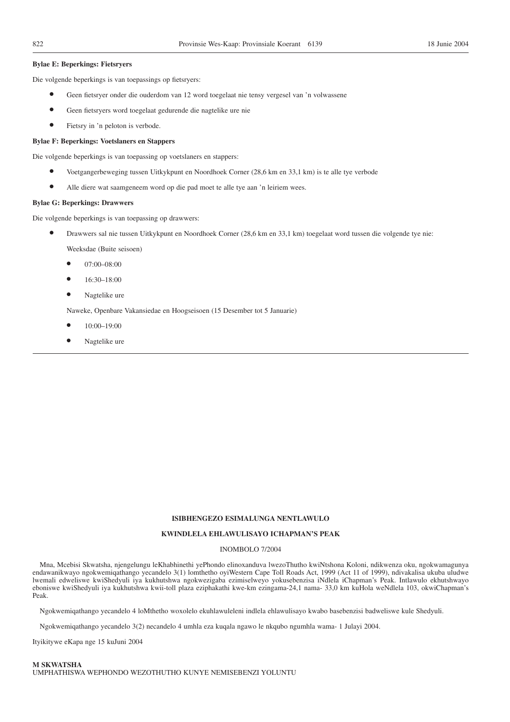#### **Bylae E: Beperkings: Fietsryers**

Die volgende beperkings is van toepassings op fietsryers:

- <sup>O</sup> Geen fietsryer onder die ouderdom van 12 word toegelaat nie tensy vergesel van 'n volwassene
- <sup>O</sup> Geen fietsryers word toegelaat gedurende die nagtelike ure nie
- <sup>O</sup> Fietsry in 'n peloton is verbode.

#### **Bylae F: Beperkings: Voetslaners en Stappers**

Die volgende beperkings is van toepassing op voetslaners en stappers:

- Voetgangerbeweging tussen Uitkykpunt en Noordhoek Corner (28,6 km en 33,1 km) is te alle tye verbode
- Alle diere wat saamgeneem word op die pad moet te alle tye aan 'n leiriem wees.

#### **Bylae G: Beperkings: Drawwers**

Die volgende beperkings is van toepassing op drawwers:

**•** Drawwers sal nie tussen Uitkykpunt en Noordhoek Corner (28,6 km en 33,1 km) toegelaat word tussen die volgende tye nie:

Weeksdae (Buite seisoen)

- 07:00-08:00
- <sup>O</sup> 16:30–18:00
- Nagtelike ure

Naweke, Openbare Vakansiedae en Hoogseisoen (15 Desember tot 5 Januarie)

- $10.00 19.00$
- Nagtelike ure

#### **ISIBHENGEZO ESIMALUNGA NENTLAWULO**

#### **KWINDLELA EHLAWULISAYO ICHAPMAN'S PEAK**

#### INOMBOLO 7/2004

Mna, Mcebisi Skwatsha, njengelungu leKhabhinethi yePhondo elinoxanduva lwezoThutho kwiNtshona Koloni, ndikwenza oku, ngokwamagunya endawanikwayo ngokwemiqathango yecandelo 3(1) lomthetho oyiWestern Cape Toll Roads Act, 1999 (Act 11 of 1999), ndivakalisa ukuba uludwe lwemali edweliswe kwiShedyuli iya kukhutshwa ngokwezigaba ezimiselweyo yokusebenzisa iNdlela iChapman's Peak. Intlawulo ekhutshwayo eboniswe kwiShedyuli iya kukhutshwa kwii-toll plaza eziphakathi kwe-km ezingama-24,1 nama- 33,0 km kuHola weNdlela 103, okwiChapman's Peak.

Ngokwemiqathango yecandelo 4 loMthetho woxolelo ekuhlawuleleni indlela ehlawulisayo kwabo basebenzisi badweliswe kule Shedyuli.

Ngokwemiqathango yecandelo 3(2) necandelo 4 umhla eza kuqala ngawo le nkqubo ngumhla wama- 1 Julayi 2004.

Ityikitywe eKapa nge 15 kuJuni 2004

**M SKWATSHA** UMPHATHISWA WEPHONDO WEZOTHUTHO KUNYE NEMISEBENZI YOLUNTU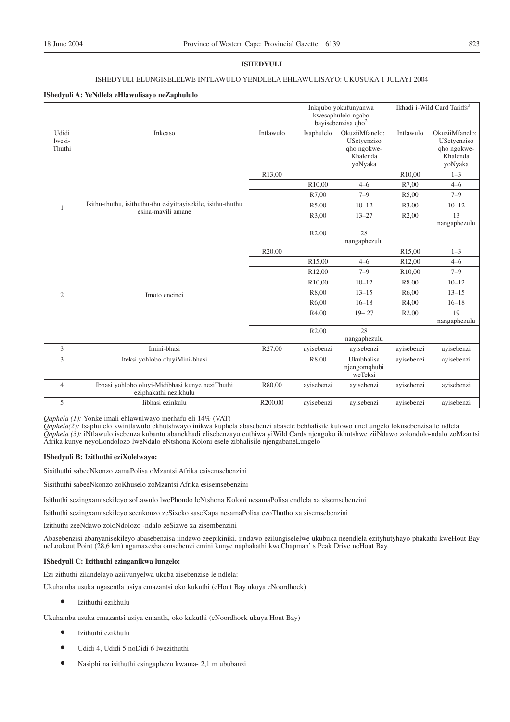#### **ISHEDYULI**

## ISHEDYULI ELUNGISELELWE INTLAWULO YENDLELA EHLAWULISAYO: UKUSUKA 1 JULAYI 2004

#### **IShedyuli A: YeNdlela eHlawulisayo neZaphululo**

|                           |                                                                          |                     |                     | Inkqubo yokufunyanwa<br>kwesaphulelo ngabo<br>bayisebenzisa qho <sup>2</sup> |                    | Ikhadi i-Wild Card Tariffs <sup>3</sup>                             |
|---------------------------|--------------------------------------------------------------------------|---------------------|---------------------|------------------------------------------------------------------------------|--------------------|---------------------------------------------------------------------|
| Udidi<br>lwesi-<br>Thuthi | Inkcaso                                                                  | Intlawulo           | Isaphulelo          | OkuziiMfanelo:<br>USetyenziso<br>qho ngokwe-<br>Khalenda<br>yoNyaka          | Intlawulo          | OkuziiMfanelo:<br>USetyenziso<br>qho ngokwe-<br>Khalenda<br>yoNyaka |
|                           |                                                                          | R <sub>13</sub> ,00 |                     |                                                                              | R10,00             | $1 - 3$                                                             |
|                           |                                                                          |                     | R10,00              | $4 - 6$                                                                      | R7,00              | $4 - 6$                                                             |
|                           |                                                                          |                     | R7,00               | $7 - 9$                                                                      | R5,00              | $7 - 9$                                                             |
| 1                         | Isithu-thuthu, isithuthu-thu esiyitrayisekile, isithu-thuthu             |                     | R5,00               | $10 - 12$                                                                    | R3,00              | $10 - 12$                                                           |
|                           | esina-mavili amane                                                       |                     | R3,00               | $13 - 27$                                                                    | R <sub>2</sub> ,00 | 13<br>nangaphezulu                                                  |
|                           |                                                                          |                     | R2,00               | 28<br>nangaphezulu                                                           |                    |                                                                     |
|                           |                                                                          | R <sub>20.00</sub>  |                     |                                                                              | R <sub>15,00</sub> | $1 - 3$                                                             |
|                           |                                                                          |                     | R15,00              | $4 - 6$                                                                      | R12,00             | $4 - 6$                                                             |
|                           |                                                                          |                     | R <sub>12</sub> ,00 | $7 - 9$                                                                      | R <sub>10,00</sub> | $7 - 9$                                                             |
|                           |                                                                          |                     | R10,00              | $10 - 12$                                                                    | R8,00              | $10 - 12$                                                           |
| 2                         | Imoto encinci                                                            |                     | R8,00               | $13 - 15$                                                                    | R6,00              | $13 - 15$                                                           |
|                           |                                                                          |                     | R6,00               | $16 - 18$                                                                    | R4,00              | $16 - 18$                                                           |
|                           |                                                                          |                     | R4,00               | $19 - 27$                                                                    | R2,00              | 19<br>nangaphezulu                                                  |
|                           |                                                                          |                     | R <sub>2</sub> ,00  | 28<br>nangaphezulu                                                           |                    |                                                                     |
| 3                         | Imini-bhasi                                                              | R27,00              | avisebenzi          | avisebenzi                                                                   | avisebenzi         | avisebenzi                                                          |
| 3                         | Iteksi yohlobo oluyiMini-bhasi                                           |                     | R8,00               | Ukubhalisa<br>njengomqhubi<br>weTeksi                                        | avisebenzi         | avisebenzi                                                          |
| $\overline{4}$            | Ibhasi yohlobo oluyi-Midibhasi kunye neziThuthi<br>eziphakathi nezikhulu | R80,00              | avisebenzi          | avisebenzi                                                                   | avisebenzi         | avisebenzi                                                          |
| 5                         | Iibhasi ezinkulu                                                         | R200,00             | ayisebenzi          | ayisebenzi                                                                   | ayisebenzi         | ayisebenzi                                                          |

*Qaphela (1):* Yonke imali ehlawulwayo inerhafu eli 14% (VAT)

*Qaphela(2):* Isaphulelo kwintlawulo ekhutshwayo inikwa kuphela abasebenzi abasele bebhalisile kulowo uneLungelo lokusebenzisa le ndlela *Qaphela (3):* iNtlawulo isebenza kubantu abanekhadi elisebenzayo euthiwa yiWild Cards njengoko ikhutshwe ziiNdawo zolondolo-ndalo zoMzantsi Afrika kunye neyoLondolozo lweNdalo eNtshona Koloni esele zibhalisile njengabaneLungelo

#### **IShedyuli B: Izithuthi eziXolelwayo:**

Sisithuthi sabeeNkonzo zamaPolisa oMzantsi Afrika esisemsebenzini

Sisithuthi sabeeNkonzo zoKhuselo zoMzantsi Afrika esisemsebenzini

Isithuthi sezingxamisekileyo soLawulo lwePhondo leNtshona Koloni nesamaPolisa endlela xa sisemsebenzini

Isithuthi sezingxamisekileyo seenkonzo zeSixeko saseKapa nesamaPolisa ezoThutho xa sisemsebenzini

Izithuthi zeeNdawo zoloNdolozo -ndalo zeSizwe xa zisembenzini

Abasebenzisi abanyanisekileyo abasebenzisa iindawo zeepikiniki, iindawo ezilungiselelwe ukubuka neendlela ezityhutyhayo phakathi kweHout Bay neLookout Point (28,6 km) ngamaxesha omsebenzi emini kunye naphakathi kweChapman' s Peak Drive neHout Bay.

#### **IShedyuli C: Izithuthi ezinganikwa lungelo:**

Ezi zithuthi zilandelayo aziivunyelwa ukuba zisebenzise le ndlela:

Ukuhamba usuka ngasentla usiya emazantsi oko kukuthi (eHout Bay ukuya eNoordhoek)

 $\bullet$  Izithuthi ezikhulu

Ukuhamba usuka emazantsi usiya emantla, oko kukuthi (eNoordhoek ukuya Hout Bay)

- $\bullet$  Izithuthi ezikhulu
- <sup>O</sup> Udidi 4, Udidi 5 noDidi 6 lwezithuthi
- <sup>O</sup> Nasiphi na isithuthi esingaphezu kwama- 2,1 m ububanzi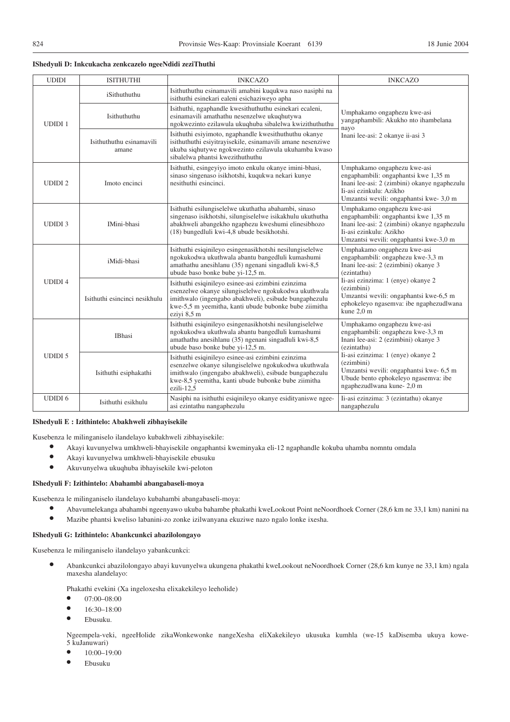#### **IShedyuli D: Inkcukacha zenkcazelo ngeeNdidi zeziThuthi**

| <b>UDIDI</b>  | <b>ISITHUTHI</b>                  | <b>INKCAZO</b>                                                                                                                                                                                                                              | <b>INKCAZO</b>                                                                                                                                                                           |
|---------------|-----------------------------------|---------------------------------------------------------------------------------------------------------------------------------------------------------------------------------------------------------------------------------------------|------------------------------------------------------------------------------------------------------------------------------------------------------------------------------------------|
|               | iSithuthuthu                      | Isithuthuthu esinamavili amabini kuqukwa naso nasiphi na<br>isithuthi esinekari ealeni esichaziweyo apha                                                                                                                                    |                                                                                                                                                                                          |
| <b>UDIDI1</b> | Isithuthuthu                      | Isithuthi, ngaphandle kwesithuthuthu esinekari ecaleni,<br>esinamavili amathathu nesenzelwe ukuqhutywa<br>ngokwezinto ezilawula ukuqhuba sibalelwa kwizithuthuthu                                                                           | Umphakamo ongaphezu kwe-asi<br>yangaphambili: Akukho nto ihambelana<br>nayo                                                                                                              |
|               | Isithuthuthu esinamavili<br>amane | Isithuthi esiyimoto, ngaphandle kwesithuthuthu okanye<br>isithuthuthi esiyitrayisekile, esinamavili amane nesenziwe<br>ukuba siqhutywe ngokwezinto ezilawula ukuhamba kwaso<br>sibalelwa phantsi kwezithuthuthu                             | Inani lee-asi: 2 okanye ii-asi 3                                                                                                                                                         |
| <b>UDIDI2</b> | Imoto encinci                     | Isithuthi, esingeyiyo imoto enkulu okanye imini-bhasi,<br>sinaso singenaso isikhotshi, kuqukwa nekari kunye<br>nesithuthi esincinci.                                                                                                        | Umphakamo ongaphezu kwe-asi<br>engaphambili: ongaphantsi kwe 1,35 m<br>Inani lee-asi: 2 (zimbini) okanye ngaphezulu<br>Ii-asi ezinkulu: Azikho<br>Umzantsi wevili: ongaphantsi kwe-3,0 m |
| <b>UDIDI3</b> | IMini-bhasi                       | Isithuthi esilungiselelwe ukuthatha abahambi, sinaso<br>singenaso isikhotshi, silungiselelwe isikakhulu ukuthutha<br>abakhweli abangekho ngaphezu kweshumi elinesibhozo<br>(18) bungedluli kwi-4,8 ubude besikhotshi.                       | Umphakamo ongaphezu kwe-asi<br>engaphambili: ongaphantsi kwe 1,35 m<br>Inani lee-asi: 2 (zimbini) okanye ngaphezulu<br>Ii-asi ezinkulu: Azikho<br>Umzantsi wevili: ongaphantsi kwe-3,0 m |
| <b>UDIDI4</b> | iMidi-bhasi                       | Isithuthi esiqinileyo esingenasikhotshi nesilungiselelwe<br>ngokukodwa ukuthwala abantu bangedluli kumashumi<br>amathathu anesihlanu (35) ngenani singadluli kwi-8,5<br>ubude baso bonke bube yi-12,5 m.                                    | Umphakamo ongaphezu kwe-asi<br>engaphambili: ongaphezu kwe-3,3 m<br>Inani lee-asi: 2 (ezimbini) okanye 3<br>(ezintathu)                                                                  |
|               | Isithuthi esincinci nesikhulu     | Isithuthi esiqinileyo esinee-asi ezimbini ezinzima<br>esenzelwe okanye silungiselelwe ngokukodwa ukuthwala<br>imithwalo (ingengabo abakhweli), esibude bungaphezulu<br>kwe-5,5 m yeemitha, kanti ubude bubonke bube ziimitha<br>eziyi 8,5 m | Ii-asi ezinzima: 1 (enye) okanye 2<br>(ezimbini)<br>Umzantsi wevili: ongaphantsi kwe-6,5 m<br>ephokeleyo ngasemva: ibe ngaphezudlwana<br>kune 2,0 m                                      |
|               | IBhasi                            | Isithuthi esiqinileyo esingenasikhotshi nesilungiselelwe<br>ngokukodwa ukuthwala abantu bangedluli kumashumi<br>amathathu anesihlanu (35) ngenani singadluli kwi-8,5<br>ubude baso bonke bube yi-12,5 m.                                    | Umphakamo ongaphezu kwe-asi<br>engaphambili: ongaphezu kwe-3,3 m<br>Inani lee-asi: 2 (ezimbini) okanye 3<br>(ezintathu)                                                                  |
| <b>UDIDI5</b> | Isithuthi esiphakathi             | Isithuthi esiqinileyo esinee-asi ezimbini ezinzima<br>esenzelwe okanye silungiselelwe ngokukodwa ukuthwala<br>imithwalo (ingengabo abakhweli), esibude bungaphezulu<br>kwe-8,5 yeemitha, kanti ubude bubonke bube ziimitha<br>ezili-12,5    | Ii-asi ezinzima: 1 (enye) okanye 2<br>(ezimbini)<br>Umzantsi wevili: ongaphantsi kwe- 6,5 m<br>Ubude bento ephokeleyo ngasemva: ibe<br>ngaphezudlwana kune-2,0 m                         |
| <b>UDIDI6</b> | Isithuthi esikhulu                | Nasiphi na isithuthi esiqinileyo okanye esidityaniswe ngee-<br>asi ezintathu nangaphezulu                                                                                                                                                   | Ii-asi ezinzima: 3 (ezintathu) okanye<br>nangaphezulu                                                                                                                                    |

#### **IShedyuli E : Izithintelo: Abakhweli zibhayisekile**

Kusebenza le milinganiselo ilandelayo kubakhweli zibhayisekile:

- <sup>O</sup> Akayi kuvunyelwa umkhweli-bhayisekile ongaphantsi kweminyaka eli-12 ngaphandle kokuba uhamba nomntu omdala
- <sup>O</sup> Akayi kuvunyelwa umkhweli-bhayisekile ebusuku
- <sup>O</sup> Akuvunyelwa ukuqhuba ibhayisekile kwi-peloton

#### **IShedyuli F: Izithintelo: Abahambi abangabaseli-moya**

Kusebenza le milinganiselo ilandelayo kubahambi abangabaseli-moya:

- <sup>O</sup> Abavumelekanga abahambi ngeenyawo ukuba bahambe phakathi kweLookout Point neNoordhoek Corner (28,6 km ne 33,1 km) nanini na
- <sup>O</sup> Mazibe phantsi kweliso labanini-zo zonke izilwanyana ekuziwe nazo ngalo lonke ixesha.

### **IShedyuli G: Izithintelo: Abankcunkci abazilolongayo**

Kusebenza le milinganiselo ilandelayo yabankcunkci:

<sup>O</sup> Abankcunkci abazilolongayo abayi kuvunyelwa ukungena phakathi kweLookout neNoordhoek Corner (28,6 km kunye ne 33,1 km) ngala maxesha alandelayo:

Phakathi evekini (Xa ingeloxesha elixakekileyo leeholide)

- $\bullet$  07:00-08:00
- $\bullet$  16:30–18:00
- Ebusuku.

Ngeempela-veki, ngeeHolide zikaWonkewonke nangeXesha eliXakekileyo ukusuka kumhla (we-15 kaDisemba ukuya kowe-5 kuJanuwari)

- <sup>O</sup> 10:00–19:00
- Ebusuku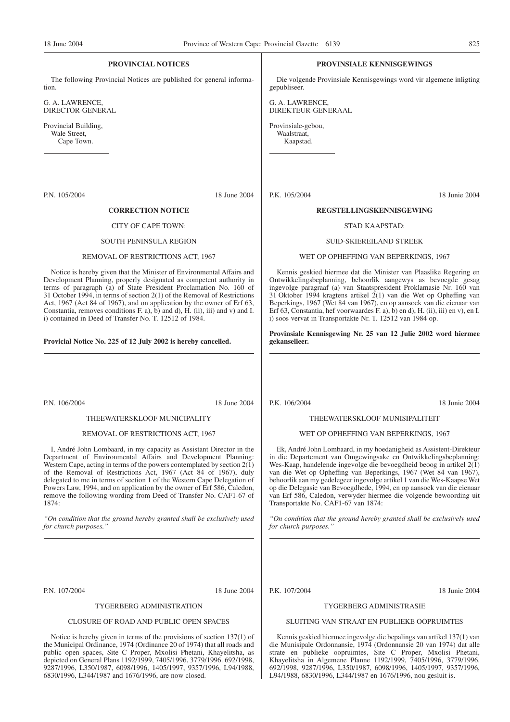#### **PROVINCIAL NOTICES**

The following Provincial Notices are published for general information.

G. A. LAWRENCE, DIRECTOR-GENERAL

Provincial Building, Wale Street, Cape Town.

P.N. 105/2004 18 June 2004

#### **CORRECTION NOTICE**

#### CITY OF CAPE TOWN:

#### SOUTH PENINSULA REGION

#### REMOVAL OF RESTRICTIONS ACT, 1967

Notice is hereby given that the Minister of Environmental Affairs and Development Planning, properly designated as competent authority in terms of paragraph (a) of State President Proclamation No. 160 of 31 October 1994, in terms of section 2(1) of the Removal of Restrictions Act, 1967 (Act 84 of 1967), and on application by the owner of Erf 63, Constantia, removes conditions  $F$ . a),  $\overline{b}$  and d),  $\overline{H}$ . (ii), iii) and v) and I. i) contained in Deed of Transfer No. T. 12512 of 1984.

#### **Provicial Notice No. 225 of 12 July 2002 is hereby cancelled.**

P.N. 106/2004 18 June 2004

#### THEEWATERSKLOOF MUNICIPALITY

#### REMOVAL OF RESTRICTIONS ACT, 1967

I, André John Lombaard, in my capacity as Assistant Director in the Department of Environmental Affairs and Development Planning: Western Cape, acting in terms of the powers contemplated by section  $2(\tilde{1})$ of the Removal of Restrictions Act, 1967 (Act 84 of 1967), duly delegated to me in terms of section 1 of the Western Cape Delegation of Powers Law, 1994, and on application by the owner of Erf 586, Caledon, remove the following wording from Deed of Transfer No. CAF1-67 of 1874:

*''On condition that the ground hereby granted shall be exclusively used for church purposes.''*

P.N. 107/2004 18 June 2004

#### TYGERBERG ADMINISTRATION

#### CLOSURE OF ROAD AND PUBLIC OPEN SPACES

Notice is hereby given in terms of the provisions of section 137(1) of the Municipal Ordinance, 1974 (Ordinance 20 of 1974) that all roads and public open spaces, Site C Proper, Mxolisi Phetani, Khayelitsha, as depicted on General Plans 1192/1999, 7405/1996, 3779/1996. 692/1998, 9287/1996, L350/1987, 6098/1996, 1405/1997, 9357/1996, L94/1988, 6830/1996, L344/1987 and 1676/1996, are now closed.

#### **PROVINSIALE KENNISGEWINGS**

Die volgende Provinsiale Kennisgewings word vir algemene inligting gepubliseer.

G. A. LAWRENCE, DIREKTEUR-GENERAAL

Provinsiale-gebou, Waalstraat, Kaapstad.

P.K. 105/2004 18 Junie 2004

#### **REGSTELLINGSKENNISGEWING**

#### STAD KAAPSTAD:

#### SUID-SKIEREILAND STREEK

#### WET OP OPHEFFING VAN BEPERKINGS, 1967

Kennis geskied hiermee dat die Minister van Plaaslike Regering en Ontwikkelingsbeplanning, behoorlik aangewys as bevoegde gesag ingevolge paragraaf (a) van Staatspresident Proklamasie Nr. 160 van 31 Oktober 1994 kragtens artikel 2(1) van die Wet op Opheffing van Beperkings, 1967 (Wet 84 van 1967), en op aansoek van die eienaar van Erf 63, Constantia, hef voorwaardes F. a), b) en d), H. (ii), iii) en v), en I. i) soos vervat in Transportakte Nr. T. 12512 van 1984 op.

**Provinsiale Kennisgewing Nr. 25 van 12 Julie 2002 word hiermee gekanselleer.**

P.K. 106/2004 18 Junie 2004

#### THEEWATERSKLOOF MUNISIPALITEIT

#### WET OP OPHEFFING VAN BEPERKINGS, 1967

Ek, André John Lombaard, in my hoedanigheid as Assistent-Direkteur in die Departement van Omgewingsake en Ontwikkelingsbeplanning: Wes-Kaap, handelende ingevolge die bevoegdheid beoog in artikel  $2(1)$ van die Wet op Opheffing van Beperkings, 1967 (Wet 84 van 1967), behoorlik aan my gedelegeer ingevolge artikel 1 van die Wes-Kaapse Wet op die Delegasie van Bevoegdhede, 1994, en op aansoek van die eienaar van Erf 586, Caledon, verwyder hiermee die volgende bewoording uit Transportakte No. CAF1-67 van 1874:

*''On condition that the ground hereby granted shall be exclusively used for church purposes.''*

P.K. 107/2004 18 Junie 2004

#### TYGERBERG ADMINISTRASIE

#### SLUITING VAN STRAAT EN PUBLIEKE OOPRUIMTES

Kennis geskied hiermee ingevolge die bepalings van artikel 137(1) van die Munisipale Ordonnansie, 1974 (Ordonnansie 20 van 1974) dat alle strate en publieke oopruimtes, Site C Proper, Mxolisi Phetani, Khayelitsha in Algemene Planne 1192/1999, 7405/1996, 3779/1996. 692/1998, 9287/1996, L350/1987, 6098/1996, 1405/1997, 9357/1996, L94/1988, 6830/1996, L344/1987 en 1676/1996, nou gesluit is.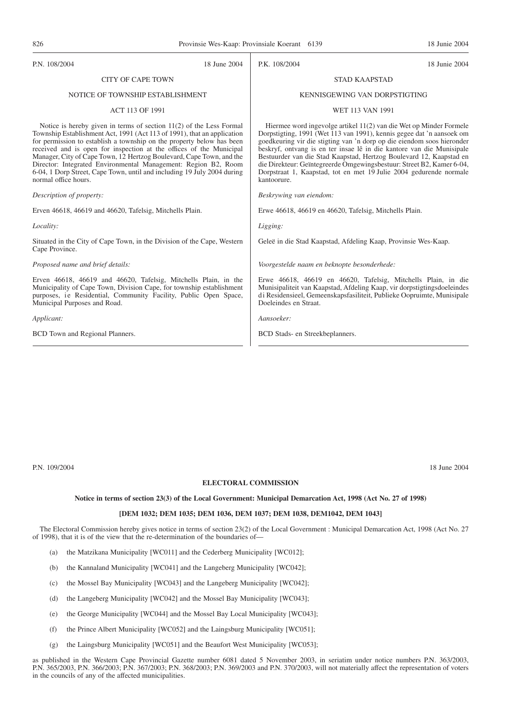#### P.N. 108/2004 18 June 2004 CITY OF CAPE TOWN NOTICE OF TOWNSHIP ESTABLISHMENT ACT 113 OF 1991 Notice is hereby given in terms of section 11(2) of the Less Formal Township Establishment Act, 1991 (Act 113 of 1991), that an application for permission to establish a township on the property below has been received and is open for inspection at the offices of the Municipal Manager, City of Cape Town, 12 Hertzog Boulevard, Cape Town, and the Director: Integrated Environmental Management: Region B2, Room 6-04, 1 Dorp Street, Cape Town, until and including 19 July 2004 during normal office hours. *Description of property:* Erven 46618, 46619 and 46620, Tafelsig, Mitchells Plain. *Locality:* Situated in the City of Cape Town, in the Division of the Cape, Western Cape Province. *Proposed name and brief details:* Erven 46618, 46619 and 46620, Tafelsig, Mitchells Plain, in the Municipality of Cape Town, Division Cape, for township establishment purposes, ie Residential, Community Facility, Public Open Space, Municipal Purposes and Road. *Applicant:* BCD Town and Regional Planners. P.K. 108/2004 18 Junie 2004 STAD KAAPSTAD KENNISGEWING VAN DORPSTIGTING WET 113 VAN 1991 Hiermee word ingevolge artikel 11(2) van die Wet op Minder Formele Dorpstigting, 1991 (Wet 113 van 1991), kennis gegee dat 'n aansoek om goedkeuring vir die stigting van 'n dorp op die eiendom soos hieronder beskryf, ontvang is en ter insae lê in die kantore van die Munisipale Bestuurder van die Stad Kaapstad, Hertzog Boulevard 12, Kaapstad en die Direkteur: Geïntegreerde Omgewingsbestuur: Street B2, Kamer 6-04, Dorpstraat 1, Kaapstad, tot en met 19 Julie 2004 gedurende normale kantoorure. *Beskrywing van eiendom:* Erwe 46618, 46619 en 46620, Tafelsig, Mitchells Plain. *Ligging:* Geleë in die Stad Kaapstad, Afdeling Kaap, Provinsie Wes-Kaap. *Voorgestelde naam en beknopte besonderhede:* Erwe 46618, 46619 en 46620, Tafelsig, Mitchells Plain, in die Munisipaliteit van Kaapstad, Afdeling Kaap, vir dorpstigtingsdoeleindes di Residensieel, Gemeenskapsfasiliteit, Publieke Oopruimte, Munisipale Doeleindes en Straat. *Aansoeker:* BCD Stads- en Streekbeplanners.

P.N. 109/2004 18 June 2004 18 June 2004 18 June 2004 18 June 2004 18 June 2004 18 June 2004

#### **ELECTORAL COMMISSION**

#### **Notice in terms of section 23(3) of the Local Government: Municipal Demarcation Act, 1998 (Act No. 27 of 1998)**

## **[DEM 1032; DEM 1035; DEM 1036, DEM 1037; DEM 1038, DEM1042, DEM 1043]**

The Electoral Commission hereby gives notice in terms of section 23(2) of the Local Government : Municipal Demarcation Act, 1998 (Act No. 27 of 1998), that it is of the view that the re-determination of the boundaries of—

- (a) the Matzikana Municipality [WC011] and the Cederberg Municipality [WC012];
- (b) the Kannaland Municipality [WC041] and the Langeberg Municipality [WC042];
- (c) the Mossel Bay Municipality [WC043] and the Langeberg Municipality [WC042];
- (d) the Langeberg Municipality [WC042] and the Mossel Bay Municipality [WC043];
- (e) the George Municipality [WC044] and the Mossel Bay Local Municipality [WC043];
- (f) the Prince Albert Municipality [WC052] and the Laingsburg Municipality [WC051];
- (g) the Laingsburg Municipality [WC051] and the Beaufort West Municipality [WC053];

as published in the Western Cape Provincial Gazette number 6081 dated 5 November 2003, in seriatim under notice numbers P.N. 363/2003, P.N. 365/2003, P.N. 366/2003; P.N. 367/2003; P.N. 368/2003; P.N. 369/2003 and P.N. 370/2003, will not materially affect the representation of voters in the councils of any of the affected municipalities.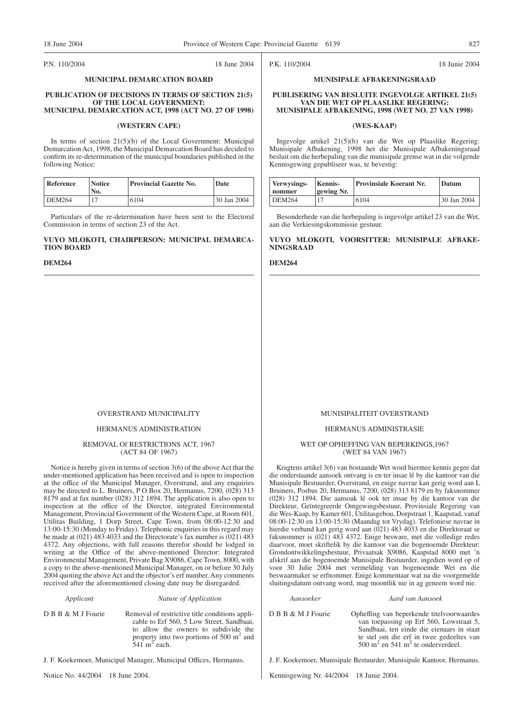#### P.N. 110/2004 18 June 2004

#### **MUNICIPAL DEMARCATION BOARD**

#### **PUBLICATION OF DECISIONS IN TERMS OF SECTION 21(5) OF THE LOCAL GOVERNMENT: MUNICIPAL DEMARCATION ACT, 1998 (ACT NO. 27 OF 1998)**

#### **(WESTERN CAPE)**

In terms of section 21(5)(b) of the Local Government: Municipal Demarcation Act, 1998, the Municipal Demarcation Board has decided to confirm its re-determination of the municipal boundaries published in the following Notice:

| Reference | <b>Notice</b><br>No. | <b>Provincial Gazette No.</b> | Date        |
|-----------|----------------------|-------------------------------|-------------|
| DEM264    |                      | 6104                          | 30 Jan 2004 |

Particulars of the re-determination have been sent to the Electoral Commission in terms of section 23 of the Act.

#### **VUYO MLOKOTI, CHAIRPERSON: MUNICIPAL DEMARCA-TION BOARD**

#### **DEM264**

#### OVERSTRAND MUNICIPALITY

#### HERMANUS ADMINISTRATION

#### REMOVAL Of RESTRICTIONS ACT, 1967 (ACT 84 OF 1967)

Notice is hereby given in terms of section 3(6) of the above Act that the under-mentioned application has been received and is open to inspection at the office of the Municipal Manager, Overstrand, and any enquiries may be directed to L. Bruiners, P O Box 20, Hermanus, 7200, (028) 313 8179 and at fax number (028) 312 1894. The application is also open to inspection at the office of the Director, integrated Environmental Management, Provincial Government of the Western Cape, at Room 601, Utilitas Building, 1 Dorp Street, Cape Town, from 08:00-12:30 and 13:00-15:30 (Monday to Friday). Telephonic enquiries in this regard may be made at  $(021)$  483 4033 and the Directorate's fax number is  $(021)$  483 4372. Any objections, with full reasons therefor should be lodged in writing at the Office of the above-mentioned Director: Integrated Environmental Management, Private Bag X9086, Cape Town, 8000, with a copy to the above-mentioned Municipal Manager, on or before 30 July 2004 quoting the above Act and the objector's erf number. Any comments received after the aforementioned closing date may be disregarded.

#### *Applicant Nature of Application*

D B B & M J Fourie Removal of restrictive title conditions applicable to Erf 560, 5 Low Street, Sandbaai, to allow the owners to subdivide the property into two portions of 500 m<sup>2</sup> and  $541 \text{ m}^2$  each.

J. F. Koekemoer, Municipal Manager, Municipal Offices, Hermanus.

Notice No. 44/2004 18 June 2004.

#### MUNISIPALITEIT OVERSTRAND

#### HERMANUS ADMINISTRASIE

#### WET OP OPHEFFING VAN BEPERKINGS,1967 (WET 84 VAN 1967)

Kragtens artikel 3(6) van bostaande Wet word hiermee kennis gegee dat die onderstaande aansoek ontvang is en ter insae lê by die kantoor van die Munisipale Bestuurder, Overstrand, en enige navrae kan gerig word aan L Bruiners, Posbus 20, Hermanus, 7200, (028) 313 8179 en by faksnommer (028) 312 1894. Die aansoak lê ook ter insae by die kantoor van die Direkteur, Geïntegreerde Omgewingsbestuur, Provinsiale Regering van die Wes-Kaap, by Kamer 601, Utilitasgebou, Dorpstraat 1, Kaapstad, vanaf 08:00-12:30 en 13:00-15:30 (Maandag tot Vrydag). Telefoniese navrae in hierdie verband kan gerig word aan (021) 483 4033 en die Direktoraat se faksnommer is (021) 483 4372. Enige besware, met die volledige redes daarvoor, moet skriftelik by die kantoor van die bogenoemde Direkteur: Grondontwikkelingsbestuur, Privaatsak X9086, Kaapstad 8000 met 'n afskrif aan die bogenoemde Munisipale Bestuurder, ingedien word op of voor 30 Julie 2004 met vermelding van bogenoemde Wet en die beswaarmaker se erfnommer. Enige kommentaar wat na die voorgemelde sluitingsdatum ontvang word, mag moontlik nie in ag geneem word nie.

#### *Aansoeker Aard van Aansoek*

D B B & M J Fourie Opheffing van beperkende titelvoorwaardes van toepassing op Erf 560, Lowstraat 5, Sandbaai, ten einde die eienaars in staat te stel om die erf in twee gedeeltes van 500 m<sup>2</sup> en 541 m<sup>2</sup> te onderverdeel.

J. F. Koekemoer, Munisipale Bestuurder, Munisipale Kantoor, Hermanus.

Kennisgewing Nr. 44/2004 18 Junie 2004.

P.K. 110/2004 18 Junie 2004

#### **MUNISIPALE AFBAKENINGSRAAD**

#### **PUBLISERING VAN BESLUITE INGEVOLGE ARTIKEL 21(5) VAN DIE WET OP PLAASLIKE REGERING: MUNISIPALE AFBAKENING, 1998 (WET NO. 27 VAN 1998)**

#### **(WES-KAAP)**

Ingevolge artikel 21(5)(b) van die Wet op Plaaslike Regering: Munisipale Afbakening, 1998 het die Munisipale Afbakeningsraad besluit om die herbepaling van die munisipale grense wat in die volgende Kennisgewing gepubliseer was, te bevestig:

| Verwysings-<br>nommer | <b>Kennis-</b><br>gewing Nr. | <b>Provinsiale Koerant Nr.</b> | Datum       |
|-----------------------|------------------------------|--------------------------------|-------------|
| DEM264                |                              | 6104                           | 30 Jan 2004 |

Besonderhede van die herbepaling is ingevolge artikel 23 van die Wet, aan die Verkiesingskommissie gestuur.

#### **VUYO MLOKOTI, VOORSITTER: MUNISIPALE AFBAKE-NINGSRAAD**

#### **DEM264**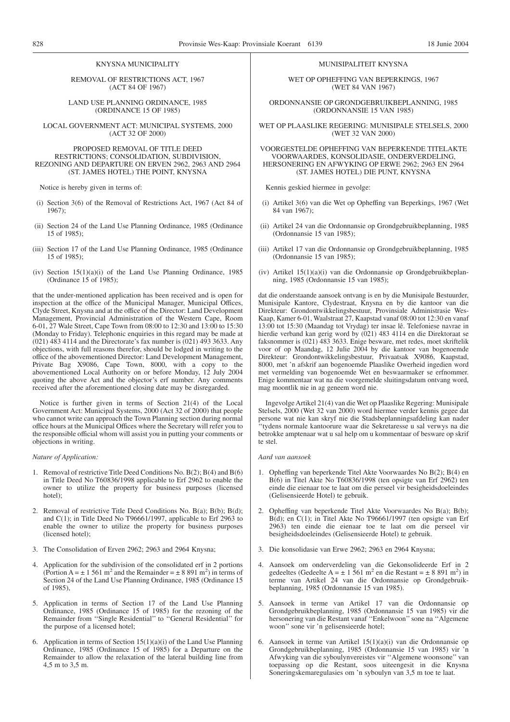#### KNYSNA MUNICIPALITY

REMOVAL OF RESTRICTIONS ACT, 1967 (ACT 84 OF 1967)

LAND USE PLANNING ORDINANCE, 1985 (ORDINANCE 15 OF 1985)

LOCAL GOVERNMENT ACT: MUNICIPAL SYSTEMS, 2000 (ACT 32 OF 2000)

#### PROPOSED REMOVAL OF TITLE DEED RESTRICTIONS; CONSOLIDATION, SUBDIVISION, REZONING AND DEPARTURE ON ERVEN 2962, 2963 AND 2964 (ST. JAMES HOTEL) THE POINT, KNYSNA

Notice is hereby given in terms of:

- (i) Section 3(6) of the Removal of Restrictions Act, 1967 (Act 84 of 1967);
- (ii) Section 24 of the Land Use Planning Ordinance, 1985 (Ordinance 15 of 1985);
- (iii) Section 17 of the Land Use Planning Ordinance, 1985 (Ordinance 15 of 1985);
- (iv) Section  $15(1)(a)(i)$  of the Land Use Planning Ordinance, 1985 (Ordinance 15 of 1985);

that the under-mentioned application has been received and is open for inspection at the office of the Municipal Manager, Municipal Offices, Clyde Street, Knysna and at the office of the Director: Land Development Management, Provincial Administration of the Western Cape, Room 6-01, 27 Wale Street, Cape Town from 08:00 to 12:30 and 13:00 to 15:30 (Monday to Friday). Telephonic enquiries in this regard may be made at (021) 483 4114 and the Directorate's fax number is (021) 493 3633. Any objections, with full reasons therefor, should be lodged in writing to the office of the abovementioned Director: Land Development Management, Private Bag X9086, Cape Town, 8000, with a copy to the abovementioned Local Authority on or before Monday, 12 July 2004 quoting the above Act and the objector's erf number. Any comments received after the aforementioned closing date may be disregarded.

Notice is further given in terms of Section 21(4) of the Local Government Act: Municipal Systems, 2000 (Act 32 of 2000) that people who cannot write can approach the Town Planning section during normal office hours at the Municipal Offices where the Secretary will refer you to the responsible official whom will assist you in putting your comments or objections in writing.

#### *Nature of Application:*

- 1. Removal of restrictive Title Deed Conditions No. B(2); B(4) and B(6) in Title Deed No T60836/1998 applicable to Erf 2962 to enable the owner to utilize the property for business purposes (licensed hotel);
- 2. Removal of restrictive Title Deed Conditions No. B(a); B(b); B(d); and C(1); in Title Deed No T96661/1997, applicable to Erf 2963 to enable the owner to utilize the property for business purposes (licensed hotel);
- 3. The Consolidation of Erven 2962; 2963 and 2964 Knysna;
- 4. Application for the subdivision of the consolidated erf in 2 portions (Portion A =  $\pm$  1 561 m<sup>2</sup> and the Remainder =  $\pm$  8 891 m<sup>2</sup>) in terms of Section 24 of the Land Use Planning Ordinance, 1985 (Ordinance 15 of 1985),
- 5. Application in terms of Section 17 of the Land Use Planning Ordinance, 1985 (Ordinance 15 of 1985) for the rezoning of the Remainder from ''Single Residential'' to ''General Residential'' for the purpose of a licensed hotel;
- 6. Application in terms of Section  $15(1)(a)(i)$  of the Land Use Planning Ordinance, 1985 (Ordinance 15 of 1985) for a Departure on the Remainder to allow the relaxation of the lateral building line from 4,5 m to 3,5 m.

#### MUNISIPALITEIT KNYSNA

WET OP OPHEFFING VAN BEPERKINGS, 1967 (WET 84 VAN 1967)

ORDONNANSIE OP GRONDGEBRUIKBEPLANNING, 1985 (ORDONNANSIE 15 VAN 1985)

WET OP PLAASLIKE REGERING: MUNISIPALE STELSELS, 2000 (WET 32 VAN 2000)

VOORGESTELDE OPHEFFING VAN BEPERKENDE TITELAKTE VOORWAARDES, KONSOLIDASIE, ONDERVERDELING, HERSONERING EN AFWYKING OP ERWE 2962; 2963 EN 2964 (ST. JAMES HOTEL) DIE PUNT, KNYSNA

Kennis geskied hiermee in gevolge:

- (i) Artikel 3(6) van die Wet op Opheffing van Beperkings, 1967 (Wet 84 van 1967);
- (ii) Artikel 24 van die Ordonnansie op Grondgebruikbeplanning, 1985 (Ordonnansie 15 van 1985);
- (iii) Artikel 17 van die Ordonnansie op Grondgebruikbeplanning, 1985 (Ordonnansie 15 van 1985);
- (iv) Artikel 15(1)(a)(i) van die Ordonnansie op Grondgebruikbeplanning, 1985 (Ordonnansie 15 van 1985);

dat die onderstaande aansoek ontvang is en by die Munisipale Bestuurder, Munisipale Kantore, Clydestraat, Knysna en by die kantoor van die Direkteur: Grondontwikkelingsbestuur, Provinsiale Administrasie Wes-Kaap, Kamer 6-01, Waalstraat 27, Kaapstad vanaf 08:00 tot 12:30 en vanaf 13:00 tot 15:30 (Maandag tot Vrydag) ter insae lê. Telefoniese navrae in hierdie verband kan gerig word by (021) 483 4114 en die Direktoraat se faksnommer is (021) 483 3633. Enige besware, met redes, moet skriftelik voor of op Maandag, 12 Julie 2004 by die kantoor van bogenoemde Direkteur: Grondontwikkelingsbestuur, Privaatsak X9086, Kaapstad, 8000, met 'n afskrif aan bogenoemde Plaaslike Owerheid ingedien word met vermelding van bogenoemde Wet en beswaarmaker se erfnommer. Enige kommentaar wat na die voorgemelde sluitingsdatum ontvang word, mag moontlik nie in ag geneem word nie.

Ingevolge Artikel 21(4) van die Wet op Plaaslike Regering: Munisipale Stelsels, 2000 (Wet 32 van 2000) word hiermee verder kennis gegee dat persone wat nie kan skryf nie die Stadsbeplanningsafdeling kan nader ''tydens normale kantoorure waar die Sekretaresse u sal verwys na die betrokke amptenaar wat u sal help om u kommentaar of besware op skrif te stel.

#### *Aard van aansoek*

- 1. Opheffing van beperkende Titel Akte Voorwaardes No B(2); B(4) en B(6) in Titel Akte No T60836/1998 (ten opsigte van Erf 2962) ten einde die eienaar toe te laat om die perseel vir besigheidsdoeleindes (Gelisensieerde Hotel) te gebruik.
- 2. Opheffing van beperkende Titel Akte Voorwaardes No B(a); B(b); B(d); en C(1); in Titel Akte No T96661/1997 (ten opsigte van Erf 2963) ten einde die eienaar toe te laat om die perseel vir besigheidsdoeleindes (Gelisensieerde Hotel) te gebruik.
- 3. Die konsolidasie van Erwe 2962; 2963 en 2964 Knysna;
- 4. Aansoek om onderverdeling van die Gekonsolideerde Erf in 2 gedeeltes (Gedeelte A =  $\pm$  1 561 m<sup>2</sup> en die Restant =  $\pm$  8 891 m<sup>2</sup>) in terme van Artikel 24 van die Ordonnansie op Grondgebruikbeplanning, 1985 (Ordonnansie 15 van 1985).
- 5. Aansoek in terme van Artikel 17 van die Ordonnansie op Grondgebruikbeplanning, 1985 (Ordonnansie 15 van 1985) vir die hersonering van die Restant vanaf ''Enkelwoon'' sone na ''Algemene woon'' sone vir 'n gelisensieerde hotel;
- 6. Aansoek in terme van Artikel 15(1)(a)(i) van die Ordonnansie op Grondgebruikbeplanning, 1985 (Ordonnansie 15 van 1985) vir 'n Afwyking van die syboulynvereistes vir ''Algemene woonsone'' van toepassing op die Restant, soos uiteengesit in die Knysna Soneringskemaregulasies om 'n syboulyn van 3,5 m toe te laat.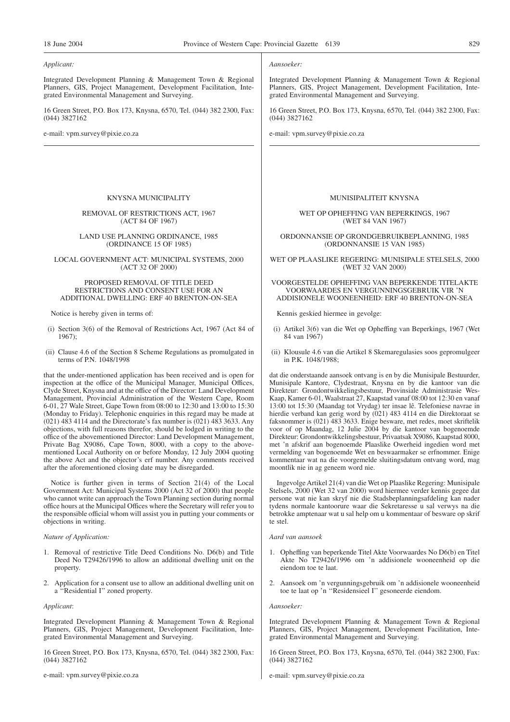#### *Applicant:*

Integrated Development Planning & Management Town & Regional Planners, GIS, Project Management, Development Facilitation, Integrated Environmental Management and Surveying.

16 Green Street, P.O. Box 173, Knysna, 6570, Tel. (044) 382 2300, Fax: (044) 3827162

e-mail: vpm.survey@pixie.co.za

#### KNYSNA MUNICIPALITY

#### REMOVAL OF RESTRICTIONS ACT, 1967 (ACT 84 OF 1967)

#### LAND USE PLANNING ORDINANCE, 1985 (ORDINANCE 15 OF 1985)

#### LOCAL GOVERNMENT ACT: MUNICIPAL SYSTEMS, 2000 (ACT 32 OF 2000)

#### PROPOSED REMOVAL OF TITLE DEED RESTRICTIONS AND CONSENT USE FOR AN ADDITIONAL DWELLING: ERF 40 BRENTON-ON-SEA

Notice is hereby given in terms of:

- (i) Section 3(6) of the Removal of Restrictions Act, 1967 (Act 84 of 1967);
- (ii) Clause 4.6 of the Section 8 Scheme Regulations as promulgated in terms of P.N. 1048/1998

that the under-mentioned application has been received and is open for inspection at the office of the Municipal Manager, Municipal Offices, Clyde Street, Knysna and at the office of the Director: Land Development Management, Provincial Administration of the Western Cape, Room 6-01, 27 Wale Street, Gape Town from 08:00 to 12:30 and 13:00 to 15:30 (Monday to Friday). Telephonic enquiries in this regard may be made at (021) 483 4114 and the Directorate's fax number is (021) 483 3633. Any objections, with full reasons therefor, should be lodged in writing to the office of the abovementioned Director: Land Development Management, Private Bag X9086, Cape Town, 8000, with a copy to the abovementioned Local Authority on or before Monday, 12 July 2004 quoting the above Act and the objector's erf number. Any comments received after the aforementioned closing date may be disregarded.

Notice is further given in terms of Section 21(4) of the Local Government Act: Municipal Systems 2000 (Act 32 of 2000) that people who cannot write can approach the Town Planning section during normal office hours at the Municipal Offices where the Secretary will refer you to the responsible official whom will assist you in putting your comments or objections in writing.

#### *Nature of Application:*

- 1. Removal of restrictive Title Deed Conditions No. D6(b) and Title Deed No T29426/1996 to allow an additional dwelling unit on the property.
- 2. Application for a consent use to allow an additional dwelling unit on a ''Residential I'' zoned property.

#### *Applicant*:

Integrated Development Planning & Management Town & Regional Planners, GIS, Project Management, Development Facilitation, Integrated Environmental Management and Surveying.

16 Green Street, P.O. Box 173, Knysna, 6570, Tel. (044) 382 2300, Fax: (044) 3827162

e-mail: vpm.survey@pixie.co.za

#### *Aansoeker:*

Integrated Development Planning & Management Town & Regional Planners, GIS, Project Management, Development Facilitation, Integrated Environmental Management and Surveying.

16 Green Street, P.O. Box 173, Knysna, 6570, Tel. (044) 382 2300, Fax: (044) 3827162

e-mail: vpm.survey@pixie.co.za

#### MUNISIPALITEIT KNYSNA

WET OP OPHEFFING VAN BEPERKINGS, 1967 (WET 84 VAN 1967)

ORDONNANSIE OP GRONDGEBRUIKBEPLANNING, 1985 (ORDONNANSIE 15 VAN 1985)

WET OP PLAASLIKE REGERING: MUNISIPALE STELSELS, 2000 (WET 32 VAN 2000)

#### VOORGESTELDE OPHEFFING VAN BEPERKENDE TITELAKTE VOORWAARDES EN VERGUNNINGSGEBRUIK VIR 'N ADDISIONELE WOONEENHEID: ERF 40 BRENTON-ON-SEA

Kennis geskied hiermee in gevolge:

- (i) Artikel 3(6) van die Wet op Opheffing van Beperkings, 1967 (Wet 84 van 1967)
- (ii) Klousule 4.6 van die Artikel 8 Skemaregulasies soos gepromulgeer in P.K. 1048/1988;

dat die onderstaande aansoek ontvang is en by die Munisipale Bestuurder, Munisipale Kantore, Clydestraat, Knysna en by die kantoor van die Direkteur: Grondontwikkelingsbestuur, Provinsiale Administrasie Wes-Kaap, Kamer 6-01, Waalstraat 27, Kaapstad vanaf 08:00 tot 12:30 en vanaf 13:00 tot 15:30 (Maandag tot Vrydag) ter insae lê. Telefoniese navrae in hierdie verband kan gerig word by (021) 483 4114 en die Direktoraat se faksnommer is (021) 483 3633. Enige besware, met redes, moet skriftelik voor of op Maandag, 12 Julie 2004 by die kantoor van bogenoemde Direkteur: Grondontwikkelingsbestuur, Privaatsak X9086, Kaapstad 8000, met 'n afskrif aan bogenoemde Plaaslike Owerheid ingedien word met vermelding van bogenoemde Wet en beswaarmaker se erfnommer. Enige kommentaar wat na die voorgemelde sluitingsdatum ontvang word, mag moontlik nie in ag geneem word nie.

Ingevolge Artikel 21(4) van die Wet op Plaaslike Regering: Munisipale Stelsels, 2000 (Wet 32 van 2000) word hiermee verder kennis gegee dat persone wat nie kan skryf nie die Stadsbeplanningsafdeling kan nader tydens normale kantoorure waar die Sekretaresse u sal verwys na die betrokke amptenaar wat u sal help om u kommentaar of besware op skrif te stel.

#### *Aard van aansoek*

- 1. Opheffing van beperkende Titel Akte Voorwaardes No D6(b) en Titel Akte No T29426/1996 om 'n addisionele wooneenheid op die eiendom toe te laat.
- 2. Aansoek om 'n vergunningsgebruik om 'n addisionele wooneenheid toe te laat op 'n ''Residensieel I'' gesoneerde eiendom.

#### *Aansoeker:*

Integrated Development Planning & Management Town & Regional Planners, GIS, Project Management, Development Facilitation, Integrated Environmental Management and Surveying.

16 Green Street, P.O. Box 173, Knysna, 6570, Tel. (044) 382 2300, Fax: (044) 3827162

e-mail: vpm.survey@pixie.co.za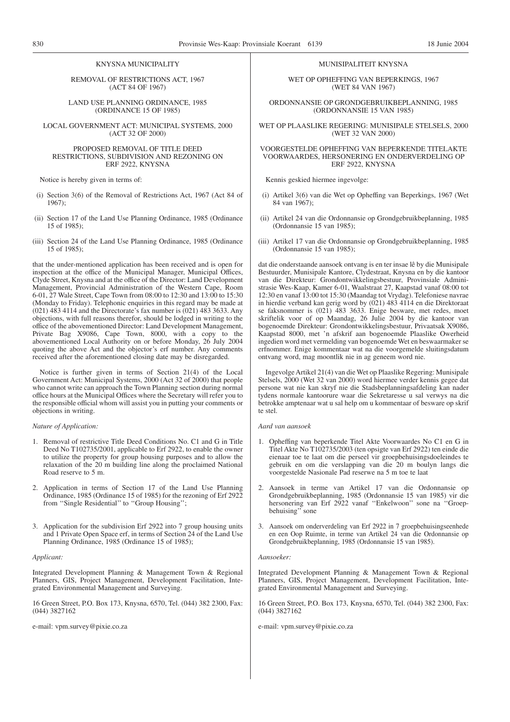#### KNYSNA MUNICIPALITY

REMOVAL OF RESTRICTIONS ACT, 1967 (ACT 84 OF 1967)

LAND USE PLANNING ORDINANCE, 1985 (ORDINANCE 15 OF 1985)

LOCAL GOVERNMENT ACT: MUNICIPAL SYSTEMS, 2000 (ACT 32 OF 2000)

#### PROPOSED REMOVAL OF TITLE DEED RESTRICTIONS, SUBDIVISION AND REZONING ON ERF 2922, KNYSNA

Notice is hereby given in terms of:

- (i) Section 3(6) of the Removal of Restrictions Act, 1967 (Act 84 of 1967);
- (ii) Section 17 of the Land Use Planning Ordinance, 1985 (Ordinance 15 of 1985);
- (iii) Section 24 of the Land Use Planning Ordinance, 1985 (Ordinance 15 of 1985);

that the under-mentioned application has been received and is open for inspection at the office of the Municipal Manager, Municipal Offices, Clyde Street, Knysna and at the office of the Director: Land Development Management, Provincial Administration of the Western Cape, Room 6-01, 27 Wale Street, Cape Town from 08:00 to 12:30 and 13:00 to 15:30 (Monday to Friday). Telephonic enquiries in this regard may be made at (021) 483 4114 and the Directorate's fax number is (021) 483 3633. Any objections, with full reasons therefor, should be lodged in writing to the office of the abovementioned Director: Land Development Management, Private Bag X9086, Cape Town, 8000, with a copy to the abovementioned Local Authority on or before Monday, 26 July 2004 quoting the above Act and the objector's erf number. Any comments received after the aforementioned closing date may be disregarded.

Notice is further given in terms of Section 21(4) of the Local Government Act: Municipal Systems, 2000 (Act 32 of 2000) that people who cannot write can approach the Town Planning section during normal office hours at the Municipal Offices where the Secretary will refer you to the responsible official whom will assist you in putting your comments or objections in writing.

#### *Nature of Application:*

- 1. Removal of restrictive Title Deed Conditions No. C1 and G in Title Deed No T102735/2001, applicable to Erf 2922, to enable the owner to utilize the property for group housing purposes and to allow the relaxation of the 20 m building line along the proclaimed National Road reserve to 5 m.
- 2. Application in terms of Section 17 of the Land Use Planning Ordinance, 1985 (Ordinance 15 of 1985) for the rezoning of Erf 2922 from ''Single Residential'' to ''Group Housing'';
- 3. Application for the subdivision Erf 2922 into 7 group housing units and 1 Private Open Space erf, in terms of Section 24 of the Land Use Planning Ordinance, 1985 (Ordinance 15 of 1985);

#### *Applicant:*

Integrated Development Planning & Management Town & Regional Planners, GIS, Project Management, Development Facilitation, Integrated Environmental Management and Surveying.

16 Green Street, P.O. Box 173, Knysna, 6570, Tel. (044) 382 2300, Fax: (044) 3827162

e-mail: vpm.survey@pixie.co.za

#### MUNISIPALITEIT KNYSNA

WET OP OPHEFFING VAN BEPERKINGS, 1967 (WET 84 VAN 1967)

ORDONNANSIE OP GRONDGEBRUIKBEPLANNING, 1985 (ORDONNANSIE 15 VAN 1985)

WET OP PLAASLIKE REGERING: MUNISIPALE STELSELS, 2000 (WET 32 VAN 2000)

#### VOORGESTELDE OPHEFFING VAN BEPERKENDE TITELAKTE VOORWAARDES, HERSONERING EN ONDERVERDELING OP ERF 2922, KNYSNA

Kennis geskied hiermee ingevolge:

- (i) Artikel 3(6) van die Wet op Opheffing van Beperkings, 1967 (Wet 84 van 1967);
- (ii) Artikel 24 van die Ordonnansie op Grondgebruikbeplanning, 1985 (Ordonnansie 15 van 1985);
- (iii) Artikel 17 van die Ordonnansie op Grondgebruikbeplanning, 1985 (Ordonnansie 15 van 1985);

dat die onderstaande aansoek ontvang is en ter insae lê by die Munisipale Bestuurder, Munisipale Kantore, Clydestraat, Knysna en by die kantoor van die Direkteur: Grondontwikkelingsbestuur, Provinsiale Administrasie Wes-Kaap, Kamer 6-01, Waalstraat 27, Kaapstad vanaf 08:00 tot 12:30 en vanaf 13:00 tot 15:30 (Maandag tot Vrydag). Telefoniese navrae in hierdie verband kan gerig word by (021) 483 4114 en die Direktoraat se faksnommer is (021) 483 3633. Enige besware, met redes, moet skriftelik voor of op Maandag, 26 Julie 2004 by die kantoor van bogenoemde Direkteur: Grondontwikkelingsbestuur, Privaatsak X9086, Kaapstad 8000, met 'n afskrif aan bogenoemde Plaaslike Owerheid ingedien word met vermelding van bogenoemde Wet en beswaarmaker se erfnommer. Enige kommentaar wat na die voorgemelde sluitingsdatum ontvang word, mag moontlik nie in ag geneem word nie.

Ingevolge Artikel 21(4) van die Wet op Plaaslike Regering: Munisipale Stelsels, 2000 (Wet 32 van 2000) word hiermee verder kennis gegee dat persone wat nie kan skryf nie die Stadsbeplanningsafdeling kan nader tydens normale kantoorure waar die Sekretaresse u sal verwys na die betrokke amptenaar wat u sal help om u kommentaar of besware op skrif te stel.

#### *Aard van aansoek*

- 1. Opheffing van beperkende Titel Akte Voorwaardes No C1 en G in Titel Akte No T102735/2003 (ten opsigte van Erf 2922) ten einde die eienaar toe te laat om die perseel vir groepbehuisingsdoeleindes te gebruik en om die verslapping van die 20 m boulyn langs die voorgestelde Nasionale Pad reserwe na 5 m toe te laat
- 2. Aansoek in terme van Artikel 17 van die Ordonnansie op Grondgebruikbeplanning, 1985 (Ordonnansie 15 van 1985) vir die hersonering van Erf 2922 vanaf ''Enkelwoon'' sone na ''Groepbehuising'' sone
- 3. Aansoek om onderverdeling van Erf 2922 in 7 groepbehuisingseenhede en een Oop Ruimte, in terme van Artikel 24 van die Ordonnansie op Grondgebruikbeplanning, 1985 (Ordonnansie 15 van 1985).

#### *Aansoeker:*

Integrated Development Planning & Management Town & Regional Planners, GIS, Project Management, Development Facilitation, Integrated Environmental Management and Surveying.

16 Green Street, P.O. Box 173, Knysna, 6570, Tel. (044) 382 2300, Fax: (044) 3827162

e-mail: vpm.survey@pixie.co.za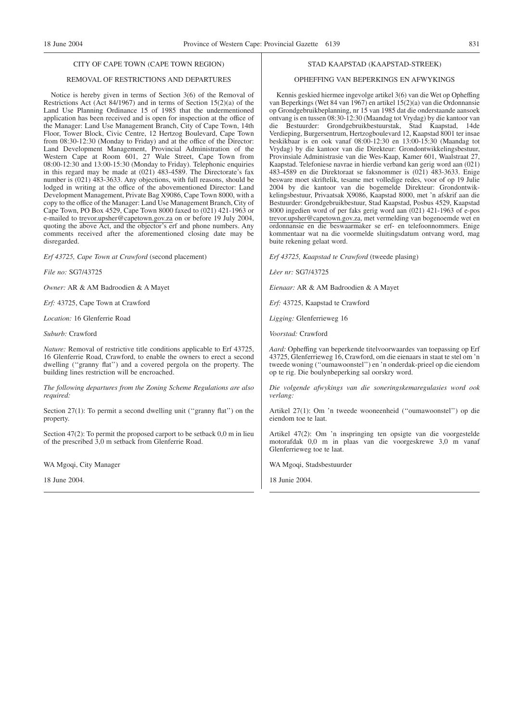#### CITY OF CAPE TOWN (CAPE TOWN REGION)

#### REMOVAL OF RESTRICTIONS AND DEPARTURES

Notice is hereby given in terms of Section 3(6) of the Removal of Restrictions Act (Act 84/1967) and in terms of Section 15(2)(a) of the Land Use Planning Ordinance 15 of 1985 that the undermentioned application has been received and is open for inspection at the office of the Manager: Land Use Management Branch, City of Cape Town, 14th Floor, Tower Block, Civic Centre, 12 Hertzog Boulevard, Cape Town from 08:30-12:30 (Monday to Friday) and at the office of the Director: Land Development Management, Provincial Administration of the Western Cape at Room 601, 27 Wale Street, Cape Town from 08:00-12:30 and 13:00-15:30 (Monday to Friday). Telephonic enquiries in this regard may be made at (021) 483-4589. The Directorate's fax number is (021) 483-3633. Any objections, with full reasons, should be lodged in writing at the office of the abovementioned Director: Land Development Management, Private Bag X9086, Cape Town 8000, with a copy to the office of the Manager: Land Use Management Branch, City of Cape Town, PO Box 4529, Cape Town 8000 faxed to (021) 421-1963 or e-mailed to trevor.upsher@capetown.gov.za on or before 19 July 2004, quoting the above Act, and the objector's erf and phone numbers. Any comments received after the aforementioned closing date may be disregarded.

*Erf 43725, Cape Town at Crawford* (second placement)

*File no:* SG7/43725

*Owner:* AR & AM Badroodien & A Mayet

*Erf:* 43725, Cape Town at Crawford

*Location:* 16 Glenferrie Road

*Suburb:* Crawford

*Nature:* Removal of restrictive title conditions applicable to Erf 43725, 16 Glenferrie Road, Crawford, to enable the owners to erect a second dwelling (''granny flat'') and a covered pergola on the property. The building lines restriction will be encroached.

*The following departures from the Zoning Scheme Regulations are also required:*

Section 27(1): To permit a second dwelling unit ("granny flat") on the property.

Section 47(2): To permit the proposed carport to be setback 0,0 m in lieu of the prescribed 3,0 m setback from Glenferrie Road.

WA Mgoqi, City Manager

18 June 2004.

#### STAD KAAPSTAD (KAAPSTAD-STREEK)

#### OPHEFFING VAN BEPERKINGS EN AFWYKINGS

Kennis geskied hiermee ingevolge artikel 3(6) van die Wet op Opheffing van Beperkings (Wet 84 van 1967) en artikel 15(2)(a) van die Ordonnansie op Grondgebruikbeplanning, nr 15 van 1985 dat die onderstaande aansoek ontvang is en tussen 08:30-12:30 (Maandag tot Vrydag) by die kantoor van die Bestuurder: Grondgebruikbestuurstak, Stad Kaapstad, 14de Verdieping, Burgersentrum, Hertzogboulevard 12, Kaapstad 8001 ter insae beskikbaar is en ook vanaf 08:00-12:30 en 13:00-15:30 (Maandag tot Vrydag) by die kantoor van die Direkteur: Grondontwikkelingsbestuur, Provinsiale Administrasie van die Wes-Kaap, Kamer 601, Waalstraat 27, Kaapstad. Telefoniese navrae in hierdie verband kan gerig word aan (021) 483-4589 en die Direktoraat se faksnommer is (021) 483-3633. Enige besware moet skriftelik, tesame met volledige redes, voor of op 19 Julie 2004 by die kantoor van die bogemelde Direkteur: Grondontwikkelingsbestuur, Privaatsak X9086, Kaapstad 8000, met 'n afskrif aan die Bestuurder: Grondgebruikbestuur, Stad Kaapstad, Posbus 4529, Kaapstad 8000 ingedien word of per faks gerig word aan (021) 421-1963 of e-pos trevor.upsher@capetown.gov.za, met vermelding van bogenoemde wet en ordonnansie en die beswaarmaker se erf- en telefoonnommers. Enige kommentaar wat na die voormelde sluitingsdatum ontvang word, mag buite rekening gelaat word.

*Erf 43725, Kaapstad te Crawford* (tweede plasing)

*Lêer nr:* SG7/43725

*Eienaar:* AR & AM Badroodien & A Mayet

*Erf:* 43725, Kaapstad te Crawford

*Ligging:* Glenferrieweg 16

*Voorstad:* Crawford

*Aard:* Opheffing van beperkende titelvoorwaardes van toepassing op Erf 43725, Glenferrieweg 16, Crawford, om die eienaars in staat te stel om 'n tweede woning (''oumawoonstel'') en 'n onderdak-prieel op die eiendom op te rig. Die boulynbeperking sal oorskry word.

*Die volgende afwykings van die soneringskemaregulasies word ook verlang:*

Artikel 27(1): Om 'n tweede wooneenheid (''oumawoonstel'') op die eiendom toe te laat.

Artikel 47(2): Om 'n inspringing ten opsigte van die voorgestelde motorafdak 0,0 m in plaas van die voorgeskrewe 3,0 m vanaf Glenferrieweg toe te laat.

WA Mgoqi, Stadsbestuurder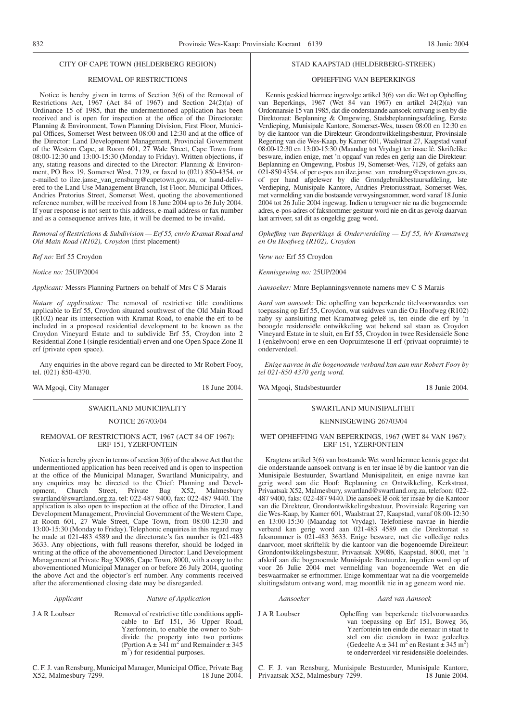#### CITY OF CAPE TOWN (HELDERBERG REGION)

### REMOVAL OF RESTRICTIONS

Notice is hereby given in terms of Section 3(6) of the Removal of Restrictions Act, 1967 (Act 84 of 1967) and Section 24(2)(a) of Ordinance 15 of 1985, that the undermentioned application has been received and is open for inspection at the office of the Directorate: Planning & Environment, Town Planning Division, First Floor, Municipal Offices, Somerset West between 08:00 and 12:30 and at the office of the Director: Land Development Management, Provincial Government of the Western Cape, at Room 601, 27 Wale Street, Cape Town from 08:00-12:30 and 13:00-15:30 (Monday to Friday). Written objections, if any, stating reasons and directed to the Director: Planning & Environment, PO Box 19, Somerset West, 7129, or faxed to (021) 850-4354, or e-mailed to ilze.janse\_van\_rensburg@capetown.gov.za, or hand-delivered to the Land Use Management Branch, 1st Floor, Municipal Offices, Andries Pretorius Street, Somerset West, quoting the abovementioned reference number, will be received from 18 June 2004 up to 26 July 2004. If your response is not sent to this address, e-mail address or fax number and as a consequence arrives late, it will be deemed to be invalid.

*Removal of Restrictions & Subdivision — Erf 55, cnr/o Kramat Road and Old Main Road (R102), Croydon* (first placement)

*Ref no:* Erf 55 Croydon

*Notice no:* 25UP/2004

*Applicant:* Messrs Planning Partners on behalf of Mrs C S Marais

*Nature of application:* The removal of restrictive title conditions applicable to Erf 55, Croydon situated southwest of the Old Main Road (R102) near its intersection with Kramat Road, to enable the erf to be included in a proposed residential development to be known as the Croydon Vineyard Estate and to subdivide Erf 55, Croydon into 2 Residential Zone I (single residential) erven and one Open Space Zone II erf (private open space).

Any enquiries in the above regard can be directed to Mr Robert Fooy, tel. (021) 850-4370.

WA Mgoqi, City Manager 18 June 2004.

## SWARTLAND MUNICIPALITY

## NOTICE 267/03/04

#### REMOVAL OF RESTRICTIONS ACT, 1967 (ACT 84 OF 1967): ERF 151, YZERFONTEIN

Notice is hereby given in terms of section 3(6) of the above Act that the undermentioned application has been received and is open to inspection at the office of the Municipal Manager, Swartland Municipality, and any enquiries may be directed to the Chief: Planning and Development, Church Street, Private Bag X52, Malmesbury swartland@swartland.org.za. tel: 022-487 9400, fax: 022-487 9440. The application is also open to inspection at the office of the Director, Land Development Management, Provincial Government of the Western Cape, at Room 601, 27 Wale Street, Cape Town, from 08:00-12:30 and 13:00-15:30 (Monday to Friday). Telephonic enquiries in this regard may be made at 021-483 4589 and the directorate's fax number is 021-483 3633. Any objections, with full reasons therefor, should be lodged in writing at the office of the abovementioned Director: Land Development Management at Private Bag X9086, Cape Town, 8000, with a copy to the abovementioned Municipal Manager on or before 26 July 2004, quoting the above Act and the objector's erf number. Any comments received after the aforementioned closing date may be disregarded.

#### *Applicant Nature of Application*

J A R Loubser Removal of restrictive title conditions applicable to Erf 151, 36 Upper Road, Yzerfontein, to enable the owner to Subdivide the property into two portions (Portion  $A \pm 341$  m<sup>2</sup> and Remainder  $\pm 345$  $\mathbf{m}^2$ ) for residential purposes.

C. F. J. van Rensburg, Municipal Manager, Municipal Office, Private Bag X52, Malmesbury 7299. 18 June 2004.

#### STAD KAAPSTAD (HELDERBERG-STREEK)

#### OPHEFFING VAN BEPERKINGS

Kennis geskied hiermee ingevolge artikel 3(6) van die Wet op Opheffing van Beperkings, 1967 (Wet 84 van 1967) en artikel 24(2)(a) van Ordonnansie 15 van 1985, dat die onderstaande aansoek ontvang is en by die Direktoraat: Beplanning & Omgewing, Stadsbeplanningsafdeling, Eerste Verdieping, Munisipale Kantore, Somerset-Wes, tussen 08:00 en 12:30 en by die kantoor van die Direkteur: Grondontwikkelingsbestuur, Provinsiale Regering van die Wes-Kaap, by Kamer 601, Waalstraat 27, Kaapstad vanaf 08:00-12:30 en 13:00-15:30 (Maandag tot Vrydag) ter insae lê. Skriftelike besware, indien enige, met 'n opgaaf van redes en gerig aan die Direkteur: Beplanning en Omgewing, Posbus 19, Somerset-Wes, 7129, of gefaks aan 021-850 4354, of per e-pos aan ilze.janse\_van\_rensburg@capetown.gov.za, of per hand afgelewer by die Grondgebruikbestuursafdeling, lste Verdieping, Munisipale Kantore, Andries Pretoriusstraat, Somerset-Wes, met vermelding van die bostaande verwysingsnommer, word vanaf 18 Junie 2004 tot 26 Julie 2004 ingewag. Indien u terugvoer nie na die bogenoemde adres, e-pos-adres of faksnommer gestuur word nie en dit as gevolg daarvan laat arriveer, sal dit as ongeldig geag word.

*Opheffıng van Beperkings & Onderverdeling — Erf 55, h/v Kramatweg en Ou Hoofweg (R102), Croydon*

*Verw no:* Erf 55 Croydon

*Kennisgewing no:* 25UP/2004

*Aansoeker:* Mnre Beplanningsvennote namens mev C S Marais

*Aard van aansoek:* Die opheffing van beperkende titelvoorwaardes van toepassing op Erf 55, Croydon, wat suidwes van die Ou Hoofweg (R102) naby sy aansluiting met Kramatweg geleë is, ten einde die erf by 'n beoogde residensiële ontwikkeling wat bekend sal staan as Croydon Vineyard Estate in te sluit, en Erf 55, Croydon in twee Residensiële Sone I (enkelwoon) erwe en een Oopruimtesone II erf (privaat oopruimte) te onderverdeel.

*Enige navrae in die bogenoemde verband kan aan mnr Robert Fooy by tel 021-850 4370 gerig word.*

WA Mgoqi, Stadsbestuurder 18 Junie 2004.

#### SWARTLAND MUNISIPALITEIT

#### KENNISGEWING 267/03/04

#### WET OPHEFFING VAN BEPERKINGS, 1967 (WET 84 VAN 1967): ERF 151, YZERFONTEIN

Kragtens artikel 3(6) van bostaande Wet word hiermee kennis gegee dat die onderstaande aansoek ontvang is en ter insae lê by die kantoor van die Munisipale Bestuurder, Swartland Munisipaliteit, en enige navrae kan gerig word aan die Hoof: Beplanning en Ontwikkeling, Kerkstraat, Privaatsak X52, Malmesbury, swartland@swartland.org.za, telefoon: 022- 487 9400, faks: 022-487 9440. Die aansoek lê ook ter insae by die Kantoor van die Direkteur, Grondontwikkelingsbestuur, Provinsiale Regering van die Wes-Kaap, by Kamer 601, Waalstraat 27, Kaapstad, vanaf 08:00-12:30 en 13:00-15:30 (Maandag tot Vrydag). Telefoniese navrae in hierdie verband kan gerig word aan 021-483 4589 en die Direktoraat se faksnommer is 021-483 3633. Enige besware, met die volledige redes daarvoor, moet skriftelik by die kantoor van die bogenoemde Direkteur: Grondontwikkelingsbestuur, Privaatsak X9086, Kaapstad, 8000, met 'n afskrif aan die bogenoemde Munisipale Bestuurder, ingedien word op of voor 26 Julie 2004 met vermelding van bogenoemde Wet en die beswaarmaker se erfnommer. Enige kommentaar wat na die voorgemelde sluitingsdatum ontvang word, mag moontlik nie in ag geneem word nie.

#### *Aansoeker Aard van Aansoek*

J A R Loubser Opheffing van beperkende titelvoorwaardes van toepassing op Erf 151, Boweg 36, Yzerfontein ten einde die eienaar in staat te stel om die eiendom in twee gedeeltes (Gedeelte A  $\pm$  341 m<sup>2</sup> en Restant  $\pm$  345 m<sup>2</sup>) te onderverdeel vir residensiële doeleindes.

C. F. J. van Rensburg, Munisipale Bestuurder, Munisipale Kantore, Privaatsak X52, Malmesbury 7299. 18 Junie 2004.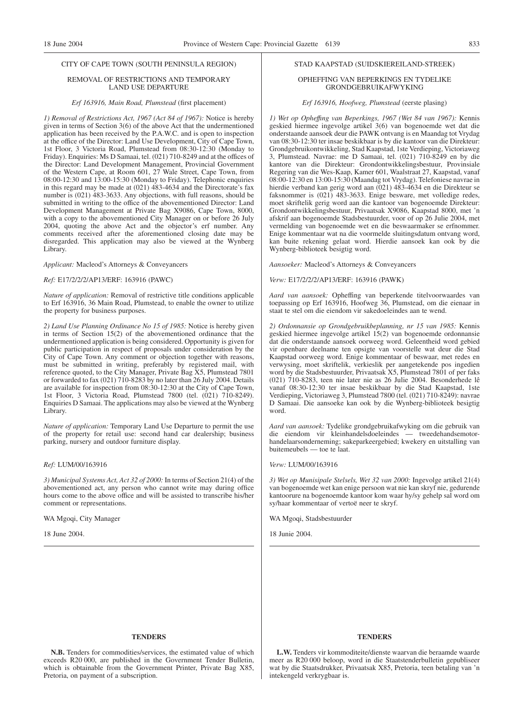## CITY OF CAPE TOWN (SOUTH PENINSULA REGION)

#### REMOVAL OF RESTRICTIONS AND TEMPORARY LAND USE DEPARTURE

#### *Erf 163916, Main Road, Plumstead* (first placement)

*1) Removal of Restrictions Act, 1967 (Act 84 of 1967):* Notice is hereby given in terms of Section 3(6) of the above Act that the undermentioned application has been received by the P.A.W.C. and is open to inspection at the office of the Director: Land Use Development, City of Cape Town, 1st Floor, 3 Victoria Road, Plumstead from 08:30-12:30 (Monday to Friday). Enquiries: Ms D Samaai, tel. (021) 710-8249 and at the offices of the Director: Land Development Management, Provincial Government of the Western Cape, at Room 601, 27 Wale Street, Cape Town, from 08:00-12:30 and 13:00-15:30 (Monday to Friday). Telephonic enquiries in this regard may be made at (021) 483-4634 and the Directorate's fax number is (021) 483-3633. Any objections, with full reasons, should be submitted in writing to the office of the abovementioned Director: Land Development Management at Private Bag X9086, Cape Town, 8000, with a copy to the abovementioned City Manager on or before 26 July 2004, quoting the above Act and the objector's erf number. Any comments received after the aforementioned closing date may be disregarded. This application may also be viewed at the Wynberg Library.

*Applicant:* Macleod's Attorneys & Conveyancers

#### *Ref:* E17/2/2/2/AP13/ERF: 163916 (PAWC)

*Nature of application:* Removal of restrictive title conditions applicable to Erf 163916, 36 Main Road, Plumstead, to enable the owner to utilize the property for business purposes.

*2) Land Use Planning Ordinance No 15 of 1985:* Notice is hereby given in terms of Section 15(2) of the abovementioned ordinance that the undermentioned application is being considered. Opportunity is given for public participation in respect of proposals under consideration by the City of Cape Town. Any comment or objection together with reasons, must be submitted in writing, preferably by registered mail, with reference quoted, to the City Manager, Private Bag X5, Plumstead 7801 or forwarded to fax (021) 710-8283 by no later than 26 July 2004. Details are available for inspection from 08:30-12:30 at the City of Cape Town, 1st Floor, 3 Victoria Road, Plumstead 7800 (tel. (021) 710-8249). Enquiries D Samaai. The applications may also be viewed at the Wynberg Library.

*Nature of application:* Temporary Land Use Departure to permit the use of the property for retail use: second hand car dealership; business parking, nursery and outdoor furniture display.

#### *Ref:* LUM/00/163916

*3) Municipal Systems Act, Act 32 of 2000:* In terms of Section 21(4) of the abovementioned act, any person who cannot write may during office hours come to the above office and will be assisted to transcribe his/her comment or representations.

WA Mgoqi, City Manager

18 June 2004.

#### STAD KAAPSTAD (SUIDSKIEREILAND-STREEK)

#### OPHEFFING VAN BEPERKINGS EN TYDELIKE GRONDGEBRUIKAFWYKING

#### *Erf 163916, Hoofweg, Plumstead* (eerste plasing)

*1) Wet op Opheffıng van Beperkings, 1967 (Wet 84 van 1967):* Kennis geskied hiermee ingevolge artikel 3(6) van bogenoemde wet dat die onderstaande aansoek deur die PAWK ontvang is en Maandag tot Vrydag van 08:30-12:30 ter insae beskikbaar is by die kantoor van die Direkteur: Grondgebruikontwikkeling, Stad Kaapstad, 1ste Verdieping, Victoriaweg 3, Plumstead. Navrae: me D Samaai, tel. (021) 710-8249 en by die kantore van die Direkteur: Grondontwikkelingsbestuur, Provinsiale Regering van die Wes-Kaap, Kamer 601, Waalstraat 27, Kaapstad, vanaf 08:00-12:30 en 13:00-15:30 (Maandag tot Vrydag). Telefoniese navrae in hierdie verband kan gerig word aan (021) 483-4634 en die Direkteur se faksnommer is (021) 483-3633. Enige besware, met volledige redes, moet skriftelik gerig word aan die kantoor van bogenoemde Direkteur: Grondontwikkelingsbestuur, Privaatsak X9086, Kaapstad 8000, met 'n afskrif aan bogenoemde Stadsbestuurder, voor of op 26 Julie 2004, met vermelding van bogenoemde wet en die beswaarmaker se erfnommer. Enige kommentaar wat na die voormelde sluitingsdatum ontvang word, kan buite rekening gelaat word. Hierdie aansoek kan ook by die Wynberg-biblioteek besigtig word.

*Aansoeker:* Macleod's Attorneys & Conveyancers

*Verw:* E17/2/2/2/AP13/ERF: 163916 (PAWK)

*Aard van aansoek:* Opheffing van beperkende titelvoorwaardes van toepassing op Erf 163916, Hoofweg 36, Plumstead, om die eienaar in staat te stel om die eiendom vir sakedoeleindes aan te wend.

*2) Ordonnansie op Grondgebruikbeplanning, nr 15 van 1985:* Kennis geskied hiermee ingevolge artikel 15(2) van bogenoemde ordonnansie dat die onderstaande aansoek oorweeg word. Geleentheid word gebied vir openbare deelname ten opsigte van voorstelle wat deur die Stad Kaapstad oorweeg word. Enige kommentaar of beswaar, met redes en verwysing, moet skriftelik, verkieslik per aangetekende pos ingedien word by die Stadsbestuurder, Privaatsak X5, Plumstead 7801 of per faks (021) 710-8283, teen nie later nie as 26 Julie 2004. Besonderhede lê vanaf 08:30-12:30 ter insae beskikbaar by die Stad Kaapstad, 1ste Verdieping, Victoriaweg 3, Plumstead 7800 (tel. (021) 710-8249): navrae D Samaai. Die aansoeke kan ook by die Wynberg-biblioteek besigtig word.

*Aard van aansoek:* Tydelike grondgebruikafwyking om die gebruik van die eiendom vir kleinhandelsdoeleindes — tweedehandsemotorhandelaarsonderneming; sakeparkeergebied; kwekery en uitstalling van buitemeubels — toe te laat.

*Verw:* LUM/00/163916

*3) Wet op Munisipale Stelsels, Wet 32 van 2000:* Ingevolge artikel 21(4) van bogenoemde wet kan enige persoon wat nie kan skryf nie, gedurende kantoorure na bogenoemde kantoor kom waar hy/sy gehelp sal word om sy/haar kommentaar of vertoë neer te skryf.

WA Mgoqi, Stadsbestuurder

18 Junie 2004.

#### **TENDERS**

**N.B.** Tenders for commodities/services, the estimated value of which exceeds R20 000, are published in the Government Tender Bulletin, which is obtainable from the Government Printer, Private Bag X85, Pretoria, on payment of a subscription.

#### **TENDERS**

**L.W.** Tenders vir kommoditeite/dienste waarvan die beraamde waarde meer as R20 000 beloop, word in die Staatstenderbulletin gepubliseer wat by die Staatsdrukker, Privaatsak X85, Pretoria, teen betaling van 'n intekengeld verkrygbaar is.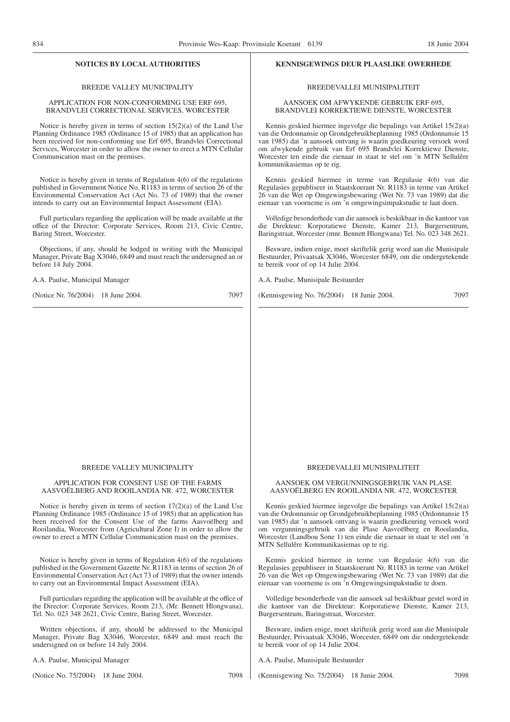#### BREEDE VALLEY MUNICIPALITY

#### APPLICATION FOR NON-CONFORMING USE ERF 695, BRANDVLEI CORRECTIONAL SERVICES, WORCESTER

Notice is hereby given in terms of section 15(2)(a) of the Land Use Planning Ordinance 1985 (Ordinance 15 of 1985) that an application has been received for non-conforming use Erf 695, Brandvlei Correctional Services, Worcester in order to allow the owner to erect a MTN Cellular Communication mast on the premises.

Notice is hereby given in terms of Regulation 4(6) of the regulations published in Government Notice No. R1183 in terms of section 26 of the Environmental Conservation Act (Act No. 73 of 1989) that the owner intends to carry out an Environmental Impact Assessment (EIA).

Full particulars regarding the application will be made available at the office of the Director: Corporate Services, Room 213, Civic Centre, Baring Street, Worcester.

Objections, if any, should be lodged in writing with the Municipal Manager, Private Bag X3046, 6849 and must reach the undersigned an or before 14 July 2004.

A.A. Paulse, Municipal Manager

(Notice Nr. 76/2004) 18 June 2004. 7097

#### **NOTICES BY LOCAL AUTHORITIES KENNISGEWINGS DEUR PLAASLIKE OWERHEDE**

#### BREEDEVALLEI MUNISIPALITEIT

#### AANSOEK OM AFWYKENDE GEBRUIK ERF 695, BRANDVLEI KORREKTIEWE DIENSTE, WORCESTER

Kennis geskied hiermee ingevolge die bepalings van Artikel 15(2)(a) van die Ordonnansie op Grondgebruikbeplanning 1985 (Ordonnansie 15 van 1985) dat 'n aansoek ontvang is waarin goedkeuring versoek word om afwykende gebruik van Erf 695 Brandvlei Korrektiewe Dienste, Worcester ten einde die eienaar in staat te stel om 'n MTN Sellulêre kommunikasiemas op te rig.

Kennis geskied hiermee in terme van Regulasie 4(6) van die Regulasies gepubliseer in Staatskoerant Nr. R1183 in terme van Artikel 26 van die Wet op Omgewingsbewaring (Wet Nr. 73 van 1989) dat die eienaar van voorneme is om 'n omgewingsimpakstudie te laat doen.

Volledige besonderhede van die aansoek is beskikbaar in die kantoor van die Direkteur: Korporatiewe Dienste, Kamer 213, Burgersentrum, Baringstraat, Worcester (mnr. Bennett Hlongwana) Tel. No. 023 348 2621.

Besware, indien enige, moet skriftelik gerig word aan die Munisipale Bestuurder, Privaatsak X3046, Worcester 6849, om die ondergetekende te bereik voor of op 14 Julie 2004.

A.A. Paulse, Munisipale Bestuurder

(Kennisgewing No. 76/2004) 18 Junie 2004. 7097

#### BREEDE VALLEY MUNICIPALITY

#### APPLICATION FOR CONSENT USE OF THE FARMS AASVOËLBERG AND ROOILANDIA NR. 472, WORCESTER

Notice is hereby given in terms of section 17(2)(a) of the Land Use Planning Ordinance 1985 (Ordinance 15 of 1985) that an application has been received for the Consent Use of the farms Aasvoëlberg and Rooilandia, Worcester from (Agricultural Zone I) in order to allow the owner to erect a MTN Cellular Communication mast on the premises.

Notice is hereby given in terms of Regulation 4(6) of the regulations published in the Government Gazette Nr. R1183 in terms of section 26 of Environmental Conservation Act (Act 73 of 1989) that the owner intends to carry out an Environmental Impact Assessment (EIA).

Full particulars regarding the application will be available at the office of the Director: Corporate Services, Room 213, (Mr. Bennett Hlongwana), Tel. No. 023 348 2621, Civic Centre, Baring Street, Worcester.

Written objections, if any, should be addressed to the Municipal Manager, Private Bag X3046, Worcester, 6849 and must reach the undersigned on or before 14 July 2004.

A.A. Paulse, Municipal Manager

(Notice No. 75/2004) 18 June 2004. 7098

#### BREEDEVALLEI MUNISIPALITEIT

#### AANSOEK OM VERGUNNINGSGEBRUIK VAN PLASE AASVOËLBERG EN ROOILANDIA NR. 472, WORCESTER

Kennis geskied hiermee ingevolge die bepalings van Artikel 15(2)(a) van die Ordonnansie op Grondgebruikbeplanning 1985 (Ordonnansie 15 van 1985) dat 'n aansoek ontvang is waarin goedkeuring versoek word om vergunningsgebruik van die Plase Aasvoëlberg en Rooilandia, Worcester (Landbou Sone 1) ten einde die eienaar in staat te stel om 'n MTN Sellulêre Kommunikasiemas op te rig.

Kennis geskied hiermee in terme van Regulasie 4(6) van die Regulasies gepubliseer in Staatskoerant Nr. R1183 in terme van Artikel 26 van die Wet op Omgewingsbewaring (Wet Nr. 73 van 1989) dat die eienaar van voorneme is om 'n Omgewingsimpakstudie te doen.

Volledige besonderhede van die aansoek sal beskikbaar gestel word in die kantoor van die Direkteur: Korporatiewe Dienste, Kamer 213, Burgersentrum, Baringstraat, Worcester.

Besware, indien enige, moet skrifteiik gerig word aan die Munisipale Bestuurder, Privaatsak X3046, Worcester, 6849 om die ondergetekende te bereik voor of op 14 Julie 2004.

A.A. Paulse, Munisipale Bestuurder

(Kennisgewing No. 75/2004) 18 Junie 2004. 7098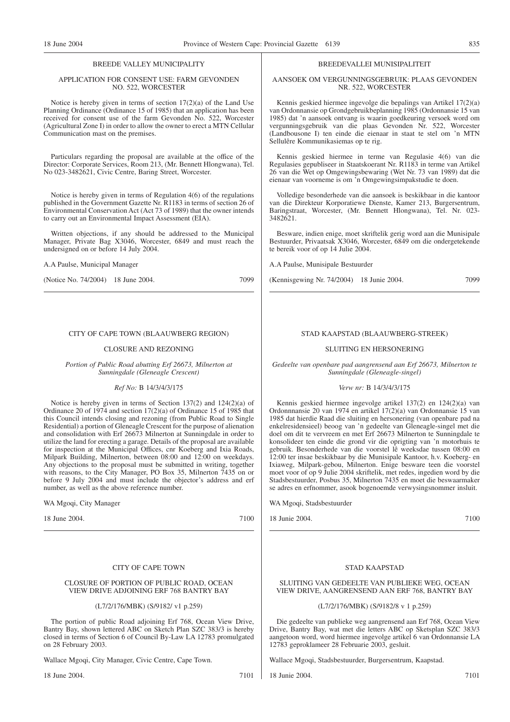#### BREEDE VALLEY MUNICIPALITY

#### APPLICATION FOR CONSENT USE: FARM GEVONDEN NO. 522, WORCESTER

Notice is hereby given in terms of section 17(2)(a) of the Land Use Planning Ordinance (Ordinance 15 of 1985) that an application has been received for consent use of the farm Gevonden No. 522, Worcester (Agricultural Zone I) in order to allow the owner to erect a MTN Cellular Communication mast on the premises.

Particulars regarding the proposal are available at the office of the Director: Corporate Services, Room 213, (Mr. Bennett Hlongwana), Tel. No 023-3482621, Civic Centre, Baring Street, Worcester.

Notice is hereby given in terms of Regulation 4(6) of the regulations published in the Government Gazette Nr. R1183 in terms of section 26 of Environmental Conservation Act (Act 73 of 1989) that the owner intends to carry out an Environmental Impact Assessment (EIA).

Written objections, if any should be addressed to the Municipal Manager, Private Bag X3046, Worcester, 6849 and must reach the undersigned on or before 14 July 2004.

A.A Paulse, Municipal Manager

(Notice No. 74/2004) 18 June 2004. 7099

#### CITY OF CAPE TOWN (BLAAUWBERG REGION)

#### CLOSURE AND REZONING

*Portion of Public Road abutting Erf 26673, Milnerton at Sunningdale (Gleneagle Crescent)*

#### *Ref No:* B 14/3/4/3/175

Notice is hereby given in terms of Section 137(2) and 124(2)(a) of Ordinance 20 of 1974 and section 17(2)(a) of Ordinance 15 of 1985 that this Council intends closing and rezoning (from Public Road to Single Residential) a portion of Gleneagle Crescent for the purpose of alienation and consolidation with Erf 26673 Milnerton at Sunningdale in order to utilize the land for erecting a garage. Details of the proposal are available for inspection at the Municipal Offices, cnr Koeberg and Ixia Roads, Milpark Building, Milnerton, between 08:00 and 12:00 on weekdays. Any objections to the proposal must be submitted in writing, together with reasons, to the City Manager, PO Box 35, Milnerton 7435 on or before 9 July 2004 and must include the objector's address and erf number, as well as the above reference number.

WA Mgoqi, City Manager

18 June 2004. 7100

#### CITY OF CAPE TOWN

#### CLOSURE OF PORTION OF PUBLIC ROAD, OCEAN VIEW DRIVE ADJOINING ERF 768 BANTRY BAY

#### (L7/2/176/MBK) (S/9182/ v1 p.259)

The portion of public Road adjoining Erf 768, Ocean View Drive, Bantry Bay, shown lettered ABC on Sketch Plan SZC 383/3 is hereby closed in terms of Section 6 of Council By-Law LA 12783 promulgated on 28 February 2003.

Wallace Mgoqi, City Manager, Civic Centre, Cape Town.

18 June 2004. 7101

#### BREEDEVALLEI MUNISIPALITEIT

#### AANSOEK OM VERGUNNINGSGEBRUIK: PLAAS GEVONDEN NR. 522, WORCESTER

Kennis geskied hiermee ingevolge die bepalings van Artikel 17(2)(a) van Ordonnansie op Grondgebruikbeplanning 1985 (Ordonnansie 15 van 1985) dat 'n aansoek ontvang is waarin goedkeuring versoek word om vergunningsgebruik van die plaas Gevonden Nr. 522, Worcester (Landbousone I) ten einde die eienaar in staat te stel om 'n MTN Sellulêre Kommunikasiemas op te rig.

Kennis geskied hiermee in terme van Regulasie 4(6) van die Regulasies gepubliseer in Staatskoerant Nr. R1183 in terme van Artikel 26 van die Wet op Omgewingsbewaring (Wet Nr. 73 van 1989) dat die eienaar van voorneme is om 'n Omgewingsimpakstudie te doen.

Volledige besonderhede van die aansoek is beskikbaar in die kantoor van die Direkteur Korporatiewe Dienste, Kamer 213, Burgersentrum, Baringstraat, Worcester, (Mr. Bennett Hlongwana), Tel. Nr. 023- 3482621.

Besware, indien enige, moet skriftelik gerig word aan die Munisipale Bestuurder, Privaatsak X3046, Worcester, 6849 om die ondergetekende te bereik voor of op 14 Julie 2004.

A.A Paulse, Munisipale Bestuurder

(Kennisgewing Nr. 74/2004) 18 Junie 2004. 7099

#### STAD KAAPSTAD (BLAAUWBERG-STREEK)

#### SLUITING EN HERSONERING

*Gedeelte van openbare pad aangrensend aan Erf 26673, Milnerton te Sunningdale (Gleneagle-singel)*

#### *Verw nr:* B 14/3/4/3/175

Kennis geskied hiermee ingevolge artikel 137(2) en 124(2)(a) van Ordonnnansie 20 van 1974 en artikel 17(2)(a) van Ordonnansie 15 van 1985 dat hierdie Raad die sluiting en hersonering (van openbare pad na enkelresidensieel) beoog van 'n gedeelte van Gleneagle-singel met die doel om dit te vervreem en met Erf 26673 Milnerton te Sunningdale te konsolideer ten einde die grond vir die oprigting van 'n motorhuis te gebruik. Besonderhede van die voorstel lê weeksdae tussen 08:00 en 12:00 ter insae beskikbaar by die Munisipale Kantoor, h.v. Koeberg- en Ixiaweg, Milpark-gebou, Milnerton. Enige besware teen die voorstel moet voor of op 9 Julie 2004 skriftelik, met redes, ingedien word by die Stadsbestuurder, Posbus 35, Milnerton 7435 en moet die beswaarmaker se adres en erfnommer, asook bogenoemde verwysingsnommer insluit.

WA Mgoqi, Stadsbestuurder

18 Junie 2004. 7100

#### STAD KAAPSTAD

SLUITING VAN GEDEELTE VAN PUBLIEKE WEG, OCEAN VIEW DRIVE, AANGRENSEND AAN ERF 768, BANTRY BAY

(L7/2/176/MBK) (S/9182/8 v 1 p.259)

Die gedeelte van publieke weg aangrensend aan Erf 768, Ocean View Drive, Bantry Bay, wat met die letters ABC op Sketsplan SZC 383/3 aangetoon word, word hiermee ingevolge artikel 6 van Ordonnansie LA 12783 geproklameer 28 Februarie 2003, gesluit.

Wallace Mgoqi, Stadsbestuurder, Burgersentrum, Kaapstad.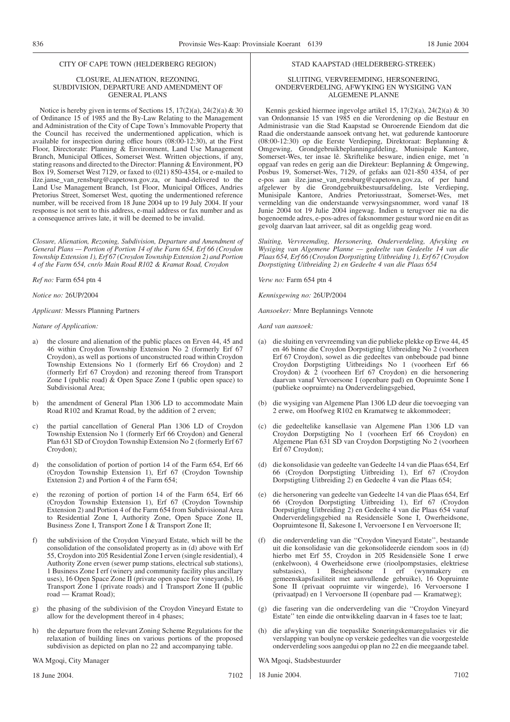#### CITY OF CAPE TOWN (HELDERBERG REGION)

#### CLOSURE, ALIENATION, REZONING, SUBDIVISION, DEPARTURE AND AMENDMENT OF GENERAL PLANS

Notice is hereby given in terms of Sections 15,  $17(2)(a)$ ,  $24(2)(a)$  & 30 of Ordinance 15 of 1985 and the By-Law Relating to the Management and Administration of the City of Cape Town's Immovable Property that the Council has received the undermentioned application, which is available for inspection during office hours (08:00-12:30), at the First Floor, Directorate: Planning & Environment, Land Use Management Branch, Municipal Offices, Somerset West. Written objections, if any, stating reasons and directed to the Director: Planning & Environment, PO Box 19, Somerset West 7129, or faxed to (021) 850-4354, or e-mailed to ilze.janse\_van\_rensburg@capetown.gov.za, or hand-delivered to the Land Use Management Branch, 1st Floor, Municipal Offices, Andries Pretorius Street, Somerset West, quoting the undermentioned reference number, will be received from 18 June 2004 up to 19 July 2004. If your response is not sent to this address, e-mail address or fax number and as a consequence arrives late, it will be deemed to be invalid.

*Closure, Alienation, Rezoning, Subdivision, Departure and Amendment of General Plans — Portion of Portion 14 of the Farm 654, Erf 66 (Croydon Township Extension 1), Erf 67 (Croydon Township Extension 2) and Portion 4 of the Farm 654, cnr/o Main Road R102 & Kramat Road, Croydon*

*Ref no:* Farm 654 ptn 4

*Notice no:* 26UP/2004

*Applicant:* Messrs Planning Partners

*Nature of Application:*

- a) the closure and alienation of the public places on Erven 44, 45 and 46 within Croydon Township Extension No 2 (formerly Erf 67 Croydon), as well as portions of unconstructed road within Croydon Township Extensions No 1 (formerly Erf 66 Croydon) and 2 (formerly Erf 67 Croydon) and rezoning thereof from Transport Zone I (public road)  $\&$  Open Space Zone I (public open space) to Subdivisional Area;
- b) the amendment of General Plan 1306 LD to accommodate Main Road R102 and Kramat Road, by the addition of 2 erven;
- c) the partial cancellation of General Plan 1306 LD of Croydon Township Extension No 1 (formerly Erf 66 Croydon) and General Plan 631 SD of Croydon Township Extension No 2 (formerly Erf 67 Croydon);
- d) the consolidation of portion of portion 14 of the Farm 654, Erf 66 (Croydon Township Extension 1), Erf 67 (Croydon Township Extension 2) and Portion 4 of the Farm 654;
- e) the rezoning of portion of portion 14 of the Farm 654, Erf 66 (Croydon Township Extension 1), Erf 67 (Croydon Township Extension 2) and Portion 4 of the Farm 654 from Subdivisional Area to Residential Zone I, Authority Zone, Open Space Zone II, Business Zone I, Transport Zone I & Transport Zone II;
- f) the subdivision of the Croydon Vineyard Estate, which will be the consolidation of the consolidated property as in (d) above with Erf 55, Croydon into 205 Residential Zone I erven (single residential), 4 Authority Zone erven (sewer pump stations, electrical sub stations), 1 Business Zone I erf (winery and community facility plus ancillary uses), 16 Open Space Zone II (private open space for vineyards), 16 Transport Zone I (private roads) and 1 Transport Zone II (public road — Kramat Road);
- g) the phasing of the subdivision of the Croydon Vineyard Estate to allow for the development thereof in 4 phases;
- h) the departure from the relevant Zoning Scheme Regulations for the relaxation of building lines on various portions of the proposed subdivision as depicted on plan no 22 and accompanying table.

#### WA Mgoqi, City Manager

18 June 2004. 7102

#### STAD KAAPSTAD (HELDERBERG-STREEK)

#### SLUITING, VERVREEMDING, HERSONERING, ONDERVERDELING, AFWYKING EN WYSIGING VAN ALGEMENE PLANNE

Kennis geskied hiermee ingevolge artikel 15, 17(2)(a), 24(2)(a) & 30 van Ordonnansie 15 van 1985 en die Verordening op die Bestuur en Administrasie van die Stad Kaapstad se Onroerende Eiendom dat die Raad die onderstaande aansoek ontvang het, wat gedurende kantoorure (08:00-12:30) op die Eerste Verdieping, Direktoraat: Beplanning & Omgewing, Grondgebruikbeplanningafdeling, Munisipale Kantore, Somerset-Wes, ter insae lê. Skriftelike besware, indien enige, met 'n opgaaf van redes en gerig aan die Direkteur: Beplanning & Omgewing, Posbus 19, Somerset-Wes, 7129, of gefaks aan 021-850 4354, of per e-pos aan ilze.janse\_van\_rensburg@capetown.gov.za, of per hand afgelewer by die Grondgebruikbestuursafdeling, lste Verdieping, Munisipale Kantore, Andries Pretoriusstraat, Somerset-Wes, met vermelding van die onderstaande verwysingsnommer, word vanaf 18 Junie 2004 tot 19 Julie 2004 ingewag. Indien u terugvoer nie na die bogenoemde adres, e-pos-adres of faksnommer gestuur word nie en dit as gevolg daarvan laat arriveer, sal dit as ongeldig geag word.

*Sluiting, Vervreemding, Hersonering, Onderverdeling, Afwyking en Wysiging van Algemene Planne — gedeelte van Gedeelte 14 van die Plaas 654, Erf 66 (Croydon Dorpstigting Uitbreiding 1), Erf 67 (Croydon Dorpstigting Uitbreiding 2) en Gedeelte 4 van die Plaas 654*

*Verw no:* Farm 654 ptn 4

*Kennisgewing no:* 26UP/2004

*Aansoeker:* Mnre Beplannings Vennote

*Aard van aansoek:*

- (a) die sluiting en vervreemding van die publieke plekke op Erwe 44, 45 en 46 binne die Croydon Dorpstigting Uitbreiding No 2 (voorheen Erf 67 Croydon), sowel as die gedeeltes van onbeboude pad binne Croydon Dorpstigting Uitbreidings No 1 (voorheen Erf 66 Croydon) & 2 (voorheen Erf 67 Croydon) en die hersonering daarvan vanaf Vervoersone I (openbare pad) en Oopruimte Sone I (publieke oopruimte) na Onderverdelingsgebied,
- (b) die wysiging van Algemene Plan 1306 LD deur die toevoeging van 2 erwe, om Hoofweg R102 en Kramatweg te akkommodeer;
- (c) die gedeeltelike kansellasie van Algemene Plan 1306 LD van Croydon Dorpstigting No 1 (voorheen Erf 66 Croydon) en Algemene Plan 631 SD van Croydon Dorpstigting No 2 (voorheen Erf 67 Croydon);
- (d) die konsolidasie van gedeelte van Gedeelte 14 van die Plaas 654, Erf 66 (Croydon Dorpstigting Uitbreiding 1), Erf 67 (Croydon Dorpstigting Uitbreiding 2) en Gedeelte 4 van die Plaas 654;
- (e) die hersonering van gedeelte van Gedeelte 14 van die Plaas 654, Erf 66 (Croydon Dorpstigting Uitbreiding 1), Erf 67 (Croydon Dorpstigting Uitbreiding 2) en Gedeelte 4 van die Plaas 654 vanaf Onderverdelingsgebied na Residensiële Sone I, Owerheidsone, Oopruimtesone II, Sakesone I, Vervoersone I en Vervoersone II;
- (f) die onderverdeling van die ''Croydon Vineyard Estate'', bestaande uit die konsolidasie van die gekonsolideerde eiendom soos in (d) hierbo met Erf 55, Croydon in 205 Residensiële Sone I erwe (enkelwoon), 4 Owerheidsone erwe (rioolpompstasies, elektriese substasies), 1 Besigheidsone I erf (wynmakery en gemeenskapsfasiliteit met aanvullende gebruike), 16 Oopruimte Sone II (privaat oopruimte vir wingerde), 16 Vervoersone I (privaatpad) en 1 Vervoersone II (openbare pad — Kramatweg);
- (g) die fasering van die onderverdeling van die ''Croydon Vineyard Estate'' ten einde die ontwikkeling daarvan in 4 fases toe te laat;
- (h) die afwyking van die toepaslike Soneringskemaregulasies vir die verslapping van boulyne op verskeie gedeeltes van die voorgestelde onderverdeling soos aangedui op plan no 22 en die meegaande tabel.
- WA Mgoqi, Stadsbestuurder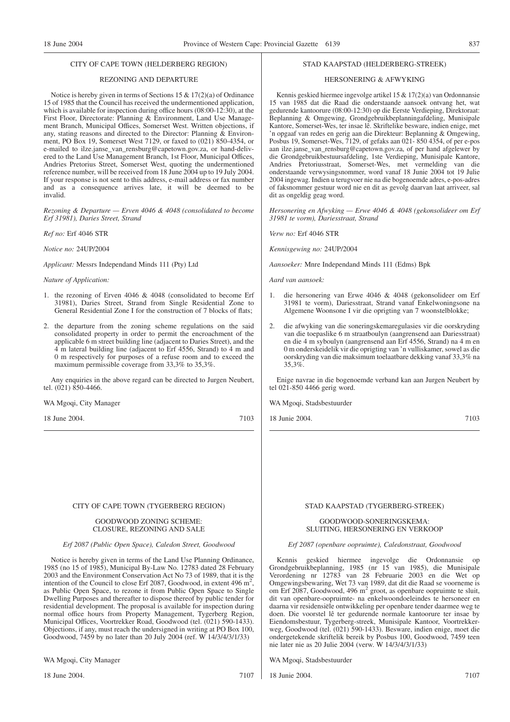#### CITY OF CAPE TOWN (HELDERBERG REGION)

### REZONING AND DEPARTURE

Notice is hereby given in terms of Sections 15 & 17(2)(a) of Ordinance 15 of 1985 that the Council has received the undermentioned application, which is available for inspection during office hours (08:00-12:30), at the First Floor, Directorate: Planning & Environment, Land Use Management Branch, Municipal Offices, Somerset West. Written objections, if any, stating reasons and directed to the Director: Planning & Environment, PO Box 19, Somerset West 7129, or faxed to (021) 850-4354, or e-mailed to ilze.janse\_van\_rensburg@capetown.gov.za, or hand-delivered to the Land Use Management Branch, 1st Floor, Municipal Offices, Andries Pretorius Street, Somerset West, quoting the undermentioned reference number, will be received from 18 June 2004 up to 19 July 2004. If your response is not sent to this address, e-mail address or fax number and as a consequence arrives late, it will be deemed to be invalid.

*Rezoning & Departure — Erven 4046 & 4048 (consolidated to become Erf 31981), Daries Street, Strand*

*Ref no:* Erf 4046 STR

*Notice no:* 24UP/2004

*Applicant:* Messrs Independand Minds 111 (Pty) Ltd

*Nature of Application:*

- 1. the rezoning of Erven 4046 & 4048 (consolidated to become Erf 31981), Daries Street, Strand from Single Residential Zone to General Residential Zone I for the construction of 7 blocks of flats;
- 2. the departure from the zoning scheme regulations on the said consolidated property in order to permit the encroachment of the applicable 6 m street building line (adjacent to Daries Street), and the 4 m lateral building line (adjacent to Erf 4556, Strand) to 4 m and 0 m respectively for purposes of a refuse room and to exceed the maximum permissible coverage from 33,3% to 35,3%.

Any enquiries in the above regard can be directed to Jurgen Neubert, tel. (021) 850-4466.

WA Mgoqi, City Manager

18 June 2004. 7103

#### CITY OF CAPE TOWN (TYGERBERG REGION)

#### GOODWOOD ZONING SCHEME: CLOSURE, REZONING AND SALE

#### *Erf 2087 (Public Open Space), Caledon Street, Goodwood*

Notice is hereby given in terms of the Land Use Planning Ordinance, 1985 (no 15 of 1985), Municipal By-Law No. 12783 dated 28 February 2003 and the Environment Conservation Act No 73 of 1989, that it is the intention of the Council to close Erf 2087, Goodwood, in extent 496 m<sup>2</sup>, as Public Open Space, to rezone it from Public Open Space to Single Dwelling Purposes and thereafter to dispose thereof by public tender for residential development. The proposal is available for inspection during normal office hours from Property Management, Tygerberg Region, Municipal Offices, Voortrekker Road, Goodwood (tel. (021) 590-1433). Objections, if any, must reach the undersigned in writing at PO Box 100, Goodwood, 7459 by no later than 20 July 2004 (ref. W 14/3/4/3/1/33)

WA Mgoqi, City Manager

18 June 2004. 7107

#### STAD KAAPSTAD (HELDERBERG-STREEK)

#### HERSONERING & AFWYKING

Kennis geskied hiermee ingevolge artikel 15 & 17(2)(a) van Ordonnansie 15 van 1985 dat die Raad die onderstaande aansoek ontvang het, wat gedurende kantoorure (08:00-12:30) op die Eerste Verdieping, Direktoraat: Beplanning & Omgewing, Grondgebruikbeplanningafdeling, Munisipale Kantore, Somerset-Wes, ter insae lê. Skriftelike besware, indien enige, met 'n opgaaf van redes en gerig aan die Direkteur: Beplanning & Omgewing, Posbus 19, Somerset-Wes, 7129, of gefaks aan 021- 850 4354, of per e-pos aan ilze.janse\_van\_rensburg@capetown.gov.za, of per hand afgelewer by die Grondgebruikbestuursafdeling, 1ste Verdieping, Munisipale Kantore, Andries Pretoriusstraat, Somerset-Wes, met vermelding van die onderstaande verwysingsnommer, word vanaf 18 Junie 2004 tot 19 Julie 2004 ingewag. Indien u terugvoer nie na die bogenoemde adres, e-pos-adres of faksnommer gestuur word nie en dit as gevolg daarvan laat arriveer, sal dit as ongeldig geag word.

*Hersonering en Afwyking — Erwe 4046 & 4048 (gekonsolideer om Erf 31981 te vorm), Dariesstraat, Strand*

*Verw no:* Erf 4046 STR

*Kennisgewing no:* 24UP/2004

*Aansoeker:* Mnre Independand Minds 111 (Edms) Bpk

*Aard van aansoek:*

- 1. die hersonering van Erwe 4046 & 4048 (gekonsolideer om Erf 31981 te vorm), Dariesstraat, Strand vanaf Enkelwoningsone na Algemene Woonsone I vir die oprigting van 7 woonstelblokke;
- 2. die afwyking van die soneringskemaregulasies vir die oorskryding van die toepaslike 6 m straatboulyn (aangrensend aan Dariesstraat) en die 4 m syboulyn (aangrensend aan Erf 4556, Strand) na 4 m en 0 m onderskeidelik vir die oprigting van 'n vulliskamer, sowel as die oorskryding van die maksimum toelaatbare dekking vanaf 33,3% na 35,3%.

Enige navrae in die bogenoemde verband kan aan Jurgen Neubert by tel 021-850 4466 gerig word.

WA Mgoqi, Stadsbestuurder

18 Junie 2004. 7103

#### STAD KAAPSTAD (TYGERBERG-STREEK)

#### GOODWOOD-SONERINGSKEMA: SLUITING, HERSONERING EN VERKOOP

#### *Erf 2087 (openbare oopruimte), Caledonstraat, Goodwood*

Kennis geskied hiermee ingevolge die Ordonnansie Grondgebruikbeplanning, 1985 (nr 15 van 1985), die Munisipale Verordening nr 12783 van 28 Februarie 2003 en die Wet op Omgewingsbewaring, Wet 73 van 1989, dat dit die Raad se voorneme is omgewingsee wannig, were en alleged to the contract operator experiments that it, on Erf 2087, Goodwood, 496 m<sup>2</sup> groot, as openbare oopruimte te sluit, dit van openbare-oopruimte- na enkelwoondoeleindes te hersoneer en daarna vir residensiële ontwikkeling per openbare tender daarmee weg te doen. Die voorstel lê ter gedurende normale kantoorure ter insae by Eiendomsbestuur, Tygerberg-streek, Munisipale Kantoor, Voortrekkerweg, Goodwood (tel. (021) 590-1433). Besware, indien enige, moet die ondergetekende skriftelik bereik by Posbus 100, Goodwood, 7459 teen nie later nie as 20 Julie 2004 (verw. W 14/3/4/3/1/33)

WA Mgoqi, Stadsbestuurder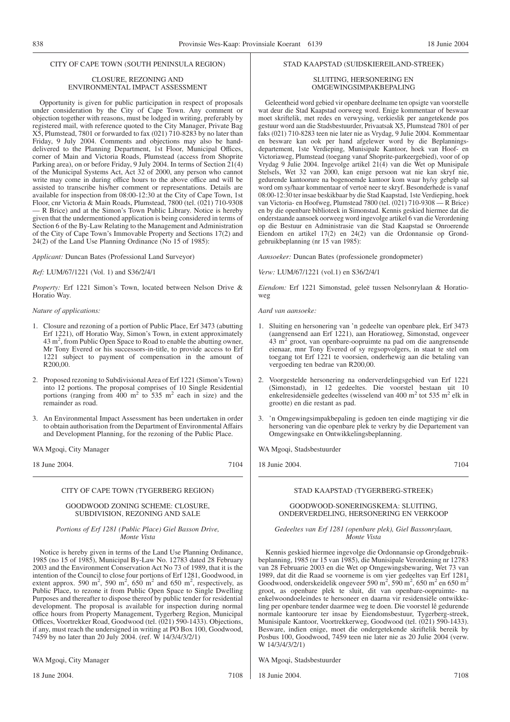#### CITY OF CAPE TOWN (SOUTH PENINSULA REGION)

#### CLOSURE, REZONING AND ENVIRONMENTAL IMPACT ASSESSMENT

Opportunity is given for public participation in respect of proposals under consideration by the City of Cape Town. Any comment or objection together with reasons, must be lodged in writing, preferably by registered mail, with reference quoted to the City Manager, Private Bag X5, Plumstead, 7801 or forwarded to fax (021) 710-8283 by no later than Friday, 9 July 2004. Comments and objections may also be handdelivered to the Planning Department, 1st Floor, Municipal Offices, corner of Main and Victoria Roads, Plumstead (access from Shoprite Parking area), on or before Friday, 9 July 2004. In terms of Section 21(4) of the Municipal Systems Act, Act 32 of 2000, any person who cannot write may come in during office hours to the above office and will be assisted to transcribe his/her comment or representations. Details are available for inspection from 08:00-12:30 at the City of Cape Town, 1st Floor, cnr Victoria & Main Roads, Plumstead, 7800 (tel. (021) 710-9308 — R Brice) and at the Simon's Town Public Library. Notice is hereby given that the undermentioned application is being considered in terms of Section 6 of the By-Law Relating to the Management and Administration of the City of Cape Town's Immovable Property and Sections 17(2) and 24(2) of the Land Use Planning Ordinance (No 15 of 1985):

*Applicant:* Duncan Bates (Professional Land Surveyor)

*Ref:* LUM/67/1221 (Vol. 1) and S36/2/4/1

*Property:* Erf 1221 Simon's Town, located between Nelson Drive & Horatio Way.

*Nature of applications:*

- 1. Closure and rezoning of a portion of Public Place, Erf 3473 (abutting Erf 1221), off Horatio Way, Simon's Town, in extent approximately 43 m2 , from Public Open Space to Road to enable the abutting owner, Mr Tony Evered or his successors-in-title, to provide access to Erf 1221 subject to payment of compensation in the amount of R200,00.
- 2. Proposed rezoning to Subdivisional Area of Erf 1221 (Simon's Town) into 12 portions. The proposal comprises of 10 Single Residential portions (ranging from  $400 \text{ m}^2$  to  $535 \text{ m}^2$  each in size) and the remainder as road.
- 3. An Environmental Impact Assessment has been undertaken in order to obtain authorisation from the Department of Environmental Affairs and Development Planning, for the rezoning of the Public Place.

WA Mgoqi, City Manager

18 June 2004. 7104

#### CITY OF CAPE TOWN (TYGERBERG REGION)

#### GOODWOOD ZONING SCHEME: CLOSURE, SUBDIVISION, REZONING AND SALE

#### *Portions of Erf 1281 (Public Place) Giel Basson Drive, Monte Vista*

Notice is hereby given in terms of the Land Use Planning Ordinance, 1985 (no 15 of 1985), Municipal By-Law No. 12783 dated 28 February 2003 and the Environment Conservation Act No 73 of 1989, that it is the intention of the Council to close four portions of Erf 1281, Goodwood, in extent approx. 590 m<sup>2</sup>, 590 m<sup>2</sup>, 650 m<sup>2</sup> and 650 m<sup>2</sup>, respectively, as Public Place, to rezone it from Public Open Space to Single Dwelling Purposes and thereafter to dispose thereof by public tender for residential development. The proposal is available for inspection during normal office hours from Property Management, Tygerberg Region, Municipal Offices, Voortrekker Road, Goodwood (tel. (021) 590-1433). Objections, if any, must reach the undersigned in writing at PO Box 100, Goodwood, 7459 by no later than 20 July 2004. (ref. W 14/3/4/3/2/1)

WA Mgoqi, City Manager

18 June 2004. 7108

#### STAD KAAPSTAD (SUIDSKIEREILAND-STREEK)

#### SLUITING, HERSONERING EN OMGEWINGSIMPAKBEPALING

Geleentheid word gebied vir openbare deelname ten opsigte van voorstelle wat deur die Stad Kaapstad oorweeg word. Enige kommentaar of beswaar moet skriftelik, met redes en verwysing, verkieslik per aangetekende pos gestuur word aan die Stadsbestuurder, Privaatsak X5, Plumstead 7801 of per faks (021) 710-8283 teen nie later nie as Vrydag, 9 Julie 2004. Kommentaar en besware kan ook per hand afgelewer word by die Beplanningsdepartement, 1ste Verdieping, Munisipale Kantoor, hoek van Hoof- en Victoriaweg, Plumstead (toegang vanaf Shoprite-parkeergebied), voor of op Vrydag 9 Julie 2004. Ingevolge artikel 21(4) van die Wet op Munisipale Stelsels, Wet 32 van 2000, kan enige persoon wat nie kan skryf nie, gedurende kantoorure na bogenoemde kantoor kom waar hy/sy gehelp sal word om sy/haar kommentaar of vertoë neer te skryf. Besonderhede is vanaf 08:00-12:30 ter insae beskikbaar by die Stad Kaapstad, 1ste Verdieping, hoek van Victoria- en Hoofweg, Plumstead 7800 (tel. (021) 710-9308 — R Brice) en by die openbare biblioteek in Simonstad. Kennis geskied hiermee dat die onderstaande aansoek oorweeg word ingevolge artikel 6 van die Verordening op die Bestuur en Administrasie van die Stad Kaapstad se Onroerende Eiendom en artikel 17(2) en 24(2) van die Ordonnansie op Grondgebruikbeplanning (nr 15 van 1985):

*Aansoeker:* Duncan Bates (professionele grondopmeter)

*Verw:* LUM/67/1221 (vol.1) en S36/2/4/1

*Eiendom:* Erf 1221 Simonstad, geleë tussen Nelsonrylaan & Horatioweg

*Aard van aansoeke:*

- 1. Sluiting en hersonering van 'n gedeelte van openbare plek, Erf 3473 (aangrensend aan Erf 1221), aan Horatioweg, Simonstad, ongeveer 43 m2 groot, van openbare-oopruimte na pad om die aangrensende eienaar, mnr Tony Evered of sy regsopvolgers, in staat te stel om toegang tot Erf 1221 te voorsien, onderhewig aan die betaling van vergoeding ten bedrae van R200,00.
- 2. Voorgestelde hersonering na onderverdelingsgebied van Erf 1221 (Simonstad), in 12 gedeeltes. Die voorstel bestaan uit 10 enkelresidensiële gedeeltes (wisselend van 400 m<sup>2</sup> tot 535 m<sup>2</sup> elk in grootte) en die restant as pad.
- 3. 'n Omgewingsimpakbepaling is gedoen ten einde magtiging vir die hersonering van die openbare plek te verkry by die Departement van Omgewingsake en Ontwikkelingsbeplanning.

WA Mgoqi, Stadsbestuurder

18 Junie 2004. 7104

#### STAD KAAPSTAD (TYGERBERG-STREEK)

#### GOODWOOD-SONERINGSKEMA: SLUITING, ONDERVERDELING, HERSONERING EN VERKOOP

#### *Gedeeltes van Erf 1281 (openbare plek), Giel Bassonrylaan, Monte Vista*

Kennis geskied hiermee ingevolge die Ordonnansie op Grondgebruikbeplanning, 1985 (nr 15 van 1985), die Munisipale Verordening nr 12783 van 28 Februarie 2003 en die Wet op Omgewingsbewaring, Wet 73 van 1989, dat dit die Raad se voorneme is om vier gedeeltes van Erf 1281, Goodwood, onderskeidelik ongeveer 590 m<sup>2</sup>, 590 m<sup>2</sup>, 650 m<sup>2</sup> en 650 m<sup>2</sup> groot, as openbare plek te sluit, dit van openbare-oopruimte- na enkelwoondoeleindes te hersoneer en daarna vir residensiële ontwikkeling per openbare tender daarmee weg te doen. Die voorstel lê gedurende normale kantoorure ter insae by Eiendomsbestuur, Tygerberg-streek, Munisipale Kantoor, Voortrekkerweg, Goodwood (tel. (021) 590-1433). Besware, indien enige, moet die ondergetekende skriftelik bereik by Posbus 100, Goodwood, 7459 teen nie later nie as 20 Julie 2004 (verw. W 14/3/4/3/2/1)

WA Mgoqi, Stadsbestuurder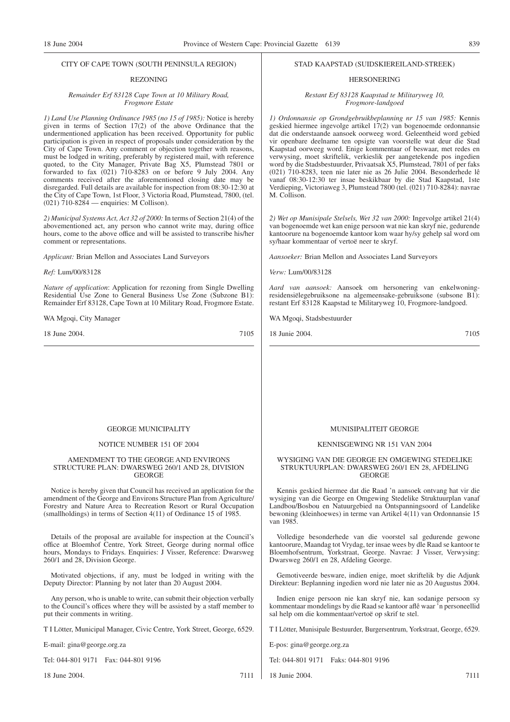#### CITY OF CAPE TOWN (SOUTH PENINSULA REGION)

#### REZONING

#### *Remainder Erf 83128 Cape Town at 10 Military Road, Frogmore Estate*

*1) Land Use Planning Ordinance 1985 (no 15 of 1985):* Notice is hereby given in terms of Section 17(2) of the above Ordinance that the undermentioned application has been received. Opportunity for public participation is given in respect of proposals under consideration by the City of Cape Town. Any comment or objection together with reasons, must be lodged in writing, preferably by registered mail, with reference quoted, to the City Manager, Private Bag X5, Plumstead 7801 or forwarded to fax (021) 710-8283 on or before 9 July 2004. Any comments received after the aforementioned closing date may be disregarded. Full details are available for inspection from 08:30-12:30 at the City of Cape Town, 1st Floor, 3 Victoria Road, Plumstead, 7800, (tel. (021) 710-8284 — enquiries: M Collison).

*2) Municipal Systems Act, Act 32 of 2000:* In terms of Section 21(4) of the abovementioned act, any person who cannot write may, during office hours, come to the above office and will be assisted to transcribe his/her comment or representations.

*Applicant:* Brian Mellon and Associates Land Surveyors

*Ref:* Lum/00/83128

*Nature of application*: Application for rezoning from Single Dwelling Residential Use Zone to General Business Use Zone (Subzone B1): Remainder Erf 83128, Cape Town at 10 Military Road, Frogmore Estate.

WA Mgoqi, City Manager

18 June 2004. 7105

#### STAD KAAPSTAD (SUIDSKIEREILAND-STREEK)

#### HERSONERING

*Restant Erf 83128 Kaapstad te Militaryweg 10, Frogmore-landgoed*

*1) Ordonnansie op Grondgebruikbeplanning nr 15 van 1985:* Kennis geskied hiermee ingevolge artikel 17(2) van bogenoemde ordonnansie dat die onderstaande aansoek oorweeg word. Geleentheid word gebied vir openbare deelname ten opsigte van voorstelle wat deur die Stad Kaapstad oorweeg word. Enige kommentaar of beswaar, met redes en verwysing, moet skriftelik, verkieslik per aangetekende pos ingedien word by die Stadsbestuurder, Privaatsak X5, Plumstead, 7801 of per faks (021) 710-8283, teen nie later nie as 26 Julie 2004. Besonderhede lê vanaf 08:30-12:30 ter insae beskikbaar by die Stad Kaapstad, 1ste Verdieping, Victoriaweg 3, Plumstead 7800 (tel. (021) 710-8284): navrae M. Collison.

*2) Wet op Munisipale Stelsels, Wet 32 van 2000:* Ingevolge artikel 21(4) van bogenoemde wet kan enige persoon wat nie kan skryf nie, gedurende kantoorure na bogenoemde kantoor kom waar hy/sy gehelp sal word om sy/haar kommentaar of vertoë neer te skryf.

*Aansoeker:* Brian Mellon and Associates Land Surveyors

*Verw:* Lum/00/83128

*Aard van aansoek:* Aansoek om hersonering van enkelwoningresidensiëlegebruiksone na algemeensake-gebruiksone (subsone B1): restant Erf 83128 Kaapstad te Militaryweg 10, Frogmore-landgoed.

WA Mgoqi, Stadsbestuurder

18 Junie 2004. 7105

#### GEORGE MUNICIPALITY

#### NOTICE NUMBER 151 OF 2004

#### AMENDMENT TO THE GEORGE AND ENVIRONS STRUCTURE PLAN: DWARSWEG 260/1 AND 28, DIVISION GEORGE

Notice is hereby given that Council has received an application for the amendment of the George and Environs Structure Plan from Agriculture/ Forestry and Nature Area to Recreation Resort or Rural Occupation (smallholdings) in terms of Section 4(11) of Ordinance 15 of 1985.

Details of the proposal are available for inspection at the Council's office at Bloemhof Centre, York Street, George during normal office hours, Mondays to Fridays. Enquiries: J Visser, Reference: Dwarsweg 260/1 and 28, Division George.

Motivated objections, if any, must be lodged in writing with the Deputy Director: Planning by not later than 20 August 2004.

Any person, who is unable to write, can submit their objection verbally to the Council's offices where they will be assisted by a staff member to put their comments in writing.

T I Lötter, Municipal Manager, Civic Centre, York Street, George, 6529.

E-mail: gina@george.org.za

Tel: 044-801 9171 Fax: 044-801 9196

18 June 2004. 7111

#### MUNISIPALITEIT GEORGE

#### KENNISGEWING NR 151 VAN 2004

#### WYSIGING VAN DIE GEORGE EN OMGEWING STEDELIKE STRUKTUURPLAN: DWARSWEG 260/1 EN 28, AFDELING GEORGE

Kennis geskied hiermee dat die Raad 'n aansoek ontvang hat vir die wysiging van die George en Omgewing Stedelike Struktuurplan vanaf Landbou/Bosbou en Natuurgebied na Ontspanningsoord of Landelike bewoning (kleinhoewes) in terme van Artikel 4(11) van Ordonnansie 15 van 1985.

Volledige besonderhede van die voorstel sal gedurende gewone kantoorure, Maandag tot Vrydag, ter insae wees by dle Raad se kantoor te Bloemhofsentrum, Yorkstraat, George. Navrae: J Visser, Verwysing: Dwarsweg 260/1 en 28, Afdeling George.

Gemotiveerde besware, indien enige, moet skriftelik by die Adjunk Direkteur: Beplanning ingedien word nie later nie as 20 Augustus 2004.

Indien enige persoon nie kan skryf nie, kan sodanige persoon sy kommentaar mondelings by die Raad se kantoor aflê waar 'n personeellid sal help om die kommentaar/vertoë op skrif te stel.

T I Lötter, Munisipale Bestuurder, Burgersentrum, Yorkstraat, George, 6529.

E-pos: gina@george.org.za

Tel: 044-801 9171 Faks: 044-801 9196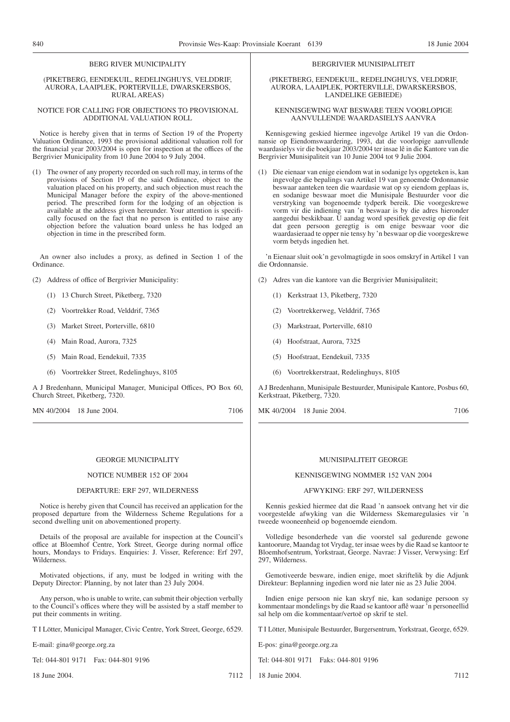#### BERG RIVER MUNICIPALITY

#### (PIKETBERG, EENDEKUIL, REDELINGHUYS, VELDDRIF, AURORA, LAAIPLEK, PORTERVILLE, DWARSKERSBOS, RURAL AREAS)

#### NOTICE FOR CALLING FOR OBJECTIONS TO PROVISIONAL ADDITIONAL VALUATION ROLL

Notice is hereby given that in terms of Section 19 of the Property Valuation Ordinance, 1993 the provisional additional valuation roll for the financial year 2003/2004 is open for inspection at the offices of the Bergrivier Municipality from 10 June 2004 to 9 July 2004.

(1) The owner of any property recorded on such roll may, in terms of the provisions of Section 19 of the said Ordinance, object to the valuation placed on his property, and such objection must reach the Municipal Manager before the expiry of the above-mentioned period. The prescribed form for the lodging of an objection is available at the address given hereunder. Your attention is specifically focused on the fact that no person is entitled to raise any objection before the valuation board unless he has lodged an objection in time in the prescribed form.

An owner also includes a proxy, as defined in Section 1 of the Ordinance.

(2) Address of office of Bergrivier Municipality:

- (1) 13 Church Street, Piketberg, 7320
- (2) Voortrekker Road, Velddrif, 7365
- (3) Market Street, Porterville, 6810
- (4) Main Road, Aurora, 7325
- (5) Main Road, Eendekuil, 7335
- (6) Voortrekker Street, Redelinghuys, 8105

A J Bredenhann, Municipal Manager, Municipal Offices, PO Box 60, Church Street, Piketberg, 7320.

MN 40/2004 18 June 2004. 7106

#### GEORGE MUNICIPALITY

#### NOTICE NUMBER 152 OF 2004

#### DEPARTURE: ERF 297, WILDERNESS

Notice is hereby given that Council has received an application for the proposed departure from the Wilderness Scheme Regulations for a second dwelling unit on abovementioned property.

Details of the proposal are available for inspection at the Council's office at Bloemhof Centre, York Street, George during normal office hours, Mondays to Fridays. Enquiries: J. Visser, Reference: Erf 297, Wilderness.

Motivated objections, if any, must be lodged in writing with the Deputy Director: Planning, by not later than 23 July 2004.

Any person, who is unable to write, can submit their objection verbally to the Council's offices where they will be assisted by a staff member to put their comments in writing.

T I Lötter, Municipal Manager, Civic Centre, York Street, George, 6529.

E-mail: gina@george.org.za

Tel: 044-801 9171 Fax: 044-801 9196

18 June 2004. 7112

#### BERGRIVIER MUNISIPALITEIT

(PIKETBERG, EENDEKUIL, REDELINGHUYS, VELDDRIF, AURORA, LAAIPLEK, PORTERVILLE, DWARSKERSBOS, LANDELIKE GEBIEDE)

#### KENNISGEWING WAT BESWARE TEEN VOORLOPIGE AANVULLENDE WAARDASIELYS AANVRA

Kennisgewing geskied hiermee ingevolge Artikel 19 van die Ordonnansie op Eiendomswaardering, 1993, dat die voorlopige aanvullende waardasielys vir die boekjaar 2003/2004 ter insae lê in die Kantore van die Bergrivier Munisipaliteit van 10 Junie 2004 tot 9 Julie 2004.

(1) Die eienaar van enige eiendom wat in sodanige lys opgeteken is, kan ingevolge die bepalings van Artikel 19 van genoemde Ordonnansie beswaar aanteken teen die waardasie wat op sy eiendom geplaas is, en sodanige beswaar moet die Munisipale Bestuurder voor die verstryking van bogenoemde tydperk bereik. Die voorgeskrewe vorm vir die indiening van 'n beswaar is by die adres hieronder aangedui beskikbaar. U aandag word spesifiek gevestig op die feit dat geen persoon geregtig is om enige beswaar voor die waardasieraad te opper nie tensy hy 'n beswaar op die voorgeskrewe vorm betyds ingedien het.

'n Eienaar sluit ook'n gevolmagtigde in soos omskryf in Artikel 1 van die Ordonnansie.

- (2) Adres van die kantore van die Bergrivier Munisipaliteit;
	- (1) Kerkstraat 13, Piketberg, 7320
	- (2) Voortrekkerweg, Velddrif, 7365
	- (3) Markstraat, Porterville, 6810
	- (4) Hoofstraat, Aurora, 7325
	- (5) Hoofstraat, Eendekuil, 7335
	- (6) Voortrekkerstraat, Redelinghuys, 8105

A J Bredenhann, Munisipale Bestuurder, Munisipale Kantore, Posbus 60, Kerkstraat, Piketberg, 7320.

MK 40/2004 18 Junie 2004. 7106

#### MUNISIPALITEIT GEORGE

#### KENNISGEWING NOMMER 152 VAN 2004

#### AFWYKING: ERF 297, WILDERNESS

Kennis geskied hiermee dat die Raad 'n aansoek ontvang het vir die voorgestelde afwyking van die Wilderness Skemaregulasies vir 'n tweede wooneenheid op bogenoemde eiendom.

Volledige besonderhede van die voorstel sal gedurende gewone kantoorure, Maandag tot Vrydag, ter insae wees by die Raad se kantoor te Bloemhofsentrum, Yorkstraat, George. Navrae: J Visser, Verwysing: Erf 297, Wilderness.

Gemotiveerde besware, indien enige, moet skriftelik by die Adjunk Direkteur: Beplanning ingedien word nie later nie as 23 Julie 2004.

Indien enige persoon nie kan skryf nie, kan sodanige persoon sy kommentaar mondelings by die Raad se kantoor aflê waar 'n personeellid sal help om die kommentaar/vertoë op skrif te stel.

T I Lötter, Munisipale Bestuurder, Burgersentrum, Yorkstraat, George, 6529.

E-pos: gina@george.org.za

Tel: 044-801 9171 Faks: 044-801 9196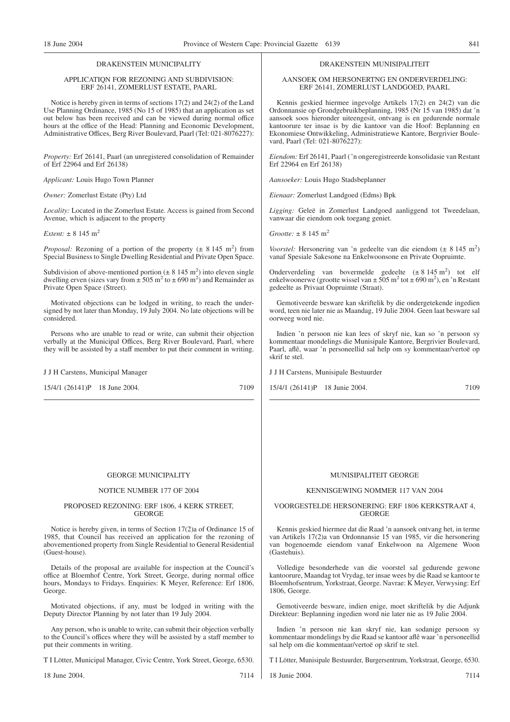#### DRAKENSTEIN MUNICIPALITY

#### APPLICATIQN FOR REZONING AND SUBDIVISION: ERF 26141, ZOMERLUST ESTATE, PAARL

Notice is hereby given in terms of sections 17(2) and 24(2) of the Land Use Planning Ordinance, 1985 (No 15 of 1985) that an application as set out below has been received and can be viewed during normal office hours at the office of the Head: Planning and Economic Development, Administrative Offices, Berg River Boulevard, Paarl (Tel: 021-8076227):

*Property:* Erf 26141, Paarl (an unregistered consolidation of Remainder of Erf 22964 and Erf 26138)

*Applicant:* Louis Hugo Town Planner

*Owner:* Zomerlust Estate (Pty) Ltd

*Locality:* Located in the Zomerlust Estate. Access is gained from Second Avenue, which is adjacent to the property

 $Frtent: + 8, 145$  m<sup>2</sup>

*Proposal:* Rezoning of a portion of the property  $(\pm 8.145 \text{ m}^2)$  from Special Business to Single Dwelling Residential and Private Open Space.

Subdivision of above-mentioned portion  $(\pm 8 \ 145 \ m^2)$  into eleven single dwelling erven (sizes vary from  $\pm 505$  m<sup>2</sup> to  $\pm 690$  m<sup>2</sup>) and Remainder as Private Open Space (Street).

Motivated objections can be lodged in writing, to reach the undersigned by not later than Monday, 19 July 2004. No late objections will be considered.

Persons who are unable to read or write, can submit their objection verbally at the Municipal Offices, Berg River Boulevard, Paarl, where they will be assisted by a staff member to put their comment in writing.

#### J J H Carstens, Municipal Manager

15/4/1 (26141)P 18 June 2004. 7109

AANSOEK OM HERSONERTNG EN ONDERVERDELING: ERF 26141, ZOMERLUST LANDGOED, PAARL

Kennis geskied hiermee ingevolge Artikels 17(2) en 24(2) van die Ordonnansie op Grondgebruikbeplanning, 1985 (Nr 15 van 1985) dat 'n aansoek soos hieronder uiteengesit, ontvang is en gedurende normale kantoorure ter insae is by die kantoor van die Hoof: Beplanning en Ekonomiese Ontwikkeling, Administratiewe Kantore, Bergrivier Boulevard, Paarl (Tel: 021-8076227):

*Eiendom:* Erf 26141, Paarl ('n ongeregistreerde konsolidasie van Restant Erf 22964 en Erf 26138)

*Aansoeker:* Louis Hugo Stadsbeplanner

*Eienaar:* Zomerlust Landgoed (Edms) Bpk

*Ligging:* Geleë in Zomerlust Landgoed aanliggend tot Tweedelaan, vanwaar die eiendom ook toegang geniet.

 $Grootte: + 8.145 \text{ m}^2$ 

*Voorstel:* Hersonering van 'n gedeelte van die eiendom  $(\pm 8.145 \text{ m}^2)$ vanaf Spesiale Sakesone na Enkelwoonsone en Private Oopruimte.

Onderverdeling van bovermelde gedeelte  $(\pm 8 \, 145 \, \text{m}^2)$  tot elf enkelwoonerwe (grootte wissel van  $\pm 505$  m<sup>2</sup> tot  $\pm 690$  m<sup>2</sup>), en 'n Restant gedeelte as Privaat Oopruimte (Straat).

Gemotiveerde besware kan skriftelik by die ondergetekende ingedien word, teen nie later nie as Maandag, 19 Julie 2004. Geen laat besware sal oorweeg word nie.

Indien 'n persoon nie kan lees of skryf nie, kan so 'n persoon sy kommentaar mondelings die Munisipale Kantore, Bergrivier Boulevard, Paarl, aflê, waar 'n personeellid sal help om sy kommentaar/vertoë op skrif te stel.

J J H Carstens, Munisipale Bestuurder

15/4/1 (26141)P 18 Junie 2004. 7109

#### GEORGE MUNICIPALITY

#### NOTICE NUMBER 177 OF 2004

#### PROPOSED REZONING: ERF 1806, 4 KERK STREET, GEORGE

Notice is hereby given, in terms of Section 17(2)a of Ordinance 15 of 1985, that Council has received an application for the rezoning of abovementioned property from Single Residential to General Residential (Guest-house).

Details of the proposal are available for inspection at the Council's office at Bloemhof Centre, York Street, George, during normal office hours, Mondays to Fridays. Enquiries: K Meyer, Reference: Erf 1806, George.

Motivated objections, if any, must be lodged in writing with the Deputy Director Planning by not later than 19 July 2004.

Any person, who is unable to write, can submit their objection verbally to the Council's offices where they will be assisted by a staff member to put their comments in writing.

T I Lötter, Municipal Manager, Civic Centre, York Street, George, 6530.

18 June 2004. 7114

## MUNISIPALITEIT GEORGE

#### KENNISGEWING NOMMER 117 VAN 2004

#### VOORGESTELDE HERSONERING: ERF 1806 KERKSTRAAT 4, GEORGE

Kennis geskied hiermee dat die Raad 'n aansoek ontvang het, in terme van Artikels 17(2)a van Ordonnansie 15 van 1985, vir die hersonering van bogenoemde eiendom vanaf Enkelwoon na Algemene Woon (Gastehuis).

Volledige besonderhede van die voorstel sal gedurende gewone kantoorure, Maandag tot Vrydag, ter insae wees by die Raad se kantoor te Bloemhofsentrum, Yorkstraat, George. Navrae: K Meyer, Verwysing: Erf 1806, George.

Gemotiveerde besware, indien enige, moet skriftelik by die Adjunk Direkteur: Beplanning ingedien word nie later nie as 19 Julie 2004.

Indien 'n persoon nie kan skryf nie, kan sodanige persoon sy kommentaar mondelings by die Raad se kantoor aflê waar 'n personeellid sal help om die kommentaar/vertoë op skrif te stel.

T I Lötter, Munisipale Bestuurder, Burgersentrum, Yorkstraat, George, 6530.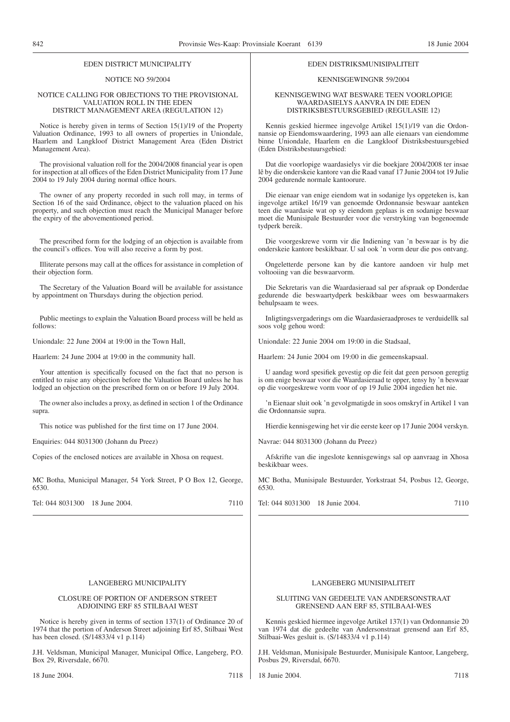#### EDEN DISTRICT MUNICIPALITY

#### NOTICE NO 59/2004

#### NOTICE CALLING FOR OBJECTIONS TO THE PROVISIONAL VALUATION ROLL IN THE EDEN DISTRICT MANAGEMENT AREA (REGULATION 12)

Notice is hereby given in terms of Section 15(1)/19 of the Property Valuation Ordinance, 1993 to all owners of properties in Uniondale, Haarlem and Langkloof District Management Area (Eden District Management Area).

The provisional valuation roll for the 2004/2008 financial year is open for inspection at all offices of the Eden District Municipality from 17 June 2004 to 19 July 2004 during normal office hours.

The owner of any property recorded in such roll may, in terms of Section 16 of the said Ordinance, object to the valuation placed on his property, and such objection must reach the Municipal Manager before the expiry of the abovementioned period.

The prescribed form for the lodging of an objection is available from the council's offices. You will also receive a form by post.

Illiterate persons may call at the offices for assistance in completion of their objection form.

The Secretary of the Valuation Board will be available for assistance by appointment on Thursdays during the objection period.

Public meetings to explain the Valuation Board process will be held as follows:

Uniondale: 22 June 2004 at 19:00 in the Town Hall,

Haarlem: 24 June 2004 at 19:00 in the community hall.

Your attention is specifically focused on the fact that no person is entitled to raise any objection before the Valuation Board unless he has lodged an objection on the prescribed form on or before 19 July 2004.

The owner also includes a proxy, as defined in section 1 of the Ordinance supra.

This notice was published for the first time on 17 June 2004.

Enquiries: 044 8031300 (Johann du Preez)

Copies of the enclosed notices are available in Xhosa on request.

MC Botha, Municipal Manager, 54 York Street, P O Box 12, George, 6530.

Tel: 044 8031300 18 June 2004. 2004

#### LANGEBERG MUNICIPALITY

#### CLOSURE OF PORTION OF ANDERSON STREET ADJOINING ERF 85 STILBAAI WEST

Notice is hereby given in terms of section 137(1) of Ordinance 20 of 1974 that the portion of Anderson Street adjoining Erf 85, Stilbaai West has been closed. (S/14833/4 v1 p.114)

J.H. Veldsman, Municipal Manager, Municipal Office, Langeberg, P.O. Box 29, Riversdale, 6670.

#### EDEN DISTRIKSMUNISIPALITEIT

#### KENNISGEWINGNR 59/2004

#### KENNISGEWING WAT BESWARE TEEN VOORLOPIGE WAARDASIELYS AANVRA IN DIE EDEN DISTRIKSBESTUURSGEBIED (REGULASIE 12)

Kennis geskied hiermee ingevolge Artikel 15(1)/19 van die Ordonnansie op Eiendomswaardering, 1993 aan alle eienaars van eiendomme binne Uniondale, Haarlem en die Langkloof Distriksbestuursgebied (Eden Distriksbestuursgebied:

Dat die voorlopige waardasielys vir die boekjare 2004/2008 ter insae lê by die onderskeie kantore van die Raad vanaf 17 Junie 2004 tot 19 Julie 2004 gedurende normale kantoorure.

Die eienaar van enige eiendom wat in sodanige lys opgeteken is, kan ingevolge artikel 16/19 van genoemde Ordonnansie beswaar aanteken teen die waardasie wat op sy eiendom geplaas is en sodanige beswaar moet die Munisipale Bestuurder voor die verstryking van bogenoemde tydperk bereik.

Die voorgeskrewe vorm vir die Indiening van 'n beswaar is by die onderskeie kantore beskikbaar. U sal ook 'n vorm deur die pos ontvang.

Ongeletterde persone kan by die kantore aandoen vir hulp met voltooiing van die beswaarvorm.

Die Sekretaris van die Waardasieraad sal per afspraak op Donderdae gedurende die beswaartydperk beskikbaar wees om beswaarmakers behulpsaam te wees.

Inligtingsvergaderings om die Waardasieraadproses te verduidellk sal soos volg gehou word:

Uniondale: 22 Junie 2004 om 19:00 in die Stadsaal,

Haarlem: 24 Junie 2004 om 19:00 in die gemeenskapsaal.

U aandag word spesifiek gevestig op die feit dat geen persoon geregtig is om enige beswaar voor die Waardasieraad te opper, tensy hy 'n beswaar op die voorgeskrewe vorm voor of op 19 Julie 2004 ingedien het nie.

'n Eienaar sluit ook 'n gevolgmatigde in soos omskryf in Artikel 1 van die Ordonnansie supra.

Hierdie kennisgewing het vir die eerste keer op 17 Junie 2004 verskyn.

Navrae: 044 8031300 (Johann du Preez)

Afskrifte van die ingeslote kennisgewings sal op aanvraag in Xhosa beskikbaar wees.

MC Botha, Munisipale Bestuurder, Yorkstraat 54, Posbus 12, George, 6530.

Tel: 044 8031300 18 Junie 2004. 7110

#### LANGEBERG MUNISIPALITEIT

#### SLUITING VAN GEDEELTE VAN ANDERSONSTRAAT GRENSEND AAN ERF 85, STILBAAI-WES

Kennis geskied hiermee ingevolge Artikel 137(1) van Ordonnansie 20 van 1974 dat die gedeelte van Andersonstraat grensend aan Erf 85, Stilbaai-Wes gesluit is. (S/14833/4 v1 p.114)

J.H. Veldsman, Munisipale Bestuurder, Munisipale Kantoor, Langeberg, Posbus 29, Riversdal, 6670.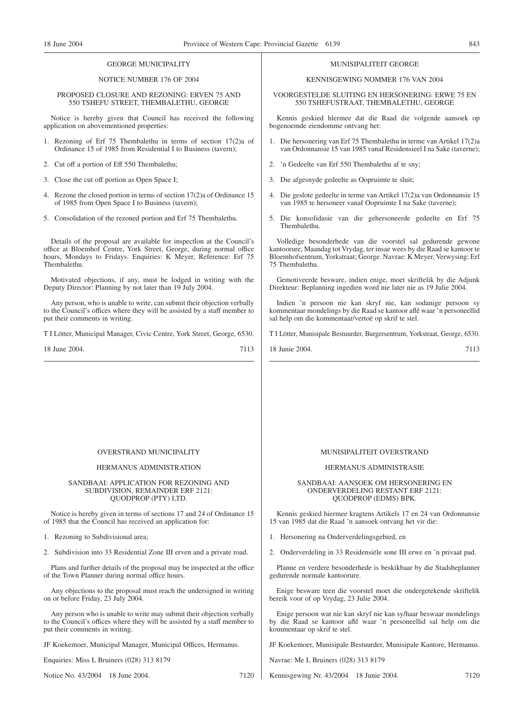#### GEORGE MUNICIPALITY

#### NOTICE NUMBER 176 OF 2004

#### PROPOSED CLOSURE AND REZONING: ERVEN 75 AND 550 TSHEFU STREET, THEMBALETHU, GEORGE

Notice is hereby given that Council has received the following application on abovementioned properties:

- 1. Rezoning of Erf 75 Thembalethu in terms of section 17(2)a of Ordinance 15 of 1985 from Residential I to Business (tavern);
- 2. Cut off a portion of Eff 550 Thembalethu;
- 3. Close the cut off portion as Open Space I;
- 4. Rezone the closed portion in terms of section 17(2)a of Ordinance 15 of 1985 from Open Space I to Business (tavern);
- 5. Consolidation of the rezoned portion and Erf 75 Thembalethu.

Details of the proposal are available for inspectlon at the Council's office at Bloemhof Centre, York Street, George, during normal office hours, Mondays to Fridays. Enquiries: K Meyer, Reference: Erf 75 Thembalethu.

Motivated objections, if any, must be lodged in writing with the Deputy Director: Planning by not later than 19 July 2004.

Any person, who is unable to write, can submit their objection verbally to the Council's offices where they will be assisted by a staff member to put their comments in writing.

T I Lötter, Municipal Manager, Civic Centre, York Street, George, 6530.

18 June 2004. 7113

#### MUNISIPALITEIT GEORGE

#### KENNISGEWING NOMMER 176 VAN 2004

VOORGESTELDE SLUITING EN HERSONERING: ERWE 75 EN 550 TSHEFUSTRAAT, THEMBALETHU, GEORGE

Kennis geskied hlermee dat die Raad die volgende aansoek op bogenoemde eiendomme ontvang het:

- 1. Die hersonering van Erf 75 Thembalethu in terme van Artikel 17(2)a van Ordonnansie 15 van 1985 vanaf Residensieel I na Sake (taverne);
- 2. 'n Gedeelte van Erf 550 Thembalethu af te sny;
- 3. Die afgesnyde gedeelte as Oopruimte te sluit;
- 4. Die geslote gedeelte in terme van Artikel 17(2)a van Ordonnansie 15 van 1985 te hersoneer vanaf Oopruimte I na Sake (taverne);
- 5. Die konsolidasie van die gehersoneerde gedeelte en Erf 75 Thembalethu.

Volledige besonderhede van die voorstel sal gedurende gewone kantoorure, Maandag tot Vrydag, ter insae wees by die Raad se kantoor te Bloemhofsentrum, Yorkstraat; George. Navrae: K Meyer, Verwysing: Erf 75 Thembalethu.

Gemotiveerde besware, indien enige, moet skriftelik by die Adjunk Direkteur: Beplanning ingedien word nie later nie as 19 Julie 2004.

Indien 'n persoon nie kan skryf nie, kan sodanige persoon sy kommentaar mondelings by die Raad se kantoor aflê waar 'n personeellid sal help om die kommentaar/vertoë op skrif te stel.

T I Lötter, Munisipale Bestuurder, Burgersentrum, Yorkstraat, George, 6530.

18 Junie 2004. 7113

#### OVERSTRAND MUNICIPALITY

#### HERMANUS ADMINISTRATION

#### SANDBAAI: APPLICATION FOR REZONING AND SUBDIVISION, REMAINDER ERF 2121: QUODPROP (PTY) LTD.

Notice is hereby given in terms of sections 17 and 24 of Ordinance 15 of 1985 that the Council has received an application for:

1. Rezoning to Subdivisional area;

2. Subdivision into 33 Residential Zone III erven and a private road.

Plans and further details of the proposal may be inspected at the office of the Town Planner during normal office hours.

Any objections to the proposal must reach the undersigned in writing on or before Friday, 23 July 2004.

Any person who is unable to write may submit their objection verbally to the Council's offices where they will be assisted by a staff member to put their comments in writing.

JF Koekemoer, Municipal Manager, Municipal Offices, Hermanus.

Enquiries: Miss L Bruiners (028) 313 8179

Notice No. 43/2004 18 June 2004. 7120

#### MUNISIPALITEIT OVERSTRAND

#### HERMANUS ADMINISTRASIE

#### SANDBAAI: AANSOEK OM HERSONERING EN ONDERVERDELING RESTANT ERF 2121: QUODPROP (EDMS) BPK.

Kennis geskied hiermee kragtens Artikels 17 en 24 van Ordonnansie 15 van 1985 dat die Raad 'n aansoek ontvang het vir die:

- 1. Hersonering na Onderverdelingsgebied, en
- 2. Onderverdeling in 33 Residensiële sone III erwe en 'n privaat pad.

Planne en verdere besonderhede is beskikbaar by die Stadsbeplanner gedurende normale kantoorure.

Enige besware teen die voorstel moet die ondergetekende skriftelik bereik voor of op Vrydag, 23 Julie 2004.

Enige persoon wat nie kan skryf nie kan sy/haar beswaar mondelings by die Raad se kantoor aflê waar 'n personeellid sal help om die kommentaar op skrif te stel.

JF Koekemoer, Munisipale Bestuurder, Munisipale Kantore, Hermanus.

Navrae: Me L Bruiners (028) 313 8179

Kennisgewing Nr. 43/2004 18 Junie 2004. 7120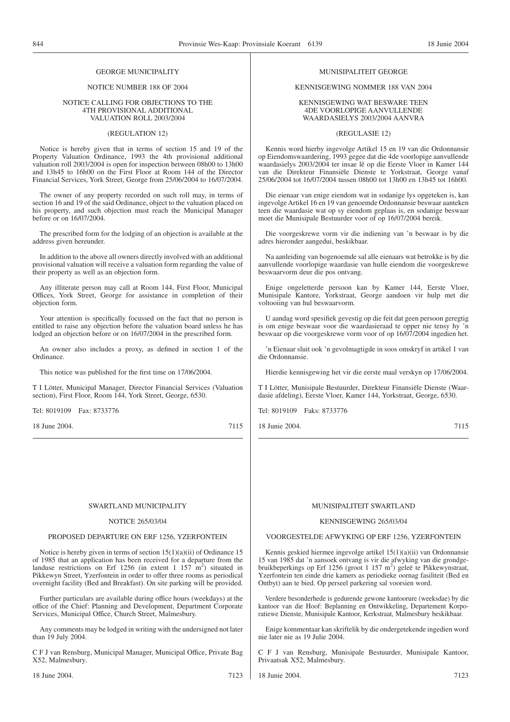#### GEORGE MUNICIPALITY

#### NOTICE NUMBER 188 OF 2004

#### NOTICE CALLING FOR OBJECTIONS TO THE 4TH PROVISIONAL ADDITIONAL VALUATION ROLL 2003/2004

#### (REGULATION 12)

Notice is hereby given that in terms of section 15 and 19 of the Property Valuation Ordinance, 1993 the 4th provisional additional valuation roll 2003/2004 is open for inspection between 08h00 to 13h00 and 13h45 to 16h00 on the First Floor at Room 144 of the Director Financial Services, York Street, George from 25/06/2004 to 16/07/2004.

The owner of any property recorded on such roll may, in terms of section 16 and 19 of the said Ordinance, object to the valuation placed on his property, and such objection must reach the Municipal Manager before or on 16/07/2004.

The prescribed form for the lodging of an objection is available at the address given hereunder.

In addition to the above all owners directly involved with an additional provisional valuation will receive a valuation form regarding the value of their property as well as an objection form.

Any illiterate person may call at Room 144, First Floor, Municipal Offices, York Street, George for assistance in completion of their objection form.

Your attention is specifically focussed on the fact that no person is entitled to raise any objection before the valuation board unless he has lodged an objection before or on 16/07/2004 in the prescribed form.

An owner also includes a proxy, as defined in section 1 of the Ordinance.

This notice was published for the first time on 17/06/2004.

T I Lötter, Municipal Manager, Director Financial Services (Valuation section), First Floor, Room 144, York Street, George, 6530.

Tel: 8019109 Fax: 8733776

18 June 2004. 7115

#### MUNISIPALITEIT GEORGE

#### KENNISGEWING NOMMER 188 VAN 2004

#### KENNISGEWING WAT BESWARE TEEN 4DE VOORLOPIGE AANVULLENDE WAARDASIELYS 2003/2004 AANVRA

#### (REGULASIE 12)

Kennis word hierby ingevolge Artikel 15 en 19 van die Ordonnansie op Eiendomswaardering, 1993 gegee dat die 4de voorlopige aanvullende waardasielys 2003/2004 ter insae lê op die Eerste Vloer in Kamer 144 van die Direkteur Finansiële Dienste te Yorkstraat, George vanaf 25/06/2004 tot 16/07/2004 tussen 08h00 tot 13h00 en 13h45 tot 16h00.

Die eienaar van enige eiendom wat in sodanige lys opgeteken is, kan ingevolge Artikel 16 en 19 van genoemde Ordonnansie beswaar aanteken teen die waardasie wat op sy eiendom geplaas is, en sodanige beswaar moet die Munisipale Bestuurder voor of op 16/07/2004 bereik.

Die voorgeskrewe vorm vir die indiening van 'n beswaar is by die adres hieronder aangedui, beskikbaar.

Na aanleiding van bogenoemde sal alle eienaars wat betrokke is by die aanvullende voorlopige waardasie van hulle eiendom die voorgeskrewe beswaarvorm deur die pos ontvang.

Enige ongeletterde persoon kan by Kamer 144, Eerste Vloer, Munisipale Kantore, Yorkstraat, George aandoen vir hulp met die voltooiing van hul beswaarvorm.

U aandag word spesifiek gevestig op die feit dat geen persoon geregtig is om enige beswaar voor die waardasieraad te opper nie tensy hy 'n beswaar op die voorgeskrewe vorm voor of op 16/07/2004 ingedien het.

'n Eienaar sluit ook 'n gevolmagtigde in soos omskryf in artikel 1 van die Ordonnansie.

Hierdie kennisgewing het vir die eerste maal verskyn op 17/06/2004.

T I Lötter, Munisipale Bestuurder, Direkteur Finansiële Dienste (Waardasie afdeling), Eerste Vloer, Kamer 144, Yorkstraat, George, 6530.

Tel: 8019109 Faks: 8733776

18 Junie 2004. 7115

#### SWARTLAND MUNICIPALITY

#### NOTICE 265/03/04

#### PROPOSED DEPARTURE ON ERF 1256, YZERFONTEIN

Notice is hereby given in terms of section 15(1)(a)(ii) of Ordinance 15 of 1985 that an application has been received for a departure from the landuse restrictions on Erf 1256 (in extent 1 157  $\text{m}^2$ ) situated in Pikkewyn Street, Yzerfontein in order to offer three rooms as periodical overnight facility (Bed and Breakfast). On site parking will be provided.

Further particulars are available during office hours (weekdays) at the office of the Chief: Planning and Development, Department Corporate Services, Municipal Office, Church Street, Malmesbury.

Any comments may be lodged in writing with the undersigned not later than 19 July 2004.

C F J van Rensburg, Municipal Manager, Municipal Office, Private Bag X52, Malmesbury.

#### MUNISIPALITEIT SWARTLAND

#### KENNISGEWING 265/03/04

#### VOORGESTELDE AFWYKING OP ERF 1256, YZERFONTEIN

Kennis geskied hiermee ingevolge artikel 15(1)(a)(ii) van Ordonnansie 15 van 1985 dat 'n aansoek ontvang is vir die afwyking van die grondgebruikbeperkings op Erf 1256 (groot 1 157 m<sup>2</sup>) geleë te Pikkewynstraat, Yzerfontein ten einde drie kamers as periodieke oornag fasiliteit (Bed en Ontbyt) aan te bied. Op perseel parkering sal voorsien word.

Verdere besonderhede is gedurende gewone kantoorure (weeksdae) by die kantoor van die Hoof: Beplanning en Ontwikkeling, Departement Korporatiewe Dienste, Munisipale Kantoor, Kerkstraat, Malmesbury beskikbaar.

Enige kommentaar kan skriftelik by die ondergetekende ingedien word nie later nie as 19 Julie 2004.

C F J van Rensburg, Munisipale Bestuurder, Munisipale Kantoor, Privaatsak X52, Malmesbury.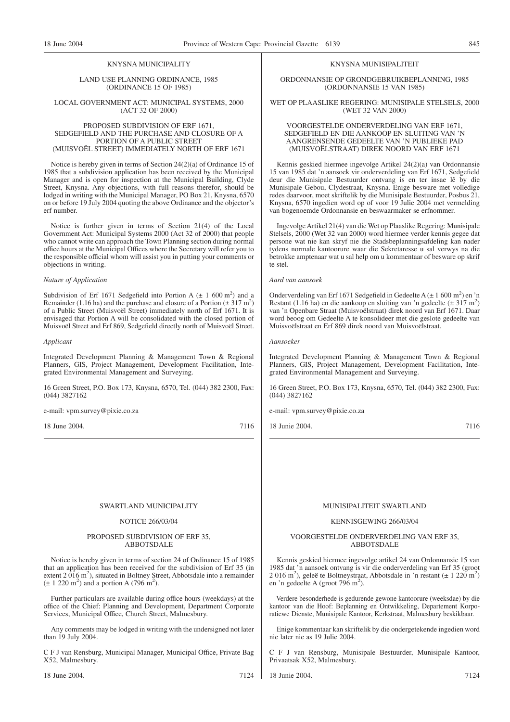#### KNYSNA MUNICIPALITY

LAND USE PLANNING ORDINANCE, 1985 (ORDINANCE 15 OF 1985)

#### LOCAL GOVERNMENT ACT: MUNICIPAL SYSTEMS, 2000 (ACT 32 OF 2000)

#### PROPOSED SUBDIVISION OF ERF 1671, SEDGEFIELD AND THE PURCHASE AND CLOSURE OF A PORTION OF A PUBLIC STREET (MUISVOËL STREET) IMMEDIATELY NORTH OF ERF 1671

Notice is hereby given in terms of Section 24(2)(a) of Ordinance 15 of 1985 that a subdivision application has been received by the Municipal Manager and is open for inspection at the Municipal Building, Clyde Street, Knysna. Any objections, with full reasons therefor, should be lodged in writing with the Municipal Manager, PO Box 21, Knysna, 6570 on or before 19 July 2004 quoting the above Ordinance and the objector's erf number.

Notice is further given in terms of Section 21(4) of the Local Government Act: Municipal Systems 2000 (Act 32 of 2000) that people who cannot write can approach the Town Planning section during normal office hours at the Municipal Offices where the Secretary will refer you to the responsible official whom will assist you in putting your comments or objections in writing.

#### *Nature of Application*

Subdivision of Erf 1671 Sedgefield into Portion A  $(\pm 1, 600 \text{ m}^2)$  and a Remainder (1.16 ha) and the purchase and closure of a Portion  $(\pm 317 \text{ m}^2)$ of a Public Street (Muisvoël Street) immediately north of Erf 1671. It is envisaged that Portion A will be consolidated with the closed portion of Muisvoël Street and Erf 869, Sedgefield directly north of Muisvoël Street.

#### *Applicant*

Integrated Development Planning & Management Town & Regional Planners, GIS, Project Management, Development Facilitation, Integrated Environmental Management and Surveying.

16 Green Street, P.O. Box 173, Knysna, 6570, Tel. (044) 382 2300, Fax: (044) 3827162

e-mail: vpm.survey@pixie.co.za

18 June 2004. 7116

#### KNYSNA MUNISIPALITEIT

ORDONNANSIE OP GRONDGEBRUIKBEPLANNING, 1985 (ORDONNANSIE 15 VAN 1985)

#### WET OP PLAASLIKE REGERING: MUNISIPALE STELSELS, 2000 (WET 32 VAN 2000)

#### VOORGESTELDE ONDERVERDELING VAN ERF 1671, SEDGEFIELD EN DIE AANKOOP EN SLUITING VAN 'N AANGRENSENDE GEDEELTE VAN 'N PUBLIEKE PAD (MUISVOËLSTRAAT) DIREK NOORD VAN ERF 1671

Kennis geskied hiermee ingevolge Artikel 24(2)(a) van Ordonnansie 15 van 1985 dat 'n aansoek vir onderverdeling van Erf 1671, Sedgefield deur die Munisipale Bestuurder ontvang is en ter insae lê by die Munisipale Gebou, Clydestraat, Knysna. Enige besware met volledige redes daarvoor, moet skriftelik by die Munisipale Bestuurder, Posbus 21, Knysna, 6570 ingedien word op of voor 19 Julie 2004 met vermelding van bogenoemde Ordonnansie en beswaarmaker se erfnommer.

Ingevolge Artikel 21(4) van die Wet op Plaaslike Regering: Munisipale Stelsels, 2000 (Wet 32 van 2000) word hiermee verder kennis gegee dat persone wat nie kan skryf nie die Stadsbeplanningsafdeling kan nader tydens normale kantoorure waar die Sekretaresse u sal verwys na die betrokke amptenaar wat u sal help om u kommentaar of besware op skrif te stel.

#### *Aard van aansoek*

Onderverdeling van Erf 1671 Sedgefield in Gedeelte A ( $\pm$  1 600 m<sup>2</sup>) en 'n Restant (1.16 ha) en die aankoop en sluiting van 'n gedeelte ( $\pm$  317 m<sup>2</sup>) van 'n Openbare Straat (Muisvoëlstraat) direk noord van Erf 1671. Daar word beoog om Gedeelte A te konsolideer met die geslote gedeelte van Muisvoëlstraat en Erf 869 direk noord van Muisvoëlstraat.

*Aansoeker*

Integrated Development Planning & Management Town & Regional Planners, GIS, Project Management, Development Facilitation, Integrated Environmental Management and Surveying.

16 Green Street, P.O. Box 173, Knysna, 6570, Tel. (044) 382 2300, Fax: (044) 3827162

e-mail: vpm.survey@pixie.co.za

18 Junie 2004. 7116

#### SWARTLAND MUNICIPALITY

#### NOTICE 266/03/04

#### PROPOSED SUBDIVISION OF ERF 35, ABBOTSDALE

Notice is hereby given in terms of section 24 of Ordinance 15 of 1985 that an application has been received for the subdivision of Erf 35 (in extent 2 016 m<sup>2</sup>), situated in Boltney Street, Abbotsdale into a remainder  $(\pm 1, 220 \text{ m}^2)$  and a portion A (796 m<sup>2</sup>).

Further particulars are available during office hours (weekdays) at the office of the Chief: Planning and Development, Department Corporate Services, Municipal Office, Church Street, Malmesbury.

Any comments may be lodged in writing with the undersigned not later than 19 July 2004.

C F J van Rensburg, Municipal Manager, Municipal Office, Private Bag X52, Malmesbury.

#### MUNISIPALITEIT SWARTLAND

#### KENNISGEWING 266/03/04

#### VOORGESTELDE ONDERVERDELING VAN ERF 35, ABBOTSDALE

Kennis geskied hiermee ingevolge artikel 24 van Ordonnansie 15 van 1985 dat 'n aansoek ontvang is vir die onderverdeling van Erf 35 (groot  $2\ 016\ \text{m}^2$ ), geleë te Boltneystraat, Abbotsdale in 'n restant (± 1 220 m<sup>2</sup>) en 'n gedeelte A (groot 796 m<sup>2</sup>).

Verdere besonderhede is gedurende gewone kantoorure (weeksdae) by die kantoor van die Hoof: Beplanning en Ontwikkeling, Departement Korporatiewe Dienste, Munisipale Kantoor, Kerkstraat, Malmesbury beskikbaar.

Enige kommentaar kan skriftelik by die ondergetekende ingedien word nie later nie as 19 Julie 2004.

C F J van Rensburg, Munisipale Bestuurder, Munisipale Kantoor, Privaatsak X52, Malmesbury.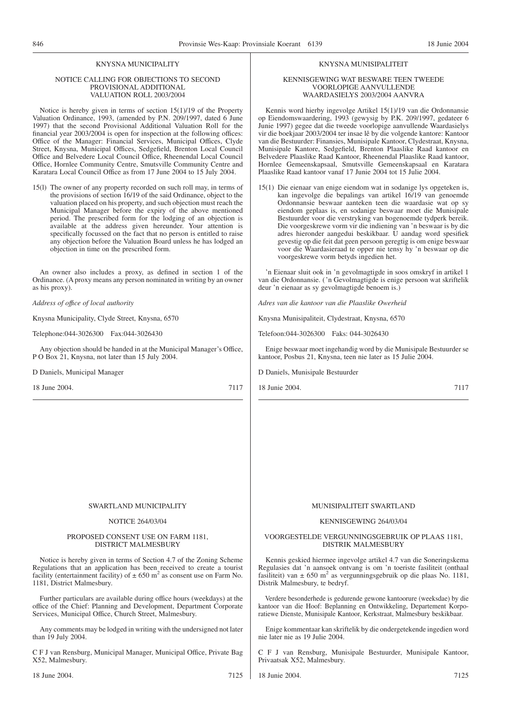## KNYSNA MUNICIPALITY

#### NOTICE CALLING FOR OBJECTIONS TO SECOND PROVISIONAL ADDITIONAL VALUATION ROLL 2003/2004

Notice is hereby given in terms of section 15(1)/19 of the Property Valuation Ordinance, 1993, (amended by P.N. 209/1997, dated 6 June 1997) that the second Provisional Additional Valuation Roll for the financial year 2003/2004 is open for inspection at the following offices: Office of the Manager: Financial Services, Municipal Offices, Clyde Street, Knysna, Municipal Offices, Sedgefield, Brenton Local Council Office and Belvedere Local Council Office, Rheenendal Local Council Office, Hornlee Community Centre, Smutsville Community Centre and Karatara Local Council Office as from 17 June 2004 to 15 July 2004.

15(l) The owner of any property recorded on such roll may, in terms of the provisions of section 16/19 of the said Ordinance, object to the valuation placed on his property, and such objection must reach the Municipal Manager before the expiry of the above mentioned period. The prescribed form for the lodging of an objection is available at the address given hereunder. Your attention is specifically focussed on the fact that no person is entitled to raise any objection before the Valuation Board unless he has lodged an objection in time on the prescribed form.

An owner also includes a proxy, as defined in section 1 of the Ordinance. (A proxy means any person nominated in writing by an owner as his proxy).

*Address of offıce of local authority*

Knysna Municipality, Clyde Street, Knysna, 6570

Telephone:044-3026300 Fax:044-3026430

Any objection should be handed in at the Municipal Manager's Office, P O Box 21, Knysna, not later than 15 July 2004.

D Daniels, Municipal Manager

18 June 2004. 7117

#### KNYSNA MUNISIPALITEIT

#### KENNISGEWING WAT BESWARE TEEN TWEEDE VOORLOPIGE AANVULLENDE WAARDASIELYS 2003/2004 AANVRA

Kennis word hierby ingevolge Artikel 15(1)/19 van die Ordonnansie op Eiendomswaardering, 1993 (gewysig by P.K. 209/1997, gedateer 6 Junie 1997) gegee dat die tweede voorlopige aanvullende Waardasielys vir die boekjaar 2003/2004 ter insae lê by die volgende kantore: Kantoor van die Bestuurder: Finansies, Munisipale Kantoor, Clydestraat, Knysna, Munisipale Kantore, Sedgefield, Brenton Plaaslike Raad kantoor en Belvedere Plaaslike Raad Kantoor, Rheenendal Plaaslike Raad kantoor, Hornlee Gemeenskapsaal, Smutsville Gemeenskapsaal en Karatara Plaaslike Raad kantoor vanaf 17 Junie 2004 tot 15 Julie 2004.

15(1) Die eienaar van enige eiendom wat in sodanige lys opgeteken is, kan ingevolge die bepalings van artikel 16/19 van genoemde Ordonnansie beswaar aanteken teen die waardasie wat op sy eiendom geplaas is, en sodanige beswaar moet die Munisipale Bestuurder voor die verstryking van bogenoemde tydperk bereik. Die voorgeskrewe vorm vir die indiening van 'n beswaar is by die adres hieronder aangedui beskikbaar. U aandag word spesifiek gevestig op die feit dat geen persoon geregtig is om enige beswaar voor die Waardasieraad te opper nie tensy hy 'n beswaar op die voorgeskrewe vorm betyds ingedien het.

'n Eienaar sluit ook in 'n gevolmagtigde in soos omskryf in artikel 1 van die Ordonnansie. ('n Gevolmagtigde is enige persoon wat skriftelik deur 'n eienaar as sy gevolmagtigde benoem is.)

*Adres van die kantoor van die Plaaslike Owerheid*

Knysna Munisipaliteit, Clydestraat, Knysna, 6570

Telefoon:044-3026300 Faks: 044-3026430

Enige beswaar moet ingehandig word by die Munisipale Bestuurder se kantoor, Posbus 21, Knysna, teen nie later as 15 Julie 2004.

D Daniels, Munisipale Bestuurder

18 Junie 2004. 7117

#### SWARTLAND MUNICIPALITY

#### NOTICE 264/03/04

#### PROPOSED CONSENT USE ON FARM 1181, DISTRICT MALMESBURY

Notice is hereby given in terms of Section 4.7 of the Zoning Scheme Regulations that an application has been received to create a tourist facility (entertainment facility) of  $\pm 650$  m<sup>2</sup> as consent use on Farm No. 1181, District Malmesbury.

Further particulars are available during office hours (weekdays) at the office of the Chief: Planning and Development, Department Corporate Services, Municipal Office, Church Street, Malmesbury.

Any comments may be lodged in writing with the undersigned not later than 19 July 2004.

C F J van Rensburg, Municipal Manager, Municipal Office, Private Bag X52, Malmesbury.

#### MUNISIPALITEIT SWARTLAND

#### KENNISGEWING 264/03/04

#### VOORGESTELDE VERGUNNINGSGEBRUIK OP PLAAS 1181, DISTRIK MALMESBURY

Kennis geskied hiermee ingevolge artikel 4.7 van die Soneringskema Regulasies dat 'n aansoek ontvang is om 'n toeriste fasiliteit (onthaal fasiliteit) van  $\pm 650$  m<sup>2</sup> as vergunningsgebruik op die plaas No. 1181, Distrik Malmesbury, te bedryf.

Verdere besonderhede is gedurende gewone kantoorure (weeksdae) by die kantoor van die Hoof: Beplanning en Ontwikkeling, Departement Korporatiewe Dienste, Munisipale Kantoor, Kerkstraat, Malmesbury beskikbaar.

Enige kommentaar kan skriftelik by die ondergetekende ingedien word nie later nie as 19 Julie 2004.

C F J van Rensburg, Munisipale Bestuurder, Munisipale Kantoor, Privaatsak X52, Malmesbury.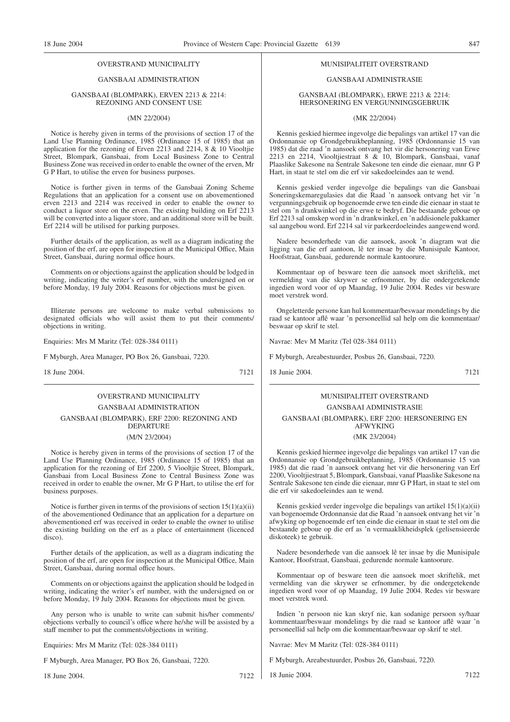#### OVERSTRAND MUNICIPALITY

#### GANSBAAI ADMINISTRATION

#### GANSBAAI (BLOMPARK), ERVEN 2213 & 2214: REZONING AND CONSENT USE

#### (MN 22/2004)

Notice is hereby given in terms of the provisions of section 17 of the Land Use Planning Ordinance, 1985 (Ordinance 15 of 1985) that an application for the rezoning of Erven 2213 and 2214, 8 & 10 Viooltjie Street, Blompark, Gansbaai, from Local Business Zone to Central Business Zone was received in order to enable the owner of the erven, Mr G P Hart, to utilise the erven for business purposes.

Notice is further given in terms of the Gansbaai Zoning Scheme Regulations that an application for a consent use on abovementioned erven 2213 and 2214 was received in order to enable the owner to conduct a liquor store on the erven. The existing building on Erf 2213 will be converted into a liquor store, and an additional store will be built. Erf 2214 will be utilised for parking purposes.

Further details of the application, as well as a diagram indicating the position of the erf, are open for inspection at the Municipal Office, Main Street, Gansbaai, during normal office hours.

Comments on or objections against the application should be lodged in writing, indicating the writer's erf number, with the undersigned on or before Monday, 19 July 2004. Reasons for objections must be given.

Illiterate persons are welcome to make verbal submissions to designated officials who will assist them to put their comments/ objections in writing.

Enquiries: Mrs M Maritz (Tel: 028-384 0111)

F Myburgh, Area Manager, PO Box 26, Gansbaai, 7220.

18 June 2004. 7121

## OVERSTRAND MUNICIPALITY GANSBAAI ADMINISTRATION GANSBAAI (BLOMPARK), ERF 2200: REZONING AND DEPARTURE

#### (M/N 23/2004)

Notice is hereby given in terms of the provisions of section 17 of the Land Use Planning Ordinance, 1985 (Ordinance 15 of 1985) that an application for the rezoning of Erf 2200, 5 Viooltjie Street, Blompark, Gansbaai from Local Business Zone to Central Business Zone was received in order to enable the owner, Mr G P Hart, to utilise the erf for business purposes.

Notice is further given in terms of the provisions of section  $15(1)(a)(ii)$ of the abovementioned Ordinance that an application for a departure on abovementioned erf was received in order to enable the owner to utilise the existing building on the erf as a place of entertainment (licenced disco).

Further details of the application, as well as a diagram indicating the position of the erf, are open for inspection at the Municipal Office, Main Street, Gansbaai, during normal office hours.

Comments on or objections against the application should be lodged in writing, indicating the writer's erf number, with the undersigned on or before Monday, 19 July 2004. Reasons for objections must be given.

Any person who is unable to write can submit his/her comments/ objections verbally to council's office where he/she will be assisted by a staff member to put the comments/objections in writing.

Enquiries: Mrs M Maritz (Tel: 028-384 0111)

F Myburgh, Area Manager, PO Box 26, Gansbaai, 7220.

18 June 2004. 7122

#### MUNISIPALITEIT OVERSTRAND

#### GANSBAAI ADMINISTRASIE

#### GANSBAAI (BLOMPARK), ERWE 2213 & 2214: HERSONERING EN VERGUNNINGSGEBRUIK

(MK 22/2004)

Kennis geskied hiermee ingevolge die bepalings van artikel 17 van die Ordonnansie op Grondgebruikbeplanning, 1985 (Ordonnansie 15 van 1985) dat die raad 'n aansoek ontvang het vir die hersonering van Erwe 2213 en 2214, Viooltjiestraat 8 & 10, Blompark, Gansbaai, vanaf Plaaslike Sakesone na Sentrale Sakesone ten einde die eienaar, mnr G P Hart, in staat te stel om die erf vir sakedoeleindes aan te wend.

Kennis geskied verder ingevolge die bepalings van die Gansbaai Soneringskemaregulasies dat die Raad 'n aansoek ontvang het vir 'n vergunningsgebruik op bogenoemde erwe ten einde die eienaar in staat te stel om 'n drankwinkel op die erwe te bedryf. Die bestaande geboue op Erf 2213 sal omskep word in 'n drankwinkel, en 'n addisionele pakkamer sal aangebou word. Erf 2214 sal vir parkeerdoeleindes aangewend word.

Nadere besonderhede van die aansoek, asook 'n diagram wat die ligging van die erf aantoon, lê ter insae by die Munisipale Kantoor, Hoofstraat, Gansbaai, gedurende normale kantoorure.

Kommentaar op of besware teen die aansoek moet skriftelik, met vermelding van die skrywer se erfnommer, by die ondergetekende ingedien word voor of op Maandag, 19 Julie 2004. Redes vir besware moet verstrek word.

Ongeletterde persone kan hul kommentaar/beswaar mondelings by die raad se kantoor aflê waar 'n personeellid sal help om die kommentaar/ beswaar op skrif te stel.

Navrae: Mev M Maritz (Tel 028-384 0111)

F Myburgh, Areabestuurder, Posbus 26, Gansbaai, 7220.

18 Junie 2004. 7121

## MUNISIPAL ITEIT OVERSTRAND GANSBAAI ADMINISTRASIE GANSBAAI (BLOMPARK), ERF 2200: HERSONERING EN AFWYKING

#### (MK 23/2004)

Kennis geskied hiermee ingevolge die bepalings van artikel 17 van die Ordonnansie op Grondgebruikbeplanning, 1985 (Ordonnansie 15 van 1985) dat die raad 'n aansoek ontvang het vir die hersonering van Erf 2200, Viooltjiestraat 5, Blompark, Gansbaai, vanaf Plaaslike Sakesone na Sentrale Sakesone ten einde die eienaar, mnr G P Hart, in staat te stel om die erf vir sakedoeleindes aan te wend.

Kennis geskied verder ingevolge die bepalings van artikel 15(1)(a)(ii) van bogenoemde Ordonnansie dat die Raad 'n aansoek ontvang het vir 'n afwyking op bogenoemde erf ten einde die eienaar in staat te stel om die bestaande geboue op die erf as 'n vermaaklikheidsplek (gelisensieerde diskoteek) te gebruik.

Nadere besonderhede van die aansoek lê ter insae by die Munisipale Kantoor, Hoofstraat, Gansbaai, gedurende normale kantoorure.

Kommentaar op of besware teen die aansoek moet skriftelik, met vermelding van die skrywer se erfnommer, by die ondergetekende ingedien word voor of op Maandag, 19 Julie 2004. Redes vir besware moet verstrek word.

Indien 'n persoon nie kan skryf nie, kan sodanige persoon sy/haar kommentaar/beswaar mondelings by die raad se kantoor aflê waar 'n personeellid sal help om die kommentaar/beswaar op skrif te stel.

Navrae: Mev M Maritz (Tel: 028-384 0111)

F Myburgh, Areabestuurder, Posbus 26, Gansbaai, 7220.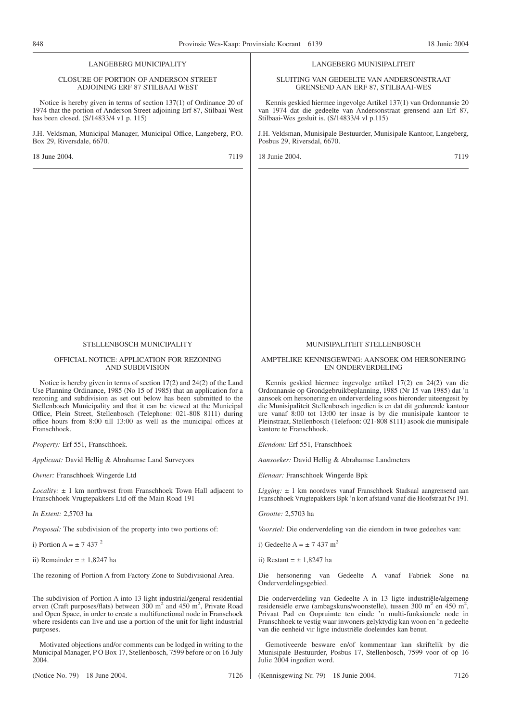#### LANGEBERG MUNICIPALITY

#### CLOSURE OF PORTION OF ANDERSON STREET ADJOINING ERF 87 STILBAAI WEST

Notice is hereby given in terms of section 137(1) of Ordinance 20 of 1974 that the portion of Anderson Street adjoining Erf 87, Stilbaai West has been closed. (S/14833/4 v1 p. 115)

J.H. Veldsman, Municipal Manager, Municipal Office, Langeberg, P.O. Box 29, Riversdale, 6670.

18 June 2004. 7119

#### LANGEBERG MUNISIPALITEIT

SLUITING VAN GEDEELTE VAN ANDERSONSTRAAT GRENSEND AAN ERF 87, STILBAAI-WES

Kennis geskied hiermee ingevolge Artikel 137(1) van Ordonnansie 20 van 1974 dat die gedeelte van Andersonstraat grensend aan Erf 87, Stilbaai-Wes gesluit is. (S/14833/4 vl p.115)

J.H. Veldsman, Munisipale Bestuurder, Munisipale Kantoor, Langeberg, Posbus 29, Riversdal, 6670.

18 Junie 2004. 7119

#### STELLENBOSCH MUNICIPALITY

#### OFFICIAL NOTICE: APPLICATION FOR REZONING AND SUBDIVISION

Notice is hereby given in terms of section 17(2) and 24(2) of the Land Use Planning Ordinance, 1985 (No 15 of 1985) that an application for a rezoning and subdivision as set out below has been submitted to the Stellenbosch Municipality and that it can be viewed at the Municipal Office, Plein Street, Stellenbosch (Telephone: 021-808 8111) during office hours from 8:00 till 13:00 as well as the municipal offices at Franschhoek.

*Property:* Erf 551, Franschhoek.

*Applicant:* David Hellig & Abrahamse Land Surveyors

*Owner:* Franschhoek Wingerde Ltd

*Locality:* ± 1 km northwest from Franschhoek Town Hall adjacent to Franschhoek Vrugtepakkers Ltd off the Main Road 191

*In Extent:* 2,5703 ha

*Proposal:* The subdivision of the property into two portions of:

i) Portion A =  $\pm$  7 437 <sup>2</sup>

ii) Remainder  $= +1.8247$  ha

The rezoning of Portion A from Factory Zone to Subdivisional Area.

The subdivision of Portion A into 13 light industrial/general residential erven (Craft purposes/flats) between  $300 \text{ m}^2$  and  $450 \text{ m}^2$ , Private Road and Open Space, in order to create a multifunctional node in Franschoek where residents can live and use a portion of the unit for light industrial purposes.

Motivated objections and/or comments can be lodged in writing to the Municipal Manager, P O Box 17, Stellenbosch, 7599 before or on 16 July 2004.

(Notice No. 79) 18 June 2004. 7126

#### MUNISIPALITEIT STELLENBOSCH

#### AMPTELIKE KENNISGEWING: AANSOEK OM HERSONERING EN ONDERVERDELING

Kennis geskied hiermee ingevolge artikel 17(2) en 24(2) van die Ordonnansie op Grondgebruikbeplanning, 1985 (Nr 15 van 1985) dat 'n aansoek om hersonering en onderverdeling soos hieronder uiteengesit by die Munisipaliteit Stellenbosch ingedien is en dat dit gedurende kantoor ure vanaf 8:00 tot 13:00 ter insae is by die munisipale kantoor te Pleinstraat, Stellenbosch (Telefoon: 021-808 8111) asook die munisipale kantore te Franschhoek.

*Eiendom:* Erf 551, Franschhoek

*Aansoeker:* David Hellig & Abrahamse Landmeters

*Eienaar:* Franschhoek Wingerde Bpk

*Ligging:* ± 1 km noordwes vanaf Franschhoek Stadsaal aangrensend aan Franschhoek Vrugtepakkers Bpk 'n kort afstand vanaf die Hoofstraat Nr 191.

*Grootte:* 2,5703 ha

*Voorstel:* Die onderverdeling van die eiendom in twee gedeeltes van:

i) Gedeelte A =  $\pm$  7 437 m<sup>2</sup>

ii) Restant  $= +1.8247$  has

Die hersonering van Gedeelte A vanaf Fabriek Sone na Onderverdelingsgebied.

Die onderverdeling van Gedeelte A in 13 ligte industriële/algemene residensiële erwe (ambagskuns/woonstelle), tussen 300 m<sup>2</sup> en 450 m<sup>2</sup>, Privaat Pad en Oopruimte ten einde 'n multi-funksionele node in Franschhoek te vestig waar inwoners gelyktydig kan woon en 'n gedeelte van die eenheid vir ligte industriële doeleindes kan benut.

Gemotiveerde besware en/of kommentaar kan skriftelik by die Munisipale Bestuurder, Posbus 17, Stellenbosch, 7599 voor of op 16 Julie 2004 ingedien word.

(Kennisgewing Nr. 79) 18 Junie 2004. 7126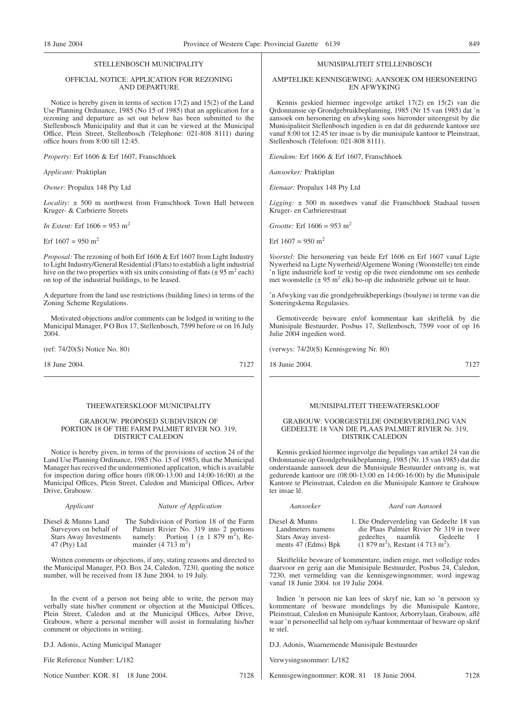#### STELLENBOSCH MUNICIPALITY

#### OFFICIAL NOTICE: APPLICATION FOR REZONING AND DEPARTURE

Notice is hereby given in terms of section 17(2) and 15(2) of the Land Use Planning Ordinance, 1985 (No 15 of 1985) that an application for a rezoning and departure as set out below has been submitted to the Stellenbosch Municipality and that it can be viewed at the Municipal Office, Plein Street, Stellenbosch (Telephone: 021-808 8111) during office hours from 8:00 till 12:45.

*Property:* Erf 1606 & Erf 1607, Franschhoek

*Applicant:* Praktiplan

*Owner:* Propalux 148 Pty Ltd

*Locality:* ± 500 m northwest from Franschhoek Town Hall between Kruger- & Carbrierre Streets

*In Extent:* Erf  $1606 = 953$  m<sup>2</sup>

Erf  $1607 = 950$  m<sup>2</sup>

*Proposal:* The rezoning of both Erf 1606 & Erf 1607 from Light Industry to Light Industry/General Residential (Flats) to establish a light industrial hive on the two properties with six units consisting of flats ( $\pm$  95 m<sup>2</sup> each) on top of the industrial buildings, to be leased.

A departure from the land use restrictions (building lines) in terms of the Zoning Scheme Regulations.

Motivated objections and/or comments can be lodged in writing to the Municipal Manager, P O Box 17, Stellenbosch, 7599 before or on 16 July 2004.

(ref: 74/20(S) Notice No. 80)

18 June 2004. 7127

#### THEEWATERSKLOOF MUNICIPALITY

#### GRABOUW: PROPOSED SUBDIVISION OF PORTION 18 OF THE FARM PALMIET RIVER NO. 319, DISTRICT CALEDON

Notice is hereby given, in terms of the provisions of section 24 of the Land Use Planning Ordinance, 1985 (No. 15 of 1985), that the Municipal Manager has received the undermentioned application, which is available for inspection during office hours (08:00-13:00 and 14:00-16:00) at the Municipal Offices, Plein Street, Caledon and Municipal Offices, Arbor Drive, Grabouw.

| Applicant                     | Nature of Application                                 |
|-------------------------------|-------------------------------------------------------|
| Diesel & Munns Land           | The Subdivision of Portion 18 of the Farm             |
| Surveyors on behalf of        | Palmiet Rivier No. 319 into 2 portions                |
| <b>Stars Away Investments</b> | namely: Portion 1 ( $\pm$ 1 879 m <sup>2</sup> ), Re- |
| $47$ (Pty) Ltd                | mainder $(4\ 713\ m^2)$                               |

Written comments or objections, if any, stating reasons and directed to the Municipal Manager, P.O. Box 24, Caledon, 7230, quoting the notice number, will be received from 18 June 2004. to 19 July.

In the event of a person not being able to write, the person may verbally state his/her comment or objection at the Municipal Offices, Plein Street, Caledon and at the Municipal Offices, Arbor Drive, Grabouw, where a personal member will assist in formulating his/her comment or objections in writing.

D.J. Adonis, Acting Municipal Manager

File Reference Number: L/182

Notice Number: KOR. 81 18 June 2004. 7128

#### MUNISIPALITEIT STELLENBOSCH

#### AMPTELIKE KENNISGEWING: AANSOEK OM HERSONERING EN AFWYKING

Kennis geskied hiermee ingevolge artikel 17(2) en 15(2) van die Qrdonnansie op Grondgebruikbeplanning, 1985 (Nr 15 van 1985) dat 'n aansoek om hersonering en afwyking soos hieronder uiteengesit by die Munisipaliteit Stellenbosch ingedien is en dat dit gedurende kantoor ure vanaf 8:00 tot 12:45 ter insae is by die munisipale kantoor te Pleinstraat, Stellenbosch (Telefoon: 021-808 8111).

*Eiendom:* Erf 1606 & Erf 1607, Franschhoek

*Aansoeker:* Praktiplan

*Eienaar:* Propalux 148 Pty Ltd

*Ligging:* ± 500 m noordwes vanaf die Franschhoek Stadsaal tussen Kruger- en Carbrierestraat

*Grootte:* Erf  $1606 = 953$  m<sup>2</sup>

Erf  $1607 = 950$  m<sup>2</sup>

*Voorstel:* Die hersonering van beide Erf 1606 en Erf 1607 vanaf Ligte Nywerheid na Ligte Nywerheid/Algemene Woning (Woonstelle) ten einde 'n ligte industriële korf te vestig op die twee eiendomme om ses eenhede met woonstelle ( $\pm$  95 m<sup>2</sup> elk) bo-op die industriële geboue uit te huur.

'n Afwyking van die grondgebruikbeperkings (boulyne) in terme van die Soneringskema Regulasies.

Gemotiveerde besware en/of kommentaar kan skriftelik by die Munisipale Bestuurder, Posbus 17, Stellenbosch, 7599 voor of op 16 Julie 2004 ingedien word.

(verwys: 74/20(S) Kennisgewing Nr. 80)

18 Junie 2004. 7127

#### MUNISIPALITEIT THEEWATERSKLOOF

#### GRABOUW: VOORGESTELDE ONDERVERDELING VAN GEDEELTE 18 VAN DIE PLAAS PALMIET RIVIER Nr. 319, DISTRIK CALEDON

Kennis geskied hiermee ingevolge die bepalings van artikel 24 van die Ordonnansie op Grondgebruikbeplanning, 1985 (Nr. 15 van 1985) dat die onderstaande aansoek deur die Munisipale Bestuurder ontvang is, wat gedurende kantoor ure (08:00-13:00 en 14:00-16:00) by die Munisipale Kantore te Pleinstraat, Caledon en die Munisipale Kantore te Grabouw ter insae lê.

| Aansoeker           | Aard van Aansoek                                      |
|---------------------|-------------------------------------------------------|
| Diesel & Munns      | 1. Die Onderverdeling van Gedeelte 18 van             |
| Landmeters namens   | die Plaas Palmiet Rivier Nr 319 in twee               |
| Stars Away invest-  | gedeeltes naamlik Gedeelte<br>-1                      |
| ments 47 (Edms) Bpk | $(1879 \text{ m}^2)$ , Restant $(4713 \text{ m}^2)$ . |

Skriftelike besware of kommentare, indien enige, met volledige redes daarvoor en gerig aan die Munisipale Bestuurder, Posbus 24, Caledon, 7230, met vermelding van die kennisgewingnommer, word ingewag vanaf 18 Junie 2004. tot 19 Julie 2004.

Indien 'n persoon nie kan lees of skryf nie, kan so 'n persoon sy kommentare of besware mondelings by die Munisipale Kantore, Pleinstraat, Caledon en Munisipale Kantoor, Arborrylaan, Grabouw, aflê waar 'n personeellid sal help om sy/haar kommentaar of besware op skrif te stel.

D.J. Adonis, Waarnemende Munisipale Bestuurder

Verwysingsnommer: L/182

Kennisgewingnommer: KOR. 81 18 Junie 2004. 7128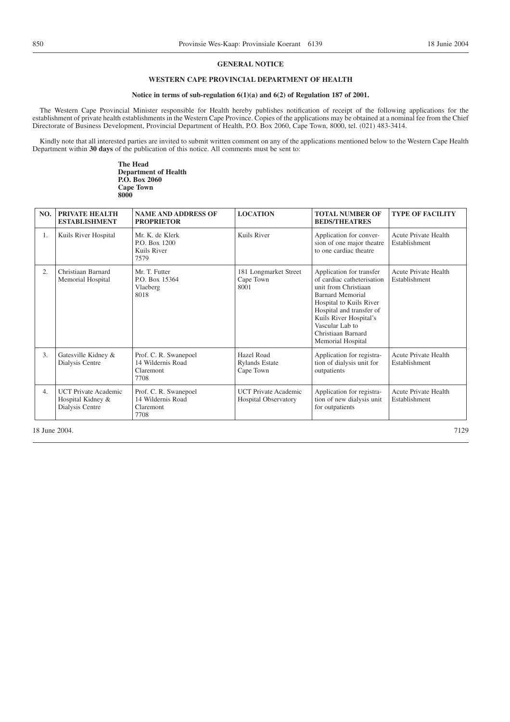#### **GENERAL NOTICE**

## **WESTERN CAPE PROVINCIAL DEPARTMENT OF HEALTH**

#### **Notice in terms of sub-regulation 6(1)(a) and 6(2) of Regulation 187 of 2001.**

The Western Cape Provincial Minister responsible for Health hereby publishes notification of receipt of the following applications for the establishment of private health establishments in the Western Cape Province. Copies of the applications may be obtained at a nominal fee from the Chief Directorate of Business Development, Provincial Department of Health, P.O. Box 2060, Cape Town, 8000, tel. (021) 483-3414.

Kindly note that all interested parties are invited to submit written comment on any of the applications mentioned below to the Western Cape Health Department within **30 days** of the publication of this notice. All comments must be sent to:

> **The Head Department of Health P.O. Box 2060 Cape Town 8000**

| NO. | PRIVATE HEALTH<br><b>ESTABLISHMENT</b>                              | <b>NAME AND ADDRESS OF</b><br><b>PROPRIETOR</b>                 | <b>LOCATION</b>                                            | <b>TOTAL NUMBER OF</b><br><b>BEDS/THEATRES</b>                                                                                                                                                                                                    | <b>TYPE OF FACILITY</b>                      |
|-----|---------------------------------------------------------------------|-----------------------------------------------------------------|------------------------------------------------------------|---------------------------------------------------------------------------------------------------------------------------------------------------------------------------------------------------------------------------------------------------|----------------------------------------------|
| 1.  | Kuils River Hospital                                                | Mr. K. de Klerk<br>P.O. Box 1200<br>Kuils River<br>7579         | Kuils River                                                | Application for conver-<br>sion of one major theatre<br>to one cardiac theatre                                                                                                                                                                    | Acute Private Health<br>Establishment        |
| 2.  | Christiaan Barnard<br>Memorial Hospital                             | Mr. T. Futter<br>P.O. Box 15364<br>Vlaeberg<br>8018             | 181 Longmarket Street<br>Cape Town<br>8001                 | Application for transfer<br>of cardiac catheterisation<br>unit from Christiaan<br>Barnard Memorial<br>Hospital to Kuils River<br>Hospital and transfer of<br>Kuils River Hospital's<br>Vascular Lab to<br>Christiaan Barnard<br>Memorial Hospital | Acute Private Health<br>Establishment        |
| 3.  | Gatesville Kidney &<br>Dialysis Centre                              | Prof. C. R. Swanepoel<br>14 Wildernis Road<br>Claremont<br>7708 | Hazel Road<br><b>Rylands Estate</b><br>Cape Town           | Application for registra-<br>tion of dialysis unit for<br>outpatients                                                                                                                                                                             | <b>Acute Private Health</b><br>Establishment |
| 4.  | <b>UCT</b> Private Academic<br>Hospital Kidney &<br>Dialysis Centre | Prof. C. R. Swanepoel<br>14 Wildernis Road<br>Claremont<br>7708 | <b>UCT</b> Private Academic<br><b>Hospital Observatory</b> | Application for registra-<br>tion of new dialysis unit<br>for outpatients                                                                                                                                                                         | Acute Private Health<br>Establishment        |

18 June 2004. 2004. **7129**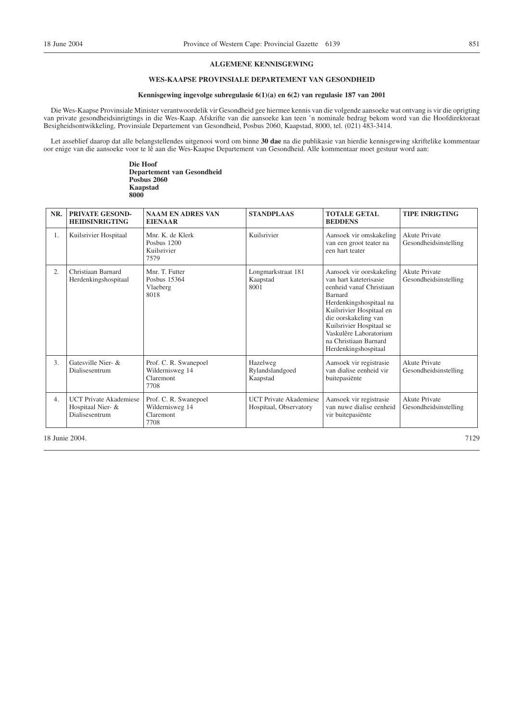#### **ALGEMENE KENNISGEWING**

## **WES-KAAPSE PROVINSIALE DEPARTEMENT VAN GESONDHEID**

#### **Kennisgewing ingevolge subregulasie 6(1)(a) en 6(2) van regulasie 187 van 2001**

Die Wes-Kaapse Provinsiale Minister verantwoordelik vir Gesondheid gee hiermee kennis van die volgende aansoeke wat ontvang is vir die oprigting van private gesondheidsinrigtings in die Wes-Kaap. Afskrifte van die aansoeke kan teen 'n nominale bedrag bekom word van die Hoofdirektoraat Besigheidsontwikkeling, Provinsiale Departement van Gesondheid, Posbus 2060, Kaapstad, 8000, tel. (021) 483-3414.

Let asseblief daarop dat alle belangstellendes uitgenooi word om binne **30 dae** na die publikasie van hierdie kennisgewing skriftelike kommentaar oor enige van die aansoeke voor te lê aan die Wes-Kaapse Departement van Gesondheid. Alle kommentaar moet gestuur word aan:

> **Die Hoof Departement van Gesondheid Posbus 2060 Kaapstad 8000**

| NR.              | PRIVATE GESOND-<br><b>HEIDSINRIGTING</b>                             | <b>NAAM EN ADRES VAN</b><br><b>EIENAAR</b>                    | <b>STANDPLAAS</b>                                       | <b>TOTALE GETAL</b><br><b>BEDDENS</b>                                                                                                                                                                                                                                                  | <b>TIPE INRIGTING</b>                         |
|------------------|----------------------------------------------------------------------|---------------------------------------------------------------|---------------------------------------------------------|----------------------------------------------------------------------------------------------------------------------------------------------------------------------------------------------------------------------------------------------------------------------------------------|-----------------------------------------------|
| 1.               | Kuilsrivier Hospitaal                                                | Mnr. K. de Klerk<br>Posbus 1200<br>Kuilsrivier<br>7579        | Kuilsrivier                                             | Aansoek vir omskakeling<br>van een groot teater na<br>een hart teater                                                                                                                                                                                                                  | Akute Private<br>Gesondheidsinstelling        |
| 2.               | Christiaan Barnard<br>Herdenkingshospitaal                           | Mnr. T. Futter<br>Posbus 15364<br>Vlaeberg<br>8018            | Longmarkstraat 181<br>Kaapstad<br>8001                  | Aansoek vir oorskakeling<br>van hart kateterisasie<br>eenheid vanaf Christiaan<br><b>Barnard</b><br>Herdenkingshospitaal na<br>Kuilsrivier Hospitaal en<br>die oorskakeling van<br>Kuilsrivier Hospitaal se<br>Vaskulêre Laboratorium<br>na Christiaan Barnard<br>Herdenkingshospitaal | <b>Akute Private</b><br>Gesondheidsinstelling |
| 3.               | Gatesville Nier- &<br>Dialisesentrum                                 | Prof. C. R. Swanepoel<br>Wildernisweg 14<br>Claremont<br>7708 | Hazelweg<br>Rylandslandgoed<br>Kaapstad                 | Aansoek vir registrasie<br>van dialise eenheid vir<br>buitepasiënte                                                                                                                                                                                                                    | <b>Akute Private</b><br>Gesondheidsinstelling |
| $\overline{4}$ . | <b>UCT Private Akademiese</b><br>Hospitaal Nier- &<br>Dialisesentrum | Prof. C. R. Swanepoel<br>Wildernisweg 14<br>Claremont<br>7708 | <b>UCT Private Akademiese</b><br>Hospitaal, Observatory | Aansoek vir registrasie<br>van nuwe dialise eenheid<br>vir buitepasiënte                                                                                                                                                                                                               | <b>Akute Private</b><br>Gesondheidsinstelling |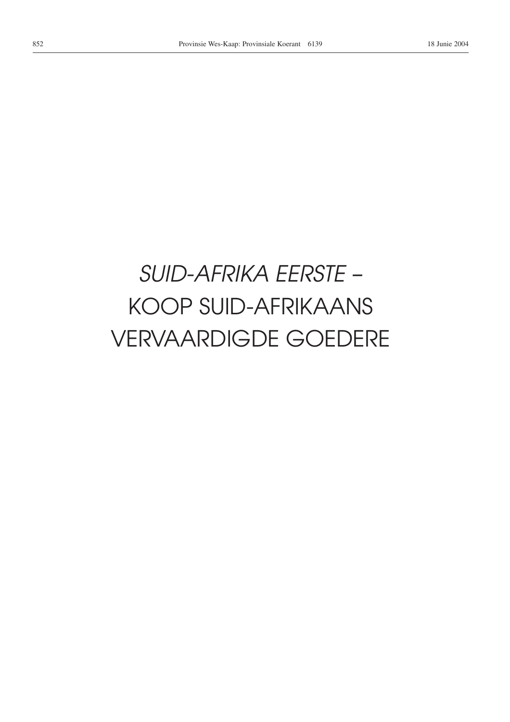# *SUID-AFRIKA EERSTE –* KOOP SUID-AFRIKAANS VERVAARDIGDE GOEDERE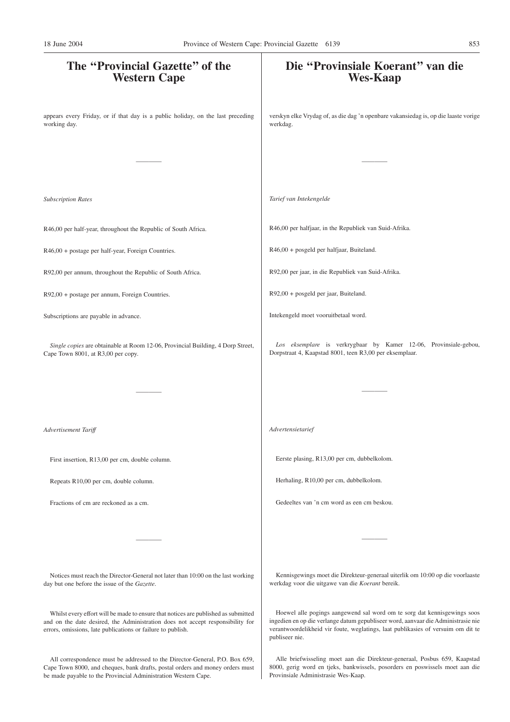# **The ''Provincial Gazette'' of the Western Cape** appears every Friday, or if that day is a public holiday, on the last preceding working day. ———— *Subscription Rates* R46,00 per half-year, throughout the Republic of South Africa. R46,00 + postage per half-year, Foreign Countries. R92,00 per annum, throughout the Republic of South Africa. R92,00 + postage per annum, Foreign Countries. Subscriptions are payable in advance. *Single copies* are obtainable at Room 12-06, Provincial Building, 4 Dorp Street, Cape Town 8001, at R3,00 per copy. ———— *Advertisement Tariff* First insertion, R13,00 per cm, double column. Repeats R10,00 per cm, double column. Fractions of cm are reckoned as a cm. ———— Notices must reach the Director-General not later than 10:00 on the last working day but one before the issue of the *Gazette*. Whilst every effort will be made to ensure that notices are published as submitted **Die ''Provinsiale Koerant'' van die Wes-Kaap** verskyn elke Vrydag of, as die dag 'n openbare vakansiedag is, op die laaste vorige werkdag. ———— *Tarief van Intekengelde* R46,00 per halfjaar, in the Republiek van Suid-Afrika. R46,00 + posgeld per halfjaar, Buiteland. R92,00 per jaar, in die Republiek van Suid-Afrika. R92,00 + posgeld per jaar, Buiteland. Intekengeld moet vooruitbetaal word. *Los eksemplare* is verkrygbaar by Kamer 12-06, Provinsiale-gebou, Dorpstraat 4, Kaapstad 8001, teen R3,00 per eksemplaar. ———— *Advertensietarief* Eerste plasing, R13,00 per cm, dubbelkolom. Herhaling, R10,00 per cm, dubbelkolom. Gedeeltes van 'n cm word as een cm beskou. ———— Kennisgewings moet die Direkteur-generaal uiterlik om 10:00 op die voorlaaste werkdag voor die uitgawe van die *Koerant* bereik. Hoewel alle pogings aangewend sal word om te sorg dat kennisgewings soos 18 June 2004 Province of Western Cape: Provincial Gazette 6139 853

publiseer nie.

and on the date desired, the Administration does not accept responsibility for errors, omissions, late publications or failure to publish.

All correspondence must be addressed to the Director-General, P.O. Box 659, Cape Town 8000, and cheques, bank drafts, postal orders and money orders must be made payable to the Provincial Administration Western Cape.

Alle briefwisseling moet aan die Direkteur-generaal, Posbus 659, Kaapstad 8000, gerig word en tjeks, bankwissels, posorders en poswissels moet aan die Provinsiale Administrasie Wes-Kaap.

ingedien en op die verlange datum gepubliseer word, aanvaar die Administrasie nie verantwoordelikheid vir foute, weglatings, laat publikasies of versuim om dit te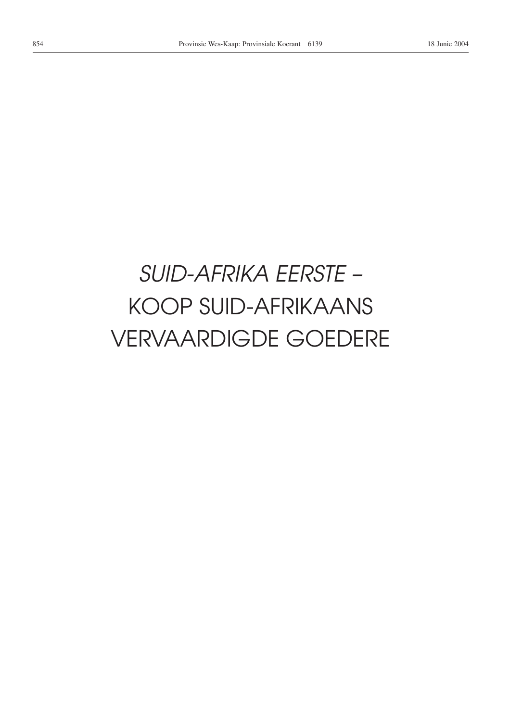# *SUID-AFRIKA EERSTE –* KOOP SUID-AFRIKAANS VERVAARDIGDE GOEDERE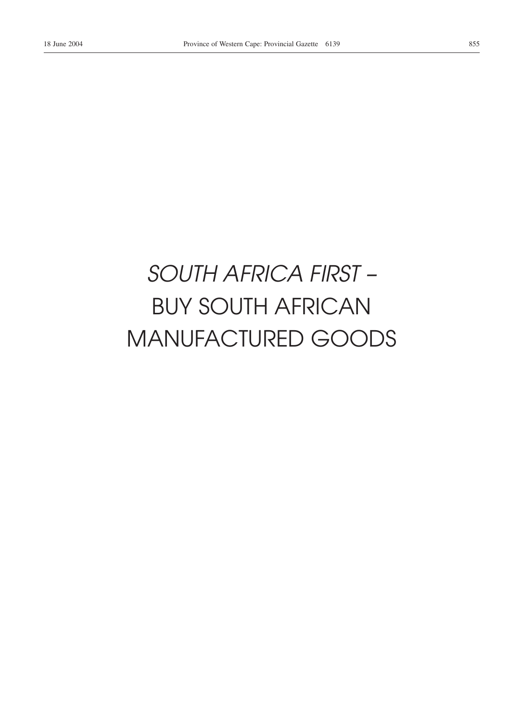# *SOUTH AFRICA FIRST –* BUY SOUTH AFRICAN MANUFACTURED GOODS